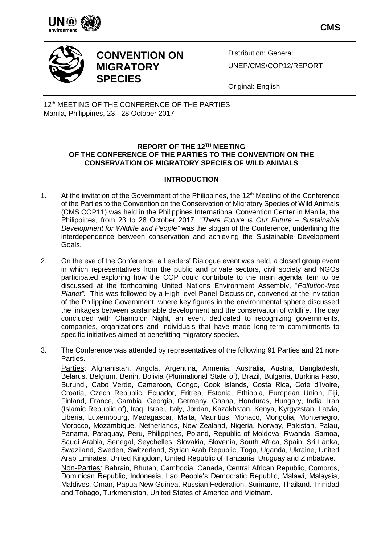

**CMS**



**CONVENTION ON MIGRATORY SPECIES**

Distribution: General UNEP/CMS/COP12/REPORT

Original: English

12<sup>th</sup> MEETING OF THE CONFERENCE OF THE PARTIES Manila, Philippines, 23 - 28 October 2017

## **REPORT OF THE 12TH MEETING OF THE CONFERENCE OF THE PARTIES TO THE CONVENTION ON THE CONSERVATION OF MIGRATORY SPECIES OF WILD ANIMALS**

# **INTRODUCTION**

- 1. At the invitation of the Government of the Philippines, the 12<sup>th</sup> Meeting of the Conference of the Parties to the Convention on the Conservation of Migratory Species of Wild Animals (CMS COP11) was held in the Philippines International Convention Center in Manila, the Philippines, from 23 to 28 October 2017. "*There Future is Our Future – Sustainable Development for Wildlife and People"* was the slogan of the Conference, underlining the interdependence between conservation and achieving the Sustainable Development Goals.
- 2. On the eve of the Conference, a Leaders' Dialogue event was held, a closed group event in which representatives from the public and private sectors, civil society and NGOs participated exploring how the COP could contribute to the main agenda item to be discussed at the forthcoming United Nations Environment Assembly, "*Pollution-free Planet"*. This was followed by a High-level Panel Discussion, convened at the invitation of the Philippine Government, where key figures in the environmental sphere discussed the linkages between sustainable development and the conservation of wildlife. The day concluded with Champion Night, an event dedicated to recognizing governments, companies, organizations and individuals that have made long-term commitments to specific initiatives aimed at benefitting migratory species.
- 3. The Conference was attended by representatives of the following 91 Parties and 21 non-Parties.

Parties: Afghanistan, Angola, Argentina, Armenia, Australia, Austria, Bangladesh, Belarus, Belgium, Benin, Bolivia (Plurinational State of), Brazil, Bulgaria, Burkina Faso, Burundi, Cabo Verde, Cameroon, Congo, Cook Islands, Costa Rica, Cote d'Ivoire, Croatia, Czech Republic, Ecuador, Eritrea, Estonia, Ethiopia, European Union, Fiji, Finland, France, Gambia, Georgia, Germany, Ghana, Honduras, Hungary, India, Iran (Islamic Republic of), Iraq, Israel, Italy, Jordan, Kazakhstan, Kenya, Kyrgyzstan, Latvia, Liberia, Luxembourg, Madagascar, Malta, Mauritius, Monaco, Mongolia, Montenegro, Morocco, Mozambique, Netherlands, New Zealand, Nigeria, Norway, Pakistan, Palau, Panama, Paraguay, Peru, Philippines, Poland, Republic of Moldova, Rwanda, Samoa, Saudi Arabia, Senegal, Seychelles, Slovakia, Slovenia, South Africa, Spain, Sri Lanka, Swaziland, Sweden, Switzerland, Syrian Arab Republic, Togo, Uganda, Ukraine, United Arab Emirates, United Kingdom, United Republic of Tanzania, Uruguay and Zimbabwe. Non-Parties: Bahrain, Bhutan, Cambodia, Canada, Central African Republic, Comoros, Dominican Republic, Indonesia, Lao People's Democratic Republic, Malawi, Malaysia, Maldives, Oman, Papua New Guinea, Russian Federation, Suriname, Thailand. Trinidad

and Tobago, Turkmenistan, United States of America and Vietnam.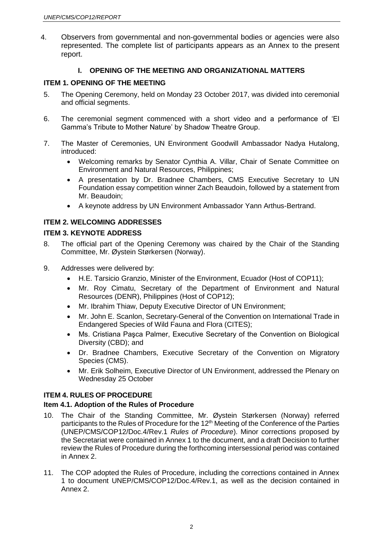4. Observers from governmental and non-governmental bodies or agencies were also represented. The complete list of participants appears as an Annex to the present report.

# **I. OPENING OF THE MEETING AND ORGANIZATIONAL MATTERS**

## **ITEM 1. OPENING OF THE MEETING**

- 5. The Opening Ceremony, held on Monday 23 October 2017, was divided into ceremonial and official segments.
- 6. The ceremonial segment commenced with a short video and a performance of 'El Gamma's Tribute to Mother Nature' by Shadow Theatre Group.
- 7. The Master of Ceremonies, UN Environment Goodwill Ambassador Nadya Hutalong, introduced:
	- Welcoming remarks by Senator Cynthia A. Villar, Chair of Senate Committee on Environment and Natural Resources, Philippines;
	- A presentation by Dr. Bradnee Chambers, CMS Executive Secretary to UN Foundation essay competition winner Zach Beaudoin, followed by a statement from Mr. Beaudoin;
	- A keynote address by UN Environment Ambassador Yann Arthus-Bertrand.

## **ITEM 2. WELCOMING ADDRESSES**

### **ITEM 3. KEYNOTE ADDRESS**

- 8. The official part of the Opening Ceremony was chaired by the Chair of the Standing Committee, Mr. Øystein Størkersen (Norway).
- 9. Addresses were delivered by:
	- H.E. Tarsicio Granzio, Minister of the Environment, Ecuador (Host of COP11);
	- Mr. Roy Cimatu, Secretary of the Department of Environment and Natural Resources (DENR), Philippines (Host of COP12);
	- Mr. Ibrahim Thiaw, Deputy Executive Director of UN Environment;
	- Mr. John E. Scanlon, Secretary-General of the Convention on International Trade in Endangered Species of Wild Fauna and Flora (CITES);
	- Ms. Cristiana Paşca Palmer, Executive Secretary of the Convention on Biological Diversity (CBD); and
	- Dr. Bradnee Chambers, Executive Secretary of the Convention on Migratory Species (CMS).
	- Mr. Erik Solheim, Executive Director of UN Environment, addressed the Plenary on Wednesday 25 October

# **ITEM 4. RULES OF PROCEDURE**

### **Item 4.1. Adoption of the Rules of Procedure**

- 10. The Chair of the Standing Committee, Mr. Øystein Størkersen (Norway) referred participants to the Rules of Procedure for the 12<sup>th</sup> Meeting of the Conference of the Parties (UNEP/CMS/COP12/Doc.4/Rev.1 *Rules of Procedure*). Minor corrections proposed by the Secretariat were contained in Annex 1 to the document, and a draft Decision to further review the Rules of Procedure during the forthcoming intersessional period was contained in Annex 2.
- 11. The COP adopted the Rules of Procedure, including the corrections contained in Annex 1 to document UNEP/CMS/COP12/Doc.4/Rev.1, as well as the decision contained in Annex 2.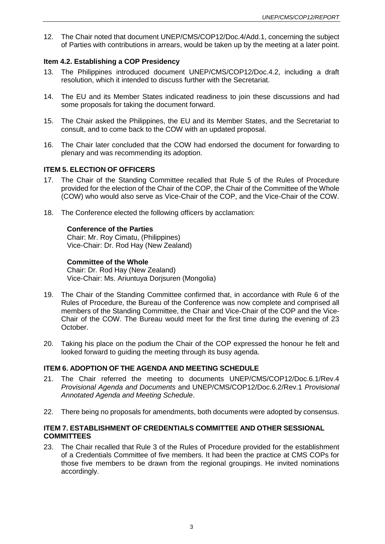12. The Chair noted that document UNEP/CMS/COP12/Doc.4/Add.1, concerning the subject of Parties with contributions in arrears, would be taken up by the meeting at a later point.

### **Item 4.2. Establishing a COP Presidency**

- 13. The Philippines introduced document UNEP/CMS/COP12/Doc.4.2, including a draft resolution, which it intended to discuss further with the Secretariat.
- 14. The EU and its Member States indicated readiness to join these discussions and had some proposals for taking the document forward.
- 15. The Chair asked the Philippines, the EU and its Member States, and the Secretariat to consult, and to come back to the COW with an updated proposal.
- 16. The Chair later concluded that the COW had endorsed the document for forwarding to plenary and was recommending its adoption.

## **ITEM 5. ELECTION OF OFFICERS**

- 17. The Chair of the Standing Committee recalled that Rule 5 of the Rules of Procedure provided for the election of the Chair of the COP, the Chair of the Committee of the Whole (COW) who would also serve as Vice-Chair of the COP, and the Vice-Chair of the COW.
- 18. The Conference elected the following officers by acclamation:

### **Conference of the Parties**

Chair: Mr. Roy Cimatu, (Philippines) Vice-Chair: Dr. Rod Hay (New Zealand)

### **Committee of the Whole**

Chair: Dr. Rod Hay (New Zealand) Vice-Chair: Ms. Ariuntuya Dorjsuren (Mongolia)

- 19. The Chair of the Standing Committee confirmed that, in accordance with Rule 6 of the Rules of Procedure, the Bureau of the Conference was now complete and comprised all members of the Standing Committee, the Chair and Vice-Chair of the COP and the Vice-Chair of the COW. The Bureau would meet for the first time during the evening of 23 October.
- 20. Taking his place on the podium the Chair of the COP expressed the honour he felt and looked forward to guiding the meeting through its busy agenda.

#### **ITEM 6. ADOPTION OF THE AGENDA AND MEETING SCHEDULE**

- 21. The Chair referred the meeting to documents UNEP/CMS/COP12/Doc.6.1/Rev.4 *Provisional Agenda and Documents* and UNEP/CMS/COP12/Doc.6.2/Rev.1 *Provisional Annotated Agenda and Meeting Schedule*.
- 22. There being no proposals for amendments, both documents were adopted by consensus.

## **ITEM 7. ESTABLISHMENT OF CREDENTIALS COMMITTEE AND OTHER SESSIONAL COMMITTEES**

23. The Chair recalled that Rule 3 of the Rules of Procedure provided for the establishment of a Credentials Committee of five members. It had been the practice at CMS COPs for those five members to be drawn from the regional groupings. He invited nominations accordingly.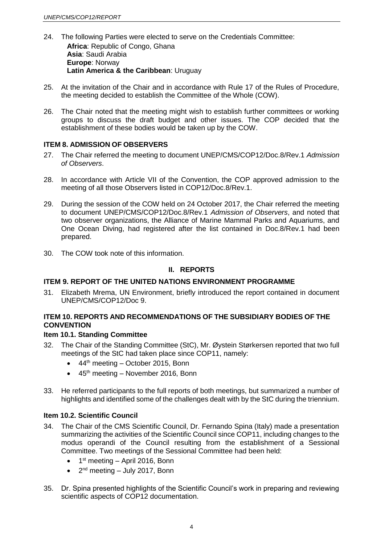- 24. The following Parties were elected to serve on the Credentials Committee: **Africa**: Republic of Congo, Ghana **Asia**: Saudi Arabia **Europe**: Norway **Latin America & the Caribbean**: Uruguay
- 25. At the invitation of the Chair and in accordance with Rule 17 of the Rules of Procedure, the meeting decided to establish the Committee of the Whole (COW).
- 26. The Chair noted that the meeting might wish to establish further committees or working groups to discuss the draft budget and other issues. The COP decided that the establishment of these bodies would be taken up by the COW.

## **ITEM 8. ADMISSION OF OBSERVERS**

- 27. The Chair referred the meeting to document UNEP/CMS/COP12/Doc.8/Rev.1 *Admission of Observers*.
- 28. In accordance with Article VII of the Convention, the COP approved admission to the meeting of all those Observers listed in COP12/Doc.8/Rev.1.
- 29. During the session of the COW held on 24 October 2017, the Chair referred the meeting to document UNEP/CMS/COP12/Doc.8/Rev.1 *Admission of Observers*, and noted that two observer organizations, the Alliance of Marine Mammal Parks and Aquariums, and One Ocean Diving, had registered after the list contained in Doc.8/Rev.1 had been prepared.
- 30. The COW took note of this information.

### **II. REPORTS**

## **ITEM 9. REPORT OF THE UNITED NATIONS ENVIRONMENT PROGRAMME**

31. Elizabeth Mrema, UN Environment, briefly introduced the report contained in document UNEP/CMS/COP12/Doc 9.

# **ITEM 10. REPORTS AND RECOMMENDATIONS OF THE SUBSIDIARY BODIES OF THE CONVENTION**

### **Item 10.1. Standing Committee**

- 32. The Chair of the Standing Committee (StC), Mr. Øystein Størkersen reported that two full meetings of the StC had taken place since COP11, namely:
	- $\bullet$  44<sup>th</sup> meeting October 2015, Bonn
	- $\bullet$  45<sup>th</sup> meeting November 2016, Bonn
- 33. He referred participants to the full reports of both meetings, but summarized a number of highlights and identified some of the challenges dealt with by the StC during the triennium.

### **Item 10.2. Scientific Council**

- 34. The Chair of the CMS Scientific Council, Dr. Fernando Spina (Italy) made a presentation summarizing the activities of the Scientific Council since COP11, including changes to the modus operandi of the Council resulting from the establishment of a Sessional Committee. Two meetings of the Sessional Committee had been held:
	- $\bullet$  1<sup>st</sup> meeting April 2016, Bonn
	- $\bullet$  2<sup>nd</sup> meeting July 2017, Bonn
- 35. Dr. Spina presented highlights of the Scientific Council's work in preparing and reviewing scientific aspects of COP12 documentation.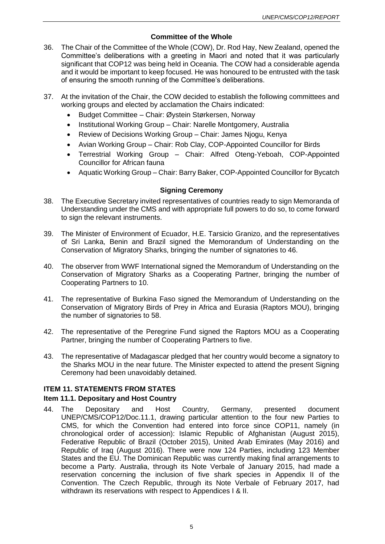## **Committee of the Whole**

- 36. The Chair of the Committee of the Whole (COW), Dr. Rod Hay, New Zealand, opened the Committee's deliberations with a greeting in Maori and noted that it was particularly significant that COP12 was being held in Oceania. The COW had a considerable agenda and it would be important to keep focused. He was honoured to be entrusted with the task of ensuring the smooth running of the Committee's deliberations.
- 37. At the invitation of the Chair, the COW decided to establish the following committees and working groups and elected by acclamation the Chairs indicated:
	- Budget Committee Chair: Øystein Størkersen, Norway
	- Institutional Working Group Chair: Narelle Montgomery, Australia
	- Review of Decisions Working Group Chair: James Njogu, Kenya
	- Avian Working Group Chair: Rob Clay, COP-Appointed Councillor for Birds
	- Terrestrial Working Group Chair: Alfred Oteng-Yeboah, COP-Appointed Councillor for African fauna
	- Aquatic Working Group Chair: Barry Baker, COP-Appointed Councillor for Bycatch

### **Signing Ceremony**

- 38. The Executive Secretary invited representatives of countries ready to sign Memoranda of Understanding under the CMS and with appropriate full powers to do so, to come forward to sign the relevant instruments.
- 39. The Minister of Environment of Ecuador, H.E. Tarsicio Granizo, and the representatives of Sri Lanka, Benin and Brazil signed the Memorandum of Understanding on the Conservation of Migratory Sharks, bringing the number of signatories to 46.
- 40. The observer from WWF International signed the Memorandum of Understanding on the Conservation of Migratory Sharks as a Cooperating Partner, bringing the number of Cooperating Partners to 10.
- 41. The representative of Burkina Faso signed the Memorandum of Understanding on the Conservation of Migratory Birds of Prey in Africa and Eurasia (Raptors MOU), bringing the number of signatories to 58.
- 42. The representative of the Peregrine Fund signed the Raptors MOU as a Cooperating Partner, bringing the number of Cooperating Partners to five.
- 43. The representative of Madagascar pledged that her country would become a signatory to the Sharks MOU in the near future. The Minister expected to attend the present Signing Ceremony had been unavoidably detained.

### **ITEM 11. STATEMENTS FROM STATES**

### **Item 11.1. Depositary and Host Country**

44. The Depositary and Host Country, Germany, presented document UNEP/CMS/COP12/Doc.11.1, drawing particular attention to the four new Parties to CMS, for which the Convention had entered into force since COP11, namely (in chronological order of accession): Islamic Republic of Afghanistan (August 2015), Federative Republic of Brazil (October 2015), United Arab Emirates (May 2016) and Republic of Iraq (August 2016). There were now 124 Parties, including 123 Member States and the EU. The Dominican Republic was currently making final arrangements to become a Party. Australia, through its Note Verbale of January 2015, had made a reservation concerning the inclusion of five shark species in Appendix II of the Convention. The Czech Republic, through its Note Verbale of February 2017, had withdrawn its reservations with respect to Appendices I & II.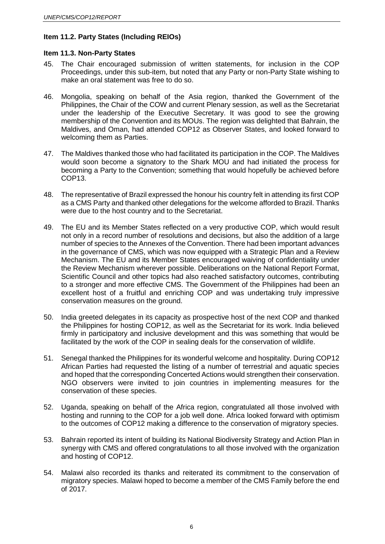# **Item 11.2. Party States (Including REIOs)**

### **Item 11.3. Non-Party States**

- 45. The Chair encouraged submission of written statements, for inclusion in the COP Proceedings, under this sub-item, but noted that any Party or non-Party State wishing to make an oral statement was free to do so.
- 46. Mongolia, speaking on behalf of the Asia region, thanked the Government of the Philippines, the Chair of the COW and current Plenary session, as well as the Secretariat under the leadership of the Executive Secretary. It was good to see the growing membership of the Convention and its MOUs. The region was delighted that Bahrain, the Maldives, and Oman, had attended COP12 as Observer States, and looked forward to welcoming them as Parties.
- 47. The Maldives thanked those who had facilitated its participation in the COP. The Maldives would soon become a signatory to the Shark MOU and had initiated the process for becoming a Party to the Convention; something that would hopefully be achieved before COP13.
- 48. The representative of Brazil expressed the honour his country felt in attending its first COP as a CMS Party and thanked other delegations for the welcome afforded to Brazil. Thanks were due to the host country and to the Secretariat.
- 49. The EU and its Member States reflected on a very productive COP, which would result not only in a record number of resolutions and decisions, but also the addition of a large number of species to the Annexes of the Convention. There had been important advances in the governance of CMS, which was now equipped with a Strategic Plan and a Review Mechanism. The EU and its Member States encouraged waiving of confidentiality under the Review Mechanism wherever possible. Deliberations on the National Report Format, Scientific Council and other topics had also reached satisfactory outcomes, contributing to a stronger and more effective CMS. The Government of the Philippines had been an excellent host of a fruitful and enriching COP and was undertaking truly impressive conservation measures on the ground.
- 50. India greeted delegates in its capacity as prospective host of the next COP and thanked the Philippines for hosting COP12, as well as the Secretariat for its work. India believed firmly in participatory and inclusive development and this was something that would be facilitated by the work of the COP in sealing deals for the conservation of wildlife.
- 51. Senegal thanked the Philippines for its wonderful welcome and hospitality. During COP12 African Parties had requested the listing of a number of terrestrial and aquatic species and hoped that the corresponding Concerted Actions would strengthen their conservation. NGO observers were invited to join countries in implementing measures for the conservation of these species.
- 52. Uganda, speaking on behalf of the Africa region, congratulated all those involved with hosting and running to the COP for a job well done. Africa looked forward with optimism to the outcomes of COP12 making a difference to the conservation of migratory species.
- 53. Bahrain reported its intent of building its National Biodiversity Strategy and Action Plan in synergy with CMS and offered congratulations to all those involved with the organization and hosting of COP12.
- 54. Malawi also recorded its thanks and reiterated its commitment to the conservation of migratory species. Malawi hoped to become a member of the CMS Family before the end of 2017.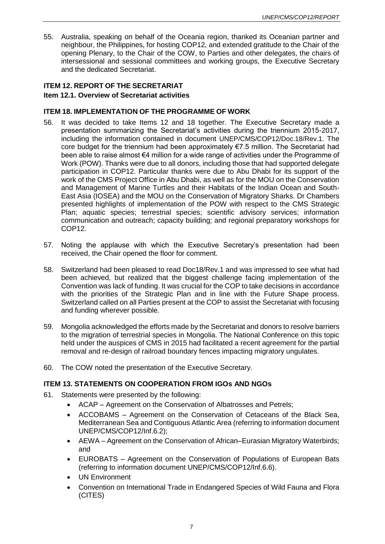55. Australia, speaking on behalf of the Oceania region, thanked its Oceanian partner and neighbour, the Philippines, for hosting COP12, and extended gratitude to the Chair of the opening Plenary, to the Chair of the COW, to Parties and other delegates, the chairs of intersessional and sessional committees and working groups, the Executive Secretary and the dedicated Secretariat.

## **ITEM 12. REPORT OF THE SECRETARIAT Item 12.1. Overview of Secretariat activities**

### **ITEM 18. IMPLEMENTATION OF THE PROGRAMME OF WORK**

- 56. It was decided to take Items 12 and 18 together. The Executive Secretary made a presentation summarizing the Secretariat's activities during the triennium 2015-2017, including the information contained in document UNEP/CMS/COP12/Doc.18/Rev.1. The core budget for the triennium had been approximately €7.5 million. The Secretariat had been able to raise almost €4 million for a wide range of activities under the Programme of Work (POW). Thanks were due to all donors, including those that had supported delegate participation in COP12. Particular thanks were due to Abu Dhabi for its support of the work of the CMS Project Office in Abu Dhabi, as well as for the MOU on the Conservation and Management of Marine Turtles and their Habitats of the Indian Ocean and South-East Asia (IOSEA) and the MOU on the Conservation of Migratory Sharks. Dr Chambers presented highlights of implementation of the POW with respect to the CMS Strategic Plan; aquatic species; terrestrial species; scientific advisory services; information communication and outreach; capacity building; and regional preparatory workshops for COP12.
- 57. Noting the applause with which the Executive Secretary's presentation had been received, the Chair opened the floor for comment.
- 58. Switzerland had been pleased to read Doc18/Rev.1 and was impressed to see what had been achieved, but realized that the biggest challenge facing implementation of the Convention was lack of funding. It was crucial for the COP to take decisions in accordance with the priorities of the Strategic Plan and in line with the Future Shape process. Switzerland called on all Parties present at the COP to assist the Secretariat with focusing and funding wherever possible.
- 59. Mongolia acknowledged the efforts made by the Secretariat and donors to resolve barriers to the migration of terrestrial species in Mongolia. The National Conference on this topic held under the auspices of CMS in 2015 had facilitated a recent agreement for the partial removal and re-design of railroad boundary fences impacting migratory ungulates.
- 60. The COW noted the presentation of the Executive Secretary.

## **ITEM 13. STATEMENTS ON COOPERATION FROM IGOs AND NGOs**

- 61. Statements were presented by the following:
	- ACAP Agreement on the Conservation of Albatrosses and Petrels;
	- ACCOBAMS Agreement on the Conservation of Cetaceans of the Black Sea, Mediterranean Sea and Contiguous Atlantic Area (referring to information document UNEP/CMS/COP12/Inf.6.2);
	- AEWA Agreement on the Conservation of African–Eurasian Migratory Waterbirds; and
	- EUROBATS Agreement on the Conservation of Populations of European Bats (referring to information document UNEP/CMS/COP12/Inf.6.6).
	- UN Environment
	- Convention on International Trade in Endangered Species of Wild Fauna and Flora (CITES)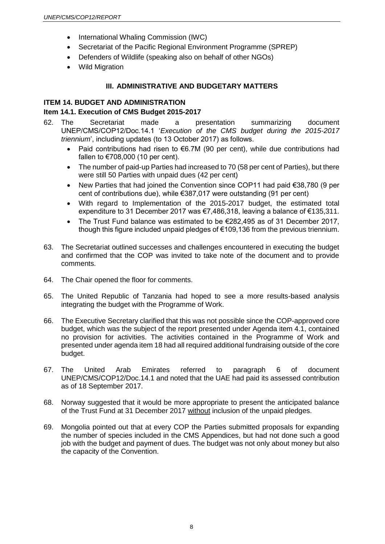- International Whaling Commission (IWC)
- Secretariat of the Pacific Regional Environment Programme (SPREP)
- Defenders of Wildlife (speaking also on behalf of other NGOs)
- Wild Migration

## **III. ADMINISTRATIVE AND BUDGETARY MATTERS**

## **ITEM 14. BUDGET AND ADMINISTRATION**

# **Item 14.1. Execution of CMS Budget 2015-2017**

- 62. The Secretariat made a presentation summarizing document UNEP/CMS/COP12/Doc.14.1 '*Execution of the CMS budget during the 2015-2017 triennium*', including updates (to 13 October 2017) as follows.
	- Paid contributions had risen to  $€6.7M$  (90 per cent), while due contributions had fallen to €708,000 (10 per cent).
	- The number of paid-up Parties had increased to 70 (58 per cent of Parties), but there were still 50 Parties with unpaid dues (42 per cent)
	- New Parties that had joined the Convention since COP11 had paid €38,780 (9 per cent of contributions due), while €387,017 were outstanding (91 per cent)
	- With regard to Implementation of the 2015-2017 budget, the estimated total expenditure to 31 December 2017 was €7,486,318, leaving a balance of €135,311.
	- The Trust Fund balance was estimated to be €282,495 as of 31 December 2017, though this figure included unpaid pledges of €109,136 from the previous triennium.
- 63. The Secretariat outlined successes and challenges encountered in executing the budget and confirmed that the COP was invited to take note of the document and to provide comments.
- 64. The Chair opened the floor for comments.
- 65. The United Republic of Tanzania had hoped to see a more results-based analysis integrating the budget with the Programme of Work.
- 66. The Executive Secretary clarified that this was not possible since the COP-approved core budget, which was the subject of the report presented under Agenda item 4.1, contained no provision for activities. The activities contained in the Programme of Work and presented under agenda item 18 had all required additional fundraising outside of the core budget.
- 67. The United Arab Emirates referred to paragraph 6 of document UNEP/CMS/COP12/Doc.14.1 and noted that the UAE had paid its assessed contribution as of 18 September 2017.
- 68. Norway suggested that it would be more appropriate to present the anticipated balance of the Trust Fund at 31 December 2017 without inclusion of the unpaid pledges.
- 69. Mongolia pointed out that at every COP the Parties submitted proposals for expanding the number of species included in the CMS Appendices, but had not done such a good job with the budget and payment of dues. The budget was not only about money but also the capacity of the Convention.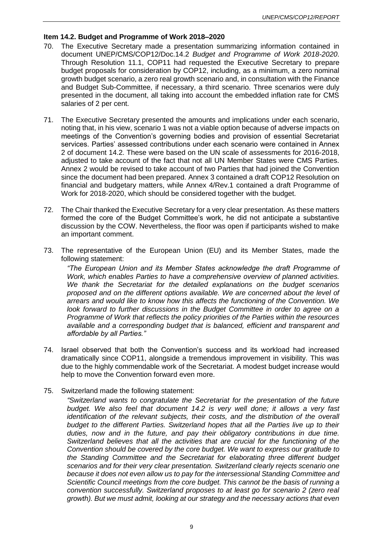## **Item 14.2. Budget and Programme of Work 2018–2020**

- 70. The Executive Secretary made a presentation summarizing information contained in document UNEP/CMS/COP12/Doc.14.2 *Budget and Programme of Work 2018-2020*. Through Resolution 11.1, COP11 had requested the Executive Secretary to prepare budget proposals for consideration by COP12, including, as a minimum, a zero nominal growth budget scenario, a zero real growth scenario and, in consultation with the Finance and Budget Sub-Committee, if necessary, a third scenario. Three scenarios were duly presented in the document, all taking into account the embedded inflation rate for CMS salaries of 2 per cent.
- 71. The Executive Secretary presented the amounts and implications under each scenario, noting that, in his view, scenario 1 was not a viable option because of adverse impacts on meetings of the Convention's governing bodies and provision of essential Secretariat services. Parties' assessed contributions under each scenario were contained in Annex 2 of document 14.2. These were based on the UN scale of assessments for 2016-2018, adjusted to take account of the fact that not all UN Member States were CMS Parties. Annex 2 would be revised to take account of two Parties that had joined the Convention since the document had been prepared. Annex 3 contained a draft COP12 Resolution on financial and budgetary matters, while Annex 4/Rev.1 contained a draft Programme of Work for 2018-2020, which should be considered together with the budget.
- 72. The Chair thanked the Executive Secretary for a very clear presentation. As these matters formed the core of the Budget Committee's work, he did not anticipate a substantive discussion by the COW. Nevertheless, the floor was open if participants wished to make an important comment.
- 73. The representative of the European Union (EU) and its Member States, made the following statement:

*"The European Union and its Member States acknowledge the draft Programme of Work, which enables Parties to have a comprehensive overview of planned activities. We thank the Secretariat for the detailed explanations on the budget scenarios proposed and on the different options available. We are concerned about the level of arrears and would like to know how this affects the functioning of the Convention. We look forward to further discussions in the Budget Committee in order to agree on a Programme of Work that reflects the policy priorities of the Parties within the resources available and a corresponding budget that is balanced, efficient and transparent and affordable by all Parties."*

- 74. Israel observed that both the Convention's success and its workload had increased dramatically since COP11, alongside a tremendous improvement in visibility. This was due to the highly commendable work of the Secretariat. A modest budget increase would help to move the Convention forward even more.
- 75. Switzerland made the following statement:

*"Switzerland wants to congratulate the Secretariat for the presentation of the future budget. We also feel that document 14.2 is very well done; it allows a very fast identification of the relevant subjects, their costs, and the distribution of the overall budget to the different Parties. Switzerland hopes that all the Parties live up to their duties, now and in the future, and pay their obligatory contributions in due time. Switzerland believes that all the activities that are crucial for the functioning of the Convention should be covered by the core budget. We want to express our gratitude to the Standing Committee and the Secretariat for elaborating three different budget scenarios and for their very clear presentation. Switzerland clearly rejects scenario one because it does not even allow us to pay for the intersessional Standing Committee and Scientific Council meetings from the core budget. This cannot be the basis of running a convention successfully. Switzerland proposes to at least go for scenario 2 (zero real growth). But we must admit, looking at our strategy and the necessary actions that even*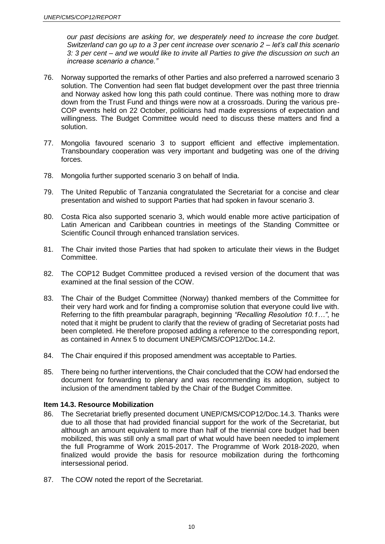*our past decisions are asking for, we desperately need to increase the core budget. Switzerland can go up to a 3 per cent increase over scenario 2 – let's call this scenario 3: 3 per cent – and we would like to invite all Parties to give the discussion on such an increase scenario a chance."*

- 76. Norway supported the remarks of other Parties and also preferred a narrowed scenario 3 solution. The Convention had seen flat budget development over the past three triennia and Norway asked how long this path could continue. There was nothing more to draw down from the Trust Fund and things were now at a crossroads. During the various pre-COP events held on 22 October, politicians had made expressions of expectation and willingness. The Budget Committee would need to discuss these matters and find a solution.
- 77. Mongolia favoured scenario 3 to support efficient and effective implementation. Transboundary cooperation was very important and budgeting was one of the driving forces.
- 78. Mongolia further supported scenario 3 on behalf of India.
- 79. The United Republic of Tanzania congratulated the Secretariat for a concise and clear presentation and wished to support Parties that had spoken in favour scenario 3.
- 80. Costa Rica also supported scenario 3, which would enable more active participation of Latin American and Caribbean countries in meetings of the Standing Committee or Scientific Council through enhanced translation services.
- 81. The Chair invited those Parties that had spoken to articulate their views in the Budget Committee.
- 82. The COP12 Budget Committee produced a revised version of the document that was examined at the final session of the COW.
- 83. The Chair of the Budget Committee (Norway) thanked members of the Committee for their very hard work and for finding a compromise solution that everyone could live with. Referring to the fifth preambular paragraph, beginning *"Recalling Resolution 10.1…"*, he noted that it might be prudent to clarify that the review of grading of Secretariat posts had been completed. He therefore proposed adding a reference to the corresponding report, as contained in Annex 5 to document UNEP/CMS/COP12/Doc.14.2.
- 84. The Chair enquired if this proposed amendment was acceptable to Parties.
- 85. There being no further interventions, the Chair concluded that the COW had endorsed the document for forwarding to plenary and was recommending its adoption, subject to inclusion of the amendment tabled by the Chair of the Budget Committee.

#### **Item 14.3. Resource Mobilization**

- 86. The Secretariat briefly presented document UNEP/CMS/COP12/Doc.14.3. Thanks were due to all those that had provided financial support for the work of the Secretariat, but although an amount equivalent to more than half of the triennial core budget had been mobilized, this was still only a small part of what would have been needed to implement the full Programme of Work 2015-2017. The Programme of Work 2018-2020, when finalized would provide the basis for resource mobilization during the forthcoming intersessional period.
- 87. The COW noted the report of the Secretariat.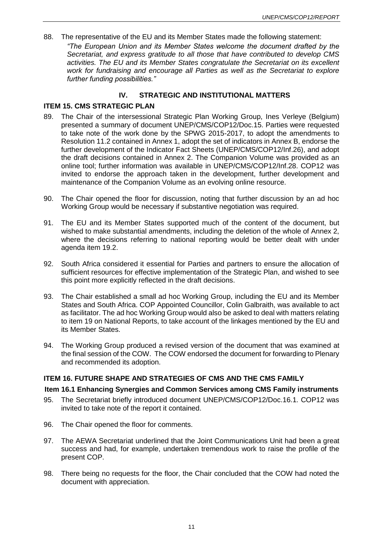88. The representative of the EU and its Member States made the following statement: *"The European Union and its Member States welcome the document drafted by the Secretariat, and express gratitude to all those that have contributed to develop CMS activities. The EU and its Member States congratulate the Secretariat on its excellent work for fundraising and encourage all Parties as well as the Secretariat to explore further funding possibilities."*

# **IV. STRATEGIC AND INSTITUTIONAL MATTERS**

## **ITEM 15. CMS STRATEGIC PLAN**

- 89. The Chair of the intersessional Strategic Plan Working Group, Ines Verleye (Belgium) presented a summary of document UNEP/CMS/COP12/Doc.15. Parties were requested to take note of the work done by the SPWG 2015-2017, to adopt the amendments to Resolution 11.2 contained in Annex 1, adopt the set of indicators in Annex B, endorse the further development of the Indicator Fact Sheets (UNEP/CMS/COP12/Inf.26), and adopt the draft decisions contained in Annex 2. The Companion Volume was provided as an online tool; further information was available in UNEP/CMS/COP12/Inf.28. COP12 was invited to endorse the approach taken in the development, further development and maintenance of the Companion Volume as an evolving online resource.
- 90. The Chair opened the floor for discussion, noting that further discussion by an ad hoc Working Group would be necessary if substantive negotiation was required.
- 91. The EU and its Member States supported much of the content of the document, but wished to make substantial amendments, including the deletion of the whole of Annex 2, where the decisions referring to national reporting would be better dealt with under agenda item 19.2.
- 92. South Africa considered it essential for Parties and partners to ensure the allocation of sufficient resources for effective implementation of the Strategic Plan, and wished to see this point more explicitly reflected in the draft decisions.
- 93. The Chair established a small ad hoc Working Group, including the EU and its Member States and South Africa. COP Appointed Councillor, Colin Galbraith, was available to act as facilitator. The ad hoc Working Group would also be asked to deal with matters relating to item 19 on National Reports, to take account of the linkages mentioned by the EU and its Member States.
- 94. The Working Group produced a revised version of the document that was examined at the final session of the COW. The COW endorsed the document for forwarding to Plenary and recommended its adoption.

# **ITEM 16. FUTURE SHAPE AND STRATEGIES OF CMS AND THE CMS FAMILY**

### **Item 16.1 Enhancing Synergies and Common Services among CMS Family instruments**

- 95. The Secretariat briefly introduced document UNEP/CMS/COP12/Doc.16.1. COP12 was invited to take note of the report it contained.
- 96. The Chair opened the floor for comments.
- 97. The AEWA Secretariat underlined that the Joint Communications Unit had been a great success and had, for example, undertaken tremendous work to raise the profile of the present COP.
- 98. There being no requests for the floor, the Chair concluded that the COW had noted the document with appreciation.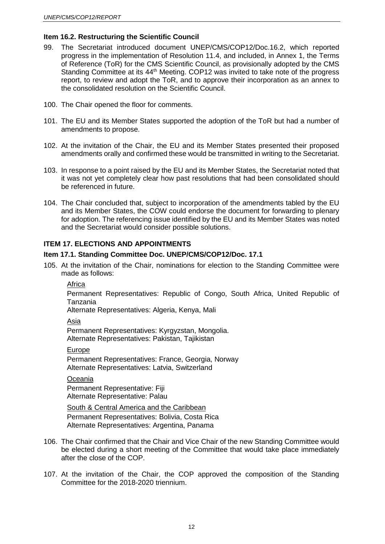### **Item 16.2. Restructuring the Scientific Council**

- 99. The Secretariat introduced document UNEP/CMS/COP12/Doc.16.2, which reported progress in the implementation of Resolution 11.4, and included, in Annex 1, the Terms of Reference (ToR) for the CMS Scientific Council, as provisionally adopted by the CMS Standing Committee at its 44<sup>th</sup> Meeting. COP12 was invited to take note of the progress report, to review and adopt the ToR, and to approve their incorporation as an annex to the consolidated resolution on the Scientific Council.
- 100. The Chair opened the floor for comments.
- 101. The EU and its Member States supported the adoption of the ToR but had a number of amendments to propose.
- 102. At the invitation of the Chair, the EU and its Member States presented their proposed amendments orally and confirmed these would be transmitted in writing to the Secretariat.
- 103. In response to a point raised by the EU and its Member States, the Secretariat noted that it was not yet completely clear how past resolutions that had been consolidated should be referenced in future.
- 104. The Chair concluded that, subject to incorporation of the amendments tabled by the EU and its Member States, the COW could endorse the document for forwarding to plenary for adoption. The referencing issue identified by the EU and its Member States was noted and the Secretariat would consider possible solutions.

### **ITEM 17. ELECTIONS AND APPOINTMENTS**

#### **Item 17.1. Standing Committee Doc. UNEP/CMS/COP12/Doc. 17.1**

105. At the invitation of the Chair, nominations for election to the Standing Committee were made as follows:

#### Africa

Permanent Representatives: Republic of Congo, South Africa, United Republic of Tanzania

Alternate Representatives: Algeria, Kenya, Mali

#### Asia

Permanent Representatives: Kyrgyzstan, Mongolia. Alternate Representatives: Pakistan, Tajikistan

## Europe

Permanent Representatives: France, Georgia, Norway Alternate Representatives: Latvia, Switzerland

#### Oceania

Permanent Representative: Fiji Alternate Representative: Palau

South & Central America and the Caribbean Permanent Representatives: Bolivia, Costa Rica Alternate Representatives: Argentina, Panama

- 106. The Chair confirmed that the Chair and Vice Chair of the new Standing Committee would be elected during a short meeting of the Committee that would take place immediately after the close of the COP.
- 107. At the invitation of the Chair, the COP approved the composition of the Standing Committee for the 2018-2020 triennium.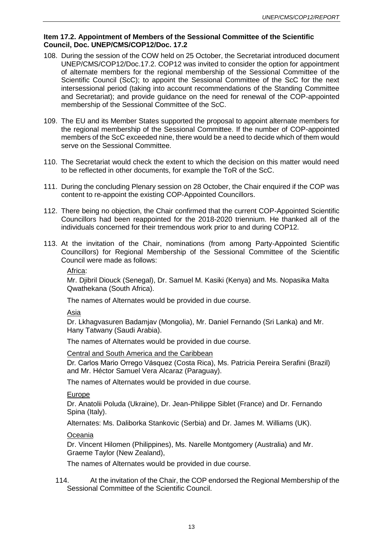### **Item 17.2. Appointment of Members of the Sessional Committee of the Scientific Council, Doc. UNEP/CMS/COP12/Doc. 17.2**

- 108. During the session of the COW held on 25 October, the Secretariat introduced document UNEP/CMS/COP12/Doc.17.2. COP12 was invited to consider the option for appointment of alternate members for the regional membership of the Sessional Committee of the Scientific Council (ScC); to appoint the Sessional Committee of the ScC for the next intersessional period (taking into account recommendations of the Standing Committee and Secretariat); and provide guidance on the need for renewal of the COP-appointed membership of the Sessional Committee of the ScC.
- 109. The EU and its Member States supported the proposal to appoint alternate members for the regional membership of the Sessional Committee. If the number of COP-appointed members of the ScC exceeded nine, there would be a need to decide which of them would serve on the Sessional Committee.
- 110. The Secretariat would check the extent to which the decision on this matter would need to be reflected in other documents, for example the ToR of the ScC.
- 111. During the concluding Plenary session on 28 October, the Chair enquired if the COP was content to re-appoint the existing COP-Appointed Councillors.
- 112. There being no objection, the Chair confirmed that the current COP-Appointed Scientific Councillors had been reappointed for the 2018-2020 triennium. He thanked all of the individuals concerned for their tremendous work prior to and during COP12.
- 113. At the invitation of the Chair, nominations (from among Party-Appointed Scientific Councillors) for Regional Membership of the Sessional Committee of the Scientific Council were made as follows:

Africa:

Mr. Djibril Diouck (Senegal), Dr. Samuel M. Kasiki (Kenya) and Ms. Nopasika Malta Qwathekana (South Africa).

The names of Alternates would be provided in due course.

Asia

Dr. Lkhagvasuren Badamjav (Mongolia), Mr. Daniel Fernando (Sri Lanka) and Mr. Hany Tatwany (Saudi Arabia).

The names of Alternates would be provided in due course.

Central and South America and the Caribbean

Dr. Carlos Mario Orrego Vásquez (Costa Rica), Ms. Patricia Pereira Serafini (Brazil) and Mr. Héctor Samuel Vera Alcaraz (Paraguay).

The names of Alternates would be provided in due course.

#### Europe

Dr. Anatolii Poluda (Ukraine), Dr. Jean-Philippe Siblet (France) and Dr. Fernando Spina (Italy).

Alternates: Ms. Daliborka Stankovic (Serbia) and Dr. James M. Williams (UK).

**Oceania** 

Dr. Vincent Hilomen (Philippines), Ms. Narelle Montgomery (Australia) and Mr. Graeme Taylor (New Zealand),

The names of Alternates would be provided in due course.

114. At the invitation of the Chair, the COP endorsed the Regional Membership of the Sessional Committee of the Scientific Council.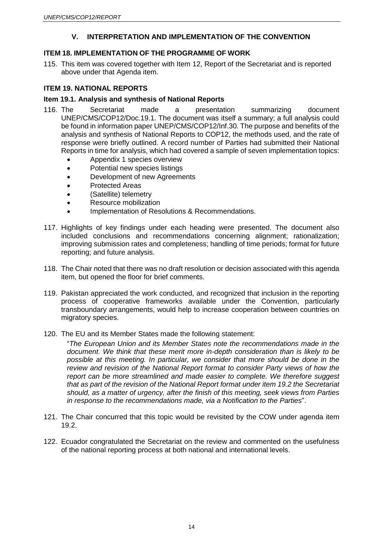# **V. INTERPRETATION AND IMPLEMENTATION OF THE CONVENTION**

# **ITEM 18. IMPLEMENTATION OF THE PROGRAMME OF WORK**

115. This item was covered together with Item 12, Report of the Secretariat and is reported above under that Agenda item.

# **ITEM 19. NATIONAL REPORTS**

### **Item 19.1. Analysis and synthesis of National Reports**

- 116. The Secretariat made a presentation summarizing document UNEP/CMS/COP12/Doc.19.1. The document was itself a summary; a full analysis could be found in information paper UNEP/CMS/COP12/Inf.30. The purpose and benefits of the analysis and synthesis of National Reports to COP12, the methods used, and the rate of response were briefly outlined. A record number of Parties had submitted their National Reports in time for analysis, which had covered a sample of seven implementation topics:
	- Appendix 1 species overview
	- Potential new species listings
	- Development of new Agreements
	- Protected Areas
	- (Satellite) telemetry
	- Resource mobilization
	- Implementation of Resolutions & Recommendations.
- 117. Highlights of key findings under each heading were presented. The document also included conclusions and recommendations concerning alignment; rationalization; improving submission rates and completeness; handling of time periods; format for future reporting; and future analysis.
- 118. The Chair noted that there was no draft resolution or decision associated with this agenda item, but opened the floor for brief comments.
- 119. Pakistan appreciated the work conducted, and recognized that inclusion in the reporting process of cooperative frameworks available under the Convention, particularly transboundary arrangements, would help to increase cooperation between countries on migratory species.
- 120. The EU and its Member States made the following statement:

"*The European Union and its Member States note the recommendations made in the document. We think that these merit more in-depth consideration than is likely to be possible at this meeting. In particular, we consider that more should be done in the review and revision of the National Report format to consider Party views of how the report can be more streamlined and made easier to complete. We therefore suggest that as part of the revision of the National Report format under item 19.2 the Secretariat should, as a matter of urgency, after the finish of this meeting, seek views from Parties in response to the recommendations made, via a Notification to the Parties*".

- 121. The Chair concurred that this topic would be revisited by the COW under agenda item 19.2.
- 122. Ecuador congratulated the Secretariat on the review and commented on the usefulness of the national reporting process at both national and international levels.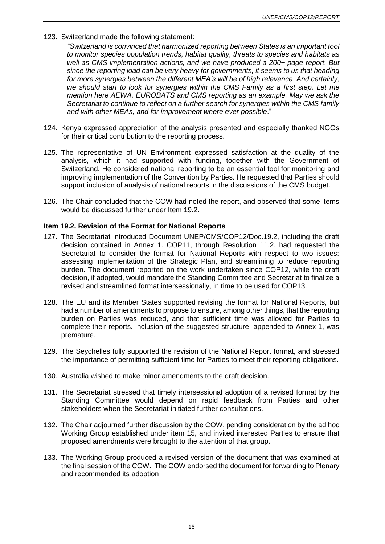123. Switzerland made the following statement:

*"Switzerland is convinced that harmonized reporting between States is an important tool to monitor species population trends, habitat quality, threats to species and habitats as well as CMS implementation actions, and we have produced a 200+ page report. But since the reporting load can be very heavy for governments, it seems to us that heading for more synergies between the different MEA's will be of high relevance. And certainly, we should start to look for synergies within the CMS Family as a first step. Let me mention here AEWA, EUROBATS and CMS reporting as an example. May we ask the Secretariat to continue to reflect on a further search for synergies within the CMS family and with other MEAs, and for improvement where ever possible*."

- 124. Kenya expressed appreciation of the analysis presented and especially thanked NGOs for their critical contribution to the reporting process.
- 125. The representative of UN Environment expressed satisfaction at the quality of the analysis, which it had supported with funding, together with the Government of Switzerland. He considered national reporting to be an essential tool for monitoring and improving implementation of the Convention by Parties. He requested that Parties should support inclusion of analysis of national reports in the discussions of the CMS budget.
- 126. The Chair concluded that the COW had noted the report, and observed that some items would be discussed further under Item 19.2.

### **Item 19.2. Revision of the Format for National Reports**

- 127. The Secretariat introduced Document UNEP/CMS/COP12/Doc.19.2, including the draft decision contained in Annex 1. COP11, through Resolution 11.2, had requested the Secretariat to consider the format for National Reports with respect to two issues: assessing implementation of the Strategic Plan, and streamlining to reduce reporting burden. The document reported on the work undertaken since COP12, while the draft decision, if adopted, would mandate the Standing Committee and Secretariat to finalize a revised and streamlined format intersessionally, in time to be used for COP13.
- 128. The EU and its Member States supported revising the format for National Reports, but had a number of amendments to propose to ensure, among other things, that the reporting burden on Parties was reduced, and that sufficient time was allowed for Parties to complete their reports. Inclusion of the suggested structure, appended to Annex 1, was premature.
- 129. The Seychelles fully supported the revision of the National Report format, and stressed the importance of permitting sufficient time for Parties to meet their reporting obligations.
- 130. Australia wished to make minor amendments to the draft decision.
- 131. The Secretariat stressed that timely intersessional adoption of a revised format by the Standing Committee would depend on rapid feedback from Parties and other stakeholders when the Secretariat initiated further consultations.
- 132. The Chair adjourned further discussion by the COW, pending consideration by the ad hoc Working Group established under item 15, and invited interested Parties to ensure that proposed amendments were brought to the attention of that group.
- 133. The Working Group produced a revised version of the document that was examined at the final session of the COW. The COW endorsed the document for forwarding to Plenary and recommended its adoption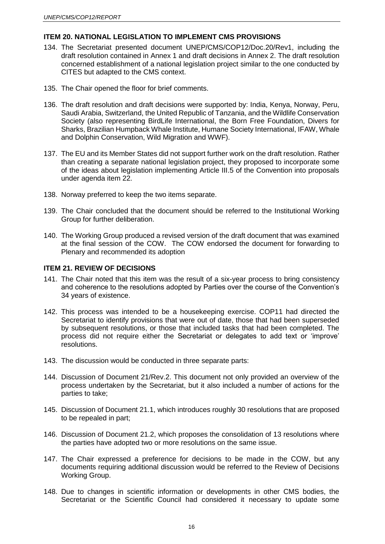## **ITEM 20. NATIONAL LEGISLATION TO IMPLEMENT CMS PROVISIONS**

- 134. The Secretariat presented document UNEP/CMS/COP12/Doc.20/Rev1, including the draft resolution contained in Annex 1 and draft decisions in Annex 2. The draft resolution concerned establishment of a national legislation project similar to the one conducted by CITES but adapted to the CMS context.
- 135. The Chair opened the floor for brief comments.
- 136. The draft resolution and draft decisions were supported by: India, Kenya, Norway, Peru, Saudi Arabia, Switzerland, the United Republic of Tanzania, and the Wildlife Conservation Society (also representing BirdLife International, the Born Free Foundation, Divers for Sharks, Brazilian Humpback Whale Institute, Humane Society International, IFAW, Whale and Dolphin Conservation, Wild Migration and WWF).
- 137. The EU and its Member States did not support further work on the draft resolution. Rather than creating a separate national legislation project, they proposed to incorporate some of the ideas about legislation implementing Article III.5 of the Convention into proposals under agenda item 22.
- 138. Norway preferred to keep the two items separate.
- 139. The Chair concluded that the document should be referred to the Institutional Working Group for further deliberation.
- 140. The Working Group produced a revised version of the draft document that was examined at the final session of the COW. The COW endorsed the document for forwarding to Plenary and recommended its adoption

### **ITEM 21. REVIEW OF DECISIONS**

- 141. The Chair noted that this item was the result of a six-year process to bring consistency and coherence to the resolutions adopted by Parties over the course of the Convention's 34 years of existence.
- 142. This process was intended to be a housekeeping exercise. COP11 had directed the Secretariat to identify provisions that were out of date, those that had been superseded by subsequent resolutions, or those that included tasks that had been completed. The process did not require either the Secretariat or delegates to add text or 'improve' resolutions.
- 143. The discussion would be conducted in three separate parts:
- 144. Discussion of Document 21/Rev.2. This document not only provided an overview of the process undertaken by the Secretariat, but it also included a number of actions for the parties to take;
- 145. Discussion of Document 21.1, which introduces roughly 30 resolutions that are proposed to be repealed in part;
- 146. Discussion of Document 21.2, which proposes the consolidation of 13 resolutions where the parties have adopted two or more resolutions on the same issue.
- 147. The Chair expressed a preference for decisions to be made in the COW, but any documents requiring additional discussion would be referred to the Review of Decisions Working Group.
- 148. Due to changes in scientific information or developments in other CMS bodies, the Secretariat or the Scientific Council had considered it necessary to update some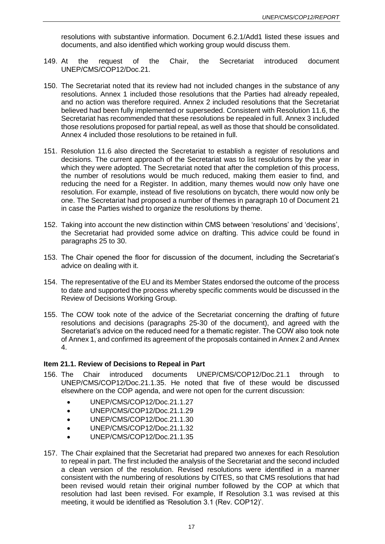resolutions with substantive information. Document 6.2.1/Add1 listed these issues and documents, and also identified which working group would discuss them.

- 149. At the request of the Chair, the Secretariat introduced document UNEP/CMS/COP12/Doc.21.
- 150. The Secretariat noted that its review had not included changes in the substance of any resolutions. Annex 1 included those resolutions that the Parties had already repealed, and no action was therefore required. Annex 2 included resolutions that the Secretariat believed had been fully implemented or superseded. Consistent with Resolution 11.6, the Secretariat has recommended that these resolutions be repealed in full. Annex 3 included those resolutions proposed for partial repeal, as well as those that should be consolidated. Annex 4 included those resolutions to be retained in full.
- 151. Resolution 11.6 also directed the Secretariat to establish a register of resolutions and decisions. The current approach of the Secretariat was to list resolutions by the year in which they were adopted. The Secretariat noted that after the completion of this process, the number of resolutions would be much reduced, making them easier to find, and reducing the need for a Register. In addition, many themes would now only have one resolution. For example, instead of five resolutions on bycatch, there would now only be one. The Secretariat had proposed a number of themes in paragraph 10 of Document 21 in case the Parties wished to organize the resolutions by theme.
- 152. Taking into account the new distinction within CMS between 'resolutions' and 'decisions', the Secretariat had provided some advice on drafting. This advice could be found in paragraphs 25 to 30.
- 153. The Chair opened the floor for discussion of the document, including the Secretariat's advice on dealing with it.
- 154. The representative of the EU and its Member States endorsed the outcome of the process to date and supported the process whereby specific comments would be discussed in the Review of Decisions Working Group.
- 155. The COW took note of the advice of the Secretariat concerning the drafting of future resolutions and decisions (paragraphs 25-30 of the document), and agreed with the Secretariat's advice on the reduced need for a thematic register. The COW also took note of Annex 1, and confirmed its agreement of the proposals contained in Annex 2 and Annex 4.

### **Item 21.1. Review of Decisions to Repeal in Part**

- 156. The Chair introduced documents UNEP/CMS/COP12/Doc.21.1 through to UNEP/CMS/COP12/Doc.21.1.35. He noted that five of these would be discussed elsewhere on the COP agenda, and were not open for the current discussion:
	- UNEP/CMS/COP12/Doc.21.1.27
	- UNEP/CMS/COP12/Doc.21.1.29
	- UNEP/CMS/COP12/Doc.21.1.30
	- UNEP/CMS/COP12/Doc.21.1.32
	- UNEP/CMS/COP12/Doc.21.1.35
- 157. The Chair explained that the Secretariat had prepared two annexes for each Resolution to repeal in part. The first included the analysis of the Secretariat and the second included a clean version of the resolution. Revised resolutions were identified in a manner consistent with the numbering of resolutions by CITES, so that CMS resolutions that had been revised would retain their original number followed by the COP at which that resolution had last been revised. For example, If Resolution 3.1 was revised at this meeting, it would be identified as 'Resolution 3.1 (Rev. COP12)'.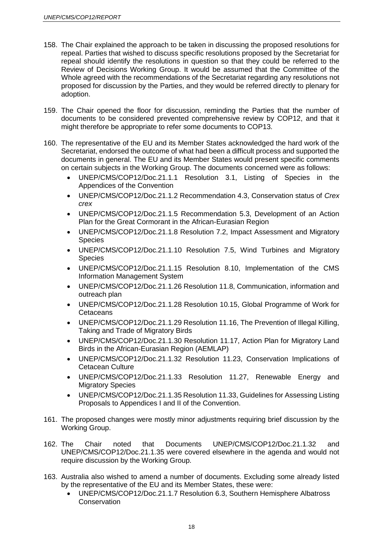- 158. The Chair explained the approach to be taken in discussing the proposed resolutions for repeal. Parties that wished to discuss specific resolutions proposed by the Secretariat for repeal should identify the resolutions in question so that they could be referred to the Review of Decisions Working Group. It would be assumed that the Committee of the Whole agreed with the recommendations of the Secretariat regarding any resolutions not proposed for discussion by the Parties, and they would be referred directly to plenary for adoption.
- 159. The Chair opened the floor for discussion, reminding the Parties that the number of documents to be considered prevented comprehensive review by COP12, and that it might therefore be appropriate to refer some documents to COP13.
- 160. The representative of the EU and its Member States acknowledged the hard work of the Secretariat, endorsed the outcome of what had been a difficult process and supported the documents in general. The EU and its Member States would present specific comments on certain subjects in the Working Group. The documents concerned were as follows:
	- UNEP/CMS/COP12/Doc.21.1.1 Resolution 3.1, Listing of Species in the Appendices of the Convention
	- UNEP/CMS/COP12/Doc.21.1.2 Recommendation 4.3, Conservation status of *Crex crex*
	- UNEP/CMS/COP12/Doc.21.1.5 Recommendation 5.3, Development of an Action Plan for the Great Cormorant in the African-Eurasian Region
	- UNEP/CMS/COP12/Doc.21.1.8 Resolution 7.2, Impact Assessment and Migratory Species
	- UNEP/CMS/COP12/Doc.21.1.10 Resolution 7.5, Wind Turbines and Migratory Species
	- UNEP/CMS/COP12/Doc.21.1.15 Resolution 8.10, Implementation of the CMS Information Management System
	- UNEP/CMS/COP12/Doc.21.1.26 Resolution 11.8, Communication, information and outreach plan
	- UNEP/CMS/COP12/Doc.21.1.28 Resolution 10.15, Global Programme of Work for **Cetaceans**
	- UNEP/CMS/COP12/Doc.21.1.29 Resolution 11.16, The Prevention of Illegal Killing, Taking and Trade of Migratory Birds
	- UNEP/CMS/COP12/Doc.21.1.30 Resolution 11.17, Action Plan for Migratory Land Birds in the African-Eurasian Region (AEMLAP)
	- UNEP/CMS/COP12/Doc.21.1.32 Resolution 11.23, Conservation Implications of Cetacean Culture
	- UNEP/CMS/COP12/Doc.21.1.33 Resolution 11.27, Renewable Energy and Migratory Species
	- UNEP/CMS/COP12/Doc.21.1.35 Resolution 11.33, Guidelines for Assessing Listing Proposals to Appendices I and II of the Convention.
- 161. The proposed changes were mostly minor adjustments requiring brief discussion by the Working Group.
- 162. The Chair noted that Documents UNEP/CMS/COP12/Doc.21.1.32 and UNEP/CMS/COP12/Doc.21.1.35 were covered elsewhere in the agenda and would not require discussion by the Working Group.
- 163. Australia also wished to amend a number of documents. Excluding some already listed by the representative of the EU and its Member States, these were:
	- UNEP/CMS/COP12/Doc.21.1.7 Resolution 6.3, Southern Hemisphere Albatross **Conservation**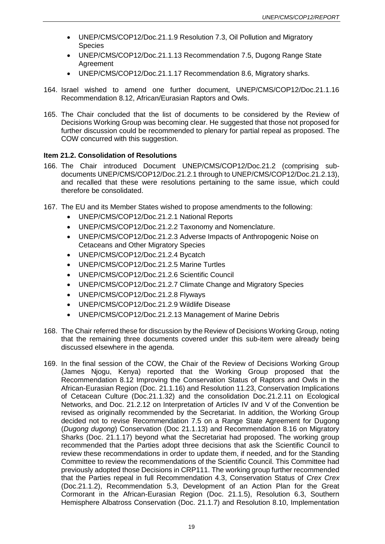- UNEP/CMS/COP12/Doc.21.1.9 Resolution 7.3, Oil Pollution and Migratory Species
- UNEP/CMS/COP12/Doc.21.1.13 Recommendation 7.5, Dugong Range State Agreement
- UNEP/CMS/COP12/Doc.21.1.17 Recommendation 8.6, Migratory sharks.
- 164. Israel wished to amend one further document, UNEP/CMS/COP12/Doc.21.1.16 Recommendation 8.12, African/Eurasian Raptors and Owls.
- 165. The Chair concluded that the list of documents to be considered by the Review of Decisions Working Group was becoming clear. He suggested that those not proposed for further discussion could be recommended to plenary for partial repeal as proposed. The COW concurred with this suggestion.

### **Item 21.2. Consolidation of Resolutions**

- 166. The Chair introduced Document UNEP/CMS/COP12/Doc.21.2 (comprising subdocuments UNEP/CMS/COP12/Doc.21.2.1 through to UNEP/CMS/COP12/Doc.21.2.13), and recalled that these were resolutions pertaining to the same issue, which could therefore be consolidated.
- 167. The EU and its Member States wished to propose amendments to the following:
	- UNEP/CMS/COP12/Doc.21.2.1 National Reports
	- UNEP/CMS/COP12/Doc.21.2.2 Taxonomy and Nomenclature.
	- UNEP/CMS/COP12/Doc.21.2.3 Adverse Impacts of Anthropogenic Noise on Cetaceans and Other Migratory Species
	- UNEP/CMS/COP12/Doc.21.2.4 Bycatch
	- UNEP/CMS/COP12/Doc.21.2.5 Marine Turtles
	- UNEP/CMS/COP12/Doc.21.2.6 Scientific Council
	- UNEP/CMS/COP12/Doc.21.2.7 Climate Change and Migratory Species
	- UNEP/CMS/COP12/Doc.21.2.8 Flyways
	- UNEP/CMS/COP12/Doc.21.2.9 Wildlife Disease
	- UNEP/CMS/COP12/Doc.21.2.13 Management of Marine Debris
- 168. The Chair referred these for discussion by the Review of Decisions Working Group, noting that the remaining three documents covered under this sub-item were already being discussed elsewhere in the agenda.
- 169. In the final session of the COW, the Chair of the Review of Decisions Working Group (James Njogu, Kenya) reported that the Working Group proposed that the Recommendation 8.12 Improving the Conservation Status of Raptors and Owls in the African-Eurasian Region (Doc. 21.1.16) and Resolution 11.23, Conservation Implications of Cetacean Culture (Doc.21.1.32) and the consolidation Doc.21.2.11 on Ecological Networks, and Doc. 21.2.12 on Interpretation of Articles IV and V of the Convention be revised as originally recommended by the Secretariat. In addition, the Working Group decided not to revise Recommendation 7.5 on a Range State Agreement for Dugong (*Dugong dugong*) Conservation (Doc 21.1.13) and Recommendation 8.16 on Migratory Sharks (Doc. 21.1.17) beyond what the Secretariat had proposed. The working group recommended that the Parties adopt three decisions that ask the Scientific Council to review these recommendations in order to update them, if needed, and for the Standing Committee to review the recommendations of the Scientific Council. This Committee had previously adopted those Decisions in CRP111. The working group further recommended that the Parties repeal in full Recommendation 4.3, Conservation Status of *Crex Crex*  (Doc.21.1.2), Recommendation 5.3, Development of an Action Plan for the Great Cormorant in the African-Eurasian Region (Doc. 21.1.5), Resolution 6.3, Southern Hemisphere Albatross Conservation (Doc. 21.1.7) and Resolution 8.10, Implementation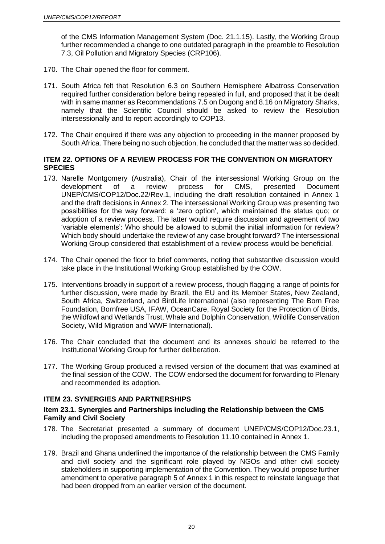of the CMS Information Management System (Doc. 21.1.15). Lastly, the Working Group further recommended a change to one outdated paragraph in the preamble to Resolution 7.3, Oil Pollution and Migratory Species (CRP106).

- 170. The Chair opened the floor for comment.
- 171. South Africa felt that Resolution 6.3 on Southern Hemisphere Albatross Conservation required further consideration before being repealed in full, and proposed that it be dealt with in same manner as Recommendations 7.5 on Dugong and 8.16 on Migratory Sharks, namely that the Scientific Council should be asked to review the Resolution intersessionally and to report accordingly to COP13.
- 172. The Chair enquired if there was any objection to proceeding in the manner proposed by South Africa. There being no such objection, he concluded that the matter was so decided.

## **ITEM 22. OPTIONS OF A REVIEW PROCESS FOR THE CONVENTION ON MIGRATORY SPECIES**

- 173. Narelle Montgomery (Australia), Chair of the intersessional Working Group on the development of a review process for CMS, presented Document UNEP/CMS/COP12/Doc.22/Rev.1, including the draft resolution contained in Annex 1 and the draft decisions in Annex 2. The intersessional Working Group was presenting two possibilities for the way forward: a 'zero option', which maintained the status quo; or adoption of a review process. The latter would require discussion and agreement of two 'variable elements': Who should be allowed to submit the initial information for review? Which body should undertake the review of any case brought forward? The intersessional Working Group considered that establishment of a review process would be beneficial.
- 174. The Chair opened the floor to brief comments, noting that substantive discussion would take place in the Institutional Working Group established by the COW.
- 175. Interventions broadly in support of a review process, though flagging a range of points for further discussion, were made by Brazil, the EU and its Member States, New Zealand, South Africa, Switzerland, and BirdLife International (also representing The Born Free Foundation, Bornfree USA, IFAW, OceanCare, Royal Society for the Protection of Birds, the Wildfowl and Wetlands Trust, Whale and Dolphin Conservation, Wildlife Conservation Society, Wild Migration and WWF International).
- 176. The Chair concluded that the document and its annexes should be referred to the Institutional Working Group for further deliberation.
- 177. The Working Group produced a revised version of the document that was examined at the final session of the COW. The COW endorsed the document for forwarding to Plenary and recommended its adoption.

# **ITEM 23. SYNERGIES AND PARTNERSHIPS**

### **Item 23.1. Synergies and Partnerships including the Relationship between the CMS Family and Civil Society**

- 178. The Secretariat presented a summary of document UNEP/CMS/COP12/Doc.23.1, including the proposed amendments to Resolution 11.10 contained in Annex 1.
- 179. Brazil and Ghana underlined the importance of the relationship between the CMS Family and civil society and the significant role played by NGOs and other civil society stakeholders in supporting implementation of the Convention. They would propose further amendment to operative paragraph 5 of Annex 1 in this respect to reinstate language that had been dropped from an earlier version of the document.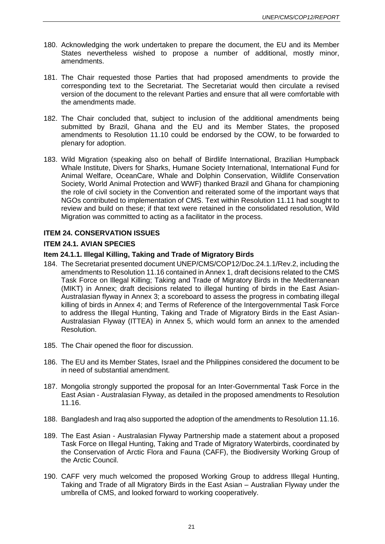- 180. Acknowledging the work undertaken to prepare the document, the EU and its Member States nevertheless wished to propose a number of additional, mostly minor, amendments.
- 181. The Chair requested those Parties that had proposed amendments to provide the corresponding text to the Secretariat. The Secretariat would then circulate a revised version of the document to the relevant Parties and ensure that all were comfortable with the amendments made.
- 182. The Chair concluded that, subject to inclusion of the additional amendments being submitted by Brazil, Ghana and the EU and its Member States, the proposed amendments to Resolution 11.10 could be endorsed by the COW, to be forwarded to plenary for adoption.
- 183. Wild Migration (speaking also on behalf of Birdlife International, Brazilian Humpback Whale Institute, Divers for Sharks, Humane Society International, International Fund for Animal Welfare, OceanCare, Whale and Dolphin Conservation, Wildlife Conservation Society, World Animal Protection and WWF) thanked Brazil and Ghana for championing the role of civil society in the Convention and reiterated some of the important ways that NGOs contributed to implementation of CMS. Text within Resolution 11.11 had sought to review and build on these; if that text were retained in the consolidated resolution, Wild Migration was committed to acting as a facilitator in the process.

## **ITEM 24. CONSERVATION ISSUES**

### **ITEM 24.1. AVIAN SPECIES**

### **Item 24.1.1. Illegal Killing, Taking and Trade of Migratory Birds**

- 184. The Secretariat presented document UNEP/CMS/COP12/Doc.24.1.1/Rev.2, including the amendments to Resolution 11.16 contained in Annex 1, draft decisions related to the CMS Task Force on Illegal Killing; Taking and Trade of Migratory Birds in the Mediterranean (MIKT) in Annex; draft decisions related to illegal hunting of birds in the East Asian-Australasian flyway in Annex 3; a scoreboard to assess the progress in combating illegal killing of birds in Annex 4; and Terms of Reference of the Intergovernmental Task Force to address the Illegal Hunting, Taking and Trade of Migratory Birds in the East Asian-Australasian Flyway (ITTEA) in Annex 5, which would form an annex to the amended Resolution.
- 185. The Chair opened the floor for discussion.
- 186. The EU and its Member States, Israel and the Philippines considered the document to be in need of substantial amendment.
- 187. Mongolia strongly supported the proposal for an Inter-Governmental Task Force in the East Asian - Australasian Flyway, as detailed in the proposed amendments to Resolution 11.16.
- 188. Bangladesh and Iraq also supported the adoption of the amendments to Resolution 11.16.
- 189. The East Asian Australasian Flyway Partnership made a statement about a proposed Task Force on Illegal Hunting, Taking and Trade of Migratory Waterbirds, coordinated by the Conservation of Arctic Flora and Fauna (CAFF), the Biodiversity Working Group of the Arctic Council.
- 190. CAFF very much welcomed the proposed Working Group to address Illegal Hunting, Taking and Trade of all Migratory Birds in the East Asian – Australian Flyway under the umbrella of CMS, and looked forward to working cooperatively.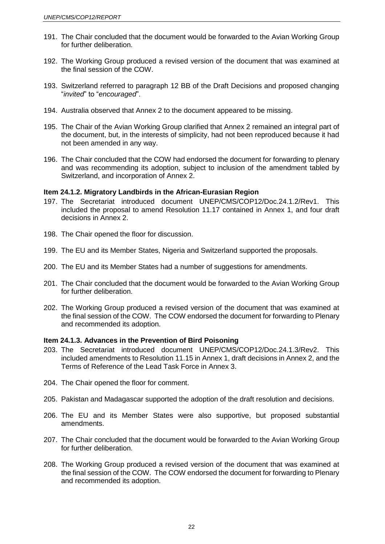- 191. The Chair concluded that the document would be forwarded to the Avian Working Group for further deliberation.
- 192. The Working Group produced a revised version of the document that was examined at the final session of the COW.
- 193. Switzerland referred to paragraph 12 BB of the Draft Decisions and proposed changing "*invited*" to "*encouraged*".
- 194. Australia observed that Annex 2 to the document appeared to be missing.
- 195. The Chair of the Avian Working Group clarified that Annex 2 remained an integral part of the document, but, in the interests of simplicity, had not been reproduced because it had not been amended in any way.
- 196. The Chair concluded that the COW had endorsed the document for forwarding to plenary and was recommending its adoption, subject to inclusion of the amendment tabled by Switzerland, and incorporation of Annex 2.

### **Item 24.1.2. Migratory Landbirds in the African-Eurasian Region**

- 197. The Secretariat introduced document UNEP/CMS/COP12/Doc.24.1.2/Rev1. This included the proposal to amend Resolution 11.17 contained in Annex 1, and four draft decisions in Annex 2.
- 198. The Chair opened the floor for discussion.
- 199. The EU and its Member States, Nigeria and Switzerland supported the proposals.
- 200. The EU and its Member States had a number of suggestions for amendments.
- 201. The Chair concluded that the document would be forwarded to the Avian Working Group for further deliberation.
- 202. The Working Group produced a revised version of the document that was examined at the final session of the COW. The COW endorsed the document for forwarding to Plenary and recommended its adoption.

#### **Item 24.1.3. Advances in the Prevention of Bird Poisoning**

- 203. The Secretariat introduced document UNEP/CMS/COP12/Doc.24.1.3/Rev2. This included amendments to Resolution 11.15 in Annex 1, draft decisions in Annex 2, and the Terms of Reference of the Lead Task Force in Annex 3.
- 204. The Chair opened the floor for comment.
- 205. Pakistan and Madagascar supported the adoption of the draft resolution and decisions.
- 206. The EU and its Member States were also supportive, but proposed substantial amendments.
- 207. The Chair concluded that the document would be forwarded to the Avian Working Group for further deliberation.
- 208. The Working Group produced a revised version of the document that was examined at the final session of the COW. The COW endorsed the document for forwarding to Plenary and recommended its adoption.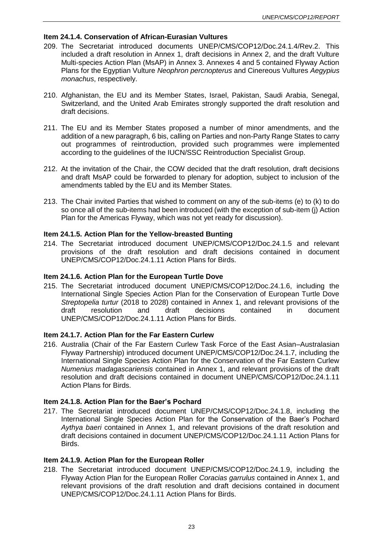## **Item 24.1.4. Conservation of African-Eurasian Vultures**

- 209. The Secretariat introduced documents UNEP/CMS/COP12/Doc.24.1.4/Rev.2. This included a draft resolution in Annex 1, draft decisions in Annex 2, and the draft Vulture Multi-species Action Plan (MsAP) in Annex 3. Annexes 4 and 5 contained Flyway Action Plans for the Egyptian Vulture *Neophron percnopterus* and Cinereous Vultures *Aegypius monachus*, respectively.
- 210. Afghanistan, the EU and its Member States, Israel, Pakistan, Saudi Arabia, Senegal, Switzerland, and the United Arab Emirates strongly supported the draft resolution and draft decisions.
- 211. The EU and its Member States proposed a number of minor amendments, and the addition of a new paragraph, 6 bis, calling on Parties and non-Party Range States to carry out programmes of reintroduction, provided such programmes were implemented according to the guidelines of the IUCN/SSC Reintroduction Specialist Group.
- 212. At the invitation of the Chair, the COW decided that the draft resolution, draft decisions and draft MsAP could be forwarded to plenary for adoption, subject to inclusion of the amendments tabled by the EU and its Member States.
- 213. The Chair invited Parties that wished to comment on any of the sub-items (e) to (k) to do so once all of the sub-items had been introduced (with the exception of sub-item (j) Action Plan for the Americas Flyway, which was not yet ready for discussion).

## **Item 24.1.5. Action Plan for the Yellow-breasted Bunting**

214. The Secretariat introduced document UNEP/CMS/COP12/Doc.24.1.5 and relevant provisions of the draft resolution and draft decisions contained in document UNEP/CMS/COP12/Doc.24.1.11 Action Plans for Birds.

### **Item 24.1.6. Action Plan for the European Turtle Dove**

215. The Secretariat introduced document UNEP/CMS/COP12/Doc.24.1.6, including the International Single Species Action Plan for the Conservation of European Turtle Dove *Streptopelia turtur* (2018 to 2028) contained in Annex 1, and relevant provisions of the draft resolution and draft decisions contained in document UNEP/CMS/COP12/Doc.24.1.11 Action Plans for Birds.

### **Item 24.1.7. Action Plan for the Far Eastern Curlew**

216. Australia (Chair of the Far Eastern Curlew Task Force of the East Asian–Australasian Flyway Partnership) introduced document UNEP/CMS/COP12/Doc.24.1.7, including the International Single Species Action Plan for the Conservation of the Far Eastern Curlew *Numenius madagascariensis* contained in Annex 1, and relevant provisions of the draft resolution and draft decisions contained in document UNEP/CMS/COP12/Doc.24.1.11 Action Plans for Birds.

### **Item 24.1.8. Action Plan for the Baer's Pochard**

217. The Secretariat introduced document UNEP/CMS/COP12/Doc.24.1.8, including the International Single Species Action Plan for the Conservation of the Baer's Pochard *Aythya baeri* contained in Annex 1, and relevant provisions of the draft resolution and draft decisions contained in document UNEP/CMS/COP12/Doc.24.1.11 Action Plans for Birds.

### **Item 24.1.9. Action Plan for the European Roller**

218. The Secretariat introduced document UNEP/CMS/COP12/Doc.24.1.9, including the Flyway Action Plan for the European Roller *Coracias garrulus* contained in Annex 1, and relevant provisions of the draft resolution and draft decisions contained in document UNEP/CMS/COP12/Doc.24.1.11 Action Plans for Birds.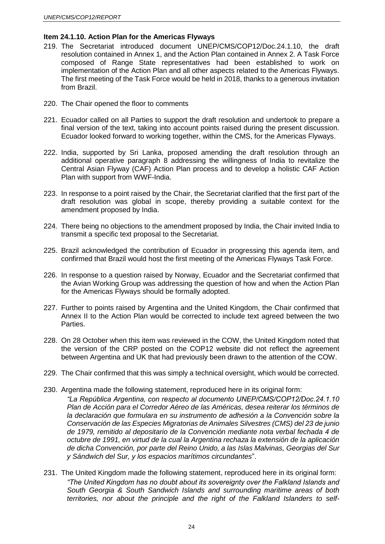## **Item 24.1.10. Action Plan for the Americas Flyways**

- 219. The Secretariat introduced document UNEP/CMS/COP12/Doc.24.1.10, the draft resolution contained in Annex 1, and the Action Plan contained in Annex 2. A Task Force composed of Range State representatives had been established to work on implementation of the Action Plan and all other aspects related to the Americas Flyways. The first meeting of the Task Force would be held in 2018, thanks to a generous invitation from Brazil.
- 220. The Chair opened the floor to comments
- 221. Ecuador called on all Parties to support the draft resolution and undertook to prepare a final version of the text, taking into account points raised during the present discussion. Ecuador looked forward to working together, within the CMS, for the Americas Flyways.
- 222. India, supported by Sri Lanka, proposed amending the draft resolution through an additional operative paragraph 8 addressing the willingness of India to revitalize the Central Asian Flyway (CAF) Action Plan process and to develop a holistic CAF Action Plan with support from WWF-India.
- 223. In response to a point raised by the Chair, the Secretariat clarified that the first part of the draft resolution was global in scope, thereby providing a suitable context for the amendment proposed by India.
- 224. There being no objections to the amendment proposed by India, the Chair invited India to transmit a specific text proposal to the Secretariat.
- 225. Brazil acknowledged the contribution of Ecuador in progressing this agenda item, and confirmed that Brazil would host the first meeting of the Americas Flyways Task Force.
- 226. In response to a question raised by Norway, Ecuador and the Secretariat confirmed that the Avian Working Group was addressing the question of how and when the Action Plan for the Americas Flyways should be formally adopted.
- 227. Further to points raised by Argentina and the United Kingdom, the Chair confirmed that Annex II to the Action Plan would be corrected to include text agreed between the two Parties.
- 228. On 28 October when this item was reviewed in the COW, the United Kingdom noted that the version of the CRP posted on the COP12 website did not reflect the agreement between Argentina and UK that had previously been drawn to the attention of the COW.
- 229. The Chair confirmed that this was simply a technical oversight, which would be corrected.
- 230. Argentina made the following statement, reproduced here in its original form:
	- *"La República Argentina, con respecto al documento UNEP/CMS/COP12/Doc.24.1.10 Plan de Acción para el Corredor Aéreo de las Américas, desea reiterar los términos de la declaración que formulara en su instrumento de adhesión a la Convención sobre la Conservación de las Especies Migratorias de Animales Silvestres (CMS) del 23 de junio de 1979, remitido al depositario de la Convención mediante nota verbal fechada 4 de octubre de 1991, en virtud de la cual la Argentina rechaza la extensión de la aplicación de dicha Convención, por parte del Reino Unido, a las Islas Malvinas, Georgias del Sur y Sándwich del Sur, y los espacios marítimos circundantes*".
- 231. The United Kingdom made the following statement, reproduced here in its original form: *"The United Kingdom has no doubt about its sovereignty over the Falkland Islands and South Georgia & South Sandwich Islands and surrounding maritime areas of both territories, nor about the principle and the right of the Falkland Islanders to self-*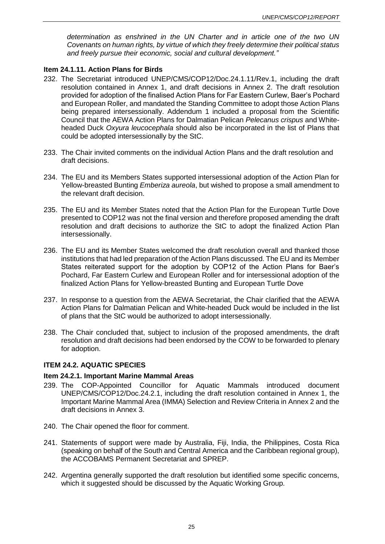*determination as enshrined in the UN Charter and in article one of the two UN Covenants on human rights, by virtue of which they freely determine their political status and freely pursue their economic, social and cultural development."*

### **Item 24.1.11. Action Plans for Birds**

- 232. The Secretariat introduced UNEP/CMS/COP12/Doc.24.1.11/Rev.1, including the draft resolution contained in Annex 1, and draft decisions in Annex 2. The draft resolution provided for adoption of the finalised Action Plans for Far Eastern Curlew, Baer's Pochard and European Roller, and mandated the Standing Committee to adopt those Action Plans being prepared intersessionally. Addendum 1 included a proposal from the Scientific Council that the AEWA Action Plans for Dalmatian Pelican *Pelecanus crispus* and Whiteheaded Duck *Oxyura leucocephala* should also be incorporated in the list of Plans that could be adopted intersessionally by the StC.
- 233. The Chair invited comments on the individual Action Plans and the draft resolution and draft decisions.
- 234. The EU and its Members States supported intersessional adoption of the Action Plan for Yellow-breasted Bunting *Emberiza aureola*, but wished to propose a small amendment to the relevant draft decision.
- 235. The EU and its Member States noted that the Action Plan for the European Turtle Dove presented to COP12 was not the final version and therefore proposed amending the draft resolution and draft decisions to authorize the StC to adopt the finalized Action Plan intersessionally.
- 236. The EU and its Member States welcomed the draft resolution overall and thanked those institutions that had led preparation of the Action Plans discussed. The EU and its Member States reiterated support for the adoption by COP12 of the Action Plans for Baer's Pochard, Far Eastern Curlew and European Roller and for intersessional adoption of the finalized Action Plans for Yellow-breasted Bunting and European Turtle Dove
- 237. In response to a question from the AEWA Secretariat, the Chair clarified that the AEWA Action Plans for Dalmatian Pelican and White-headed Duck would be included in the list of plans that the StC would be authorized to adopt intersessionally.
- 238. The Chair concluded that, subject to inclusion of the proposed amendments, the draft resolution and draft decisions had been endorsed by the COW to be forwarded to plenary for adoption.

### **ITEM 24.2. AQUATIC SPECIES**

#### **Item 24.2.1. Important Marine Mammal Areas**

- 239. The COP-Appointed Councillor for Aquatic Mammals introduced document UNEP/CMS/COP12/Doc.24.2.1, including the draft resolution contained in Annex 1, the Important Marine Mammal Area (IMMA) Selection and Review Criteria in Annex 2 and the draft decisions in Annex 3.
- 240. The Chair opened the floor for comment.
- 241. Statements of support were made by Australia, Fiji, India, the Philippines, Costa Rica (speaking on behalf of the South and Central America and the Caribbean regional group), the ACCOBAMS Permanent Secretariat and SPREP.
- 242. Argentina generally supported the draft resolution but identified some specific concerns, which it suggested should be discussed by the Aquatic Working Group.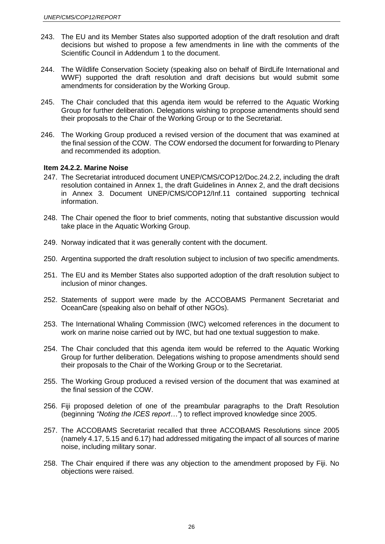- 243. The EU and its Member States also supported adoption of the draft resolution and draft decisions but wished to propose a few amendments in line with the comments of the Scientific Council in Addendum 1 to the document.
- 244. The Wildlife Conservation Society (speaking also on behalf of BirdLife International and WWF) supported the draft resolution and draft decisions but would submit some amendments for consideration by the Working Group.
- 245. The Chair concluded that this agenda item would be referred to the Aquatic Working Group for further deliberation. Delegations wishing to propose amendments should send their proposals to the Chair of the Working Group or to the Secretariat.
- 246. The Working Group produced a revised version of the document that was examined at the final session of the COW. The COW endorsed the document for forwarding to Plenary and recommended its adoption.

### **Item 24.2.2. Marine Noise**

- 247. The Secretariat introduced document UNEP/CMS/COP12/Doc.24.2.2, including the draft resolution contained in Annex 1, the draft Guidelines in Annex 2, and the draft decisions in Annex 3. Document UNEP/CMS/COP12/Inf.11 contained supporting technical information.
- 248. The Chair opened the floor to brief comments, noting that substantive discussion would take place in the Aquatic Working Group.
- 249. Norway indicated that it was generally content with the document.
- 250. Argentina supported the draft resolution subject to inclusion of two specific amendments.
- 251. The EU and its Member States also supported adoption of the draft resolution subject to inclusion of minor changes.
- 252. Statements of support were made by the ACCOBAMS Permanent Secretariat and OceanCare (speaking also on behalf of other NGOs).
- 253. The International Whaling Commission (IWC) welcomed references in the document to work on marine noise carried out by IWC, but had one textual suggestion to make.
- 254. The Chair concluded that this agenda item would be referred to the Aquatic Working Group for further deliberation. Delegations wishing to propose amendments should send their proposals to the Chair of the Working Group or to the Secretariat.
- 255. The Working Group produced a revised version of the document that was examined at the final session of the COW.
- 256. Fiji proposed deletion of one of the preambular paragraphs to the Draft Resolution (beginning *"Noting the ICES report…"*) to reflect improved knowledge since 2005.
- 257. The ACCOBAMS Secretariat recalled that three ACCOBAMS Resolutions since 2005 (namely 4.17, 5.15 and 6.17) had addressed mitigating the impact of all sources of marine noise, including military sonar.
- 258. The Chair enquired if there was any objection to the amendment proposed by Fiji. No objections were raised.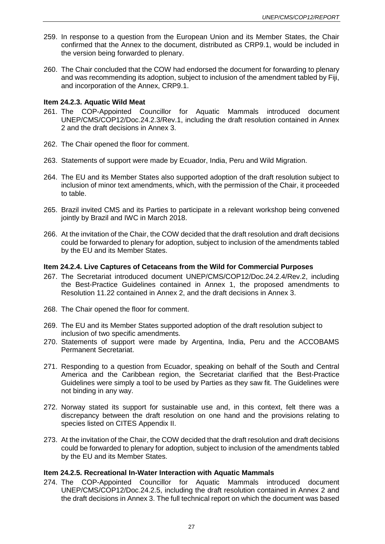- 259. In response to a question from the European Union and its Member States, the Chair confirmed that the Annex to the document, distributed as CRP9.1, would be included in the version being forwarded to plenary.
- 260. The Chair concluded that the COW had endorsed the document for forwarding to plenary and was recommending its adoption, subject to inclusion of the amendment tabled by Fiji, and incorporation of the Annex, CRP9.1.

### **Item 24.2.3. Aquatic Wild Meat**

- 261. The COP-Appointed Councillor for Aquatic Mammals introduced document UNEP/CMS/COP12/Doc.24.2.3/Rev.1, including the draft resolution contained in Annex 2 and the draft decisions in Annex 3.
- 262. The Chair opened the floor for comment.
- 263. Statements of support were made by Ecuador, India, Peru and Wild Migration.
- 264. The EU and its Member States also supported adoption of the draft resolution subject to inclusion of minor text amendments, which, with the permission of the Chair, it proceeded to table.
- 265. Brazil invited CMS and its Parties to participate in a relevant workshop being convened jointly by Brazil and IWC in March 2018.
- 266. At the invitation of the Chair, the COW decided that the draft resolution and draft decisions could be forwarded to plenary for adoption, subject to inclusion of the amendments tabled by the EU and its Member States.

### **Item 24.2.4. Live Captures of Cetaceans from the Wild for Commercial Purposes**

- 267. The Secretariat introduced document UNEP/CMS/COP12/Doc.24.2.4/Rev.2, including the Best-Practice Guidelines contained in Annex 1, the proposed amendments to Resolution 11.22 contained in Annex 2, and the draft decisions in Annex 3.
- 268. The Chair opened the floor for comment.
- 269. The EU and its Member States supported adoption of the draft resolution subject to inclusion of two specific amendments.
- 270. Statements of support were made by Argentina, India, Peru and the ACCOBAMS Permanent Secretariat.
- 271. Responding to a question from Ecuador, speaking on behalf of the South and Central America and the Caribbean region, the Secretariat clarified that the Best-Practice Guidelines were simply a tool to be used by Parties as they saw fit. The Guidelines were not binding in any way.
- 272. Norway stated its support for sustainable use and, in this context, felt there was a discrepancy between the draft resolution on one hand and the provisions relating to species listed on CITES Appendix II.
- 273. At the invitation of the Chair, the COW decided that the draft resolution and draft decisions could be forwarded to plenary for adoption, subject to inclusion of the amendments tabled by the EU and its Member States.

#### **Item 24.2.5. Recreational In-Water Interaction with Aquatic Mammals**

274. The COP-Appointed Councillor for Aquatic Mammals introduced document UNEP/CMS/COP12/Doc.24.2.5, including the draft resolution contained in Annex 2 and the draft decisions in Annex 3. The full technical report on which the document was based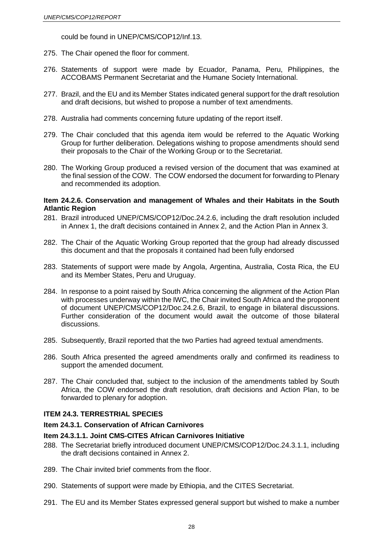could be found in UNEP/CMS/COP12/Inf.13.

- 275. The Chair opened the floor for comment.
- 276. Statements of support were made by Ecuador, Panama, Peru, Philippines, the ACCOBAMS Permanent Secretariat and the Humane Society International.
- 277. Brazil, and the EU and its Member States indicated general support for the draft resolution and draft decisions, but wished to propose a number of text amendments.
- 278. Australia had comments concerning future updating of the report itself.
- 279. The Chair concluded that this agenda item would be referred to the Aquatic Working Group for further deliberation. Delegations wishing to propose amendments should send their proposals to the Chair of the Working Group or to the Secretariat.
- 280. The Working Group produced a revised version of the document that was examined at the final session of the COW. The COW endorsed the document for forwarding to Plenary and recommended its adoption.

### **Item 24.2.6. Conservation and management of Whales and their Habitats in the South Atlantic Region**

- 281. Brazil introduced UNEP/CMS/COP12/Doc.24.2.6, including the draft resolution included in Annex 1, the draft decisions contained in Annex 2, and the Action Plan in Annex 3.
- 282. The Chair of the Aquatic Working Group reported that the group had already discussed this document and that the proposals it contained had been fully endorsed
- 283. Statements of support were made by Angola, Argentina, Australia, Costa Rica, the EU and its Member States, Peru and Uruguay.
- 284. In response to a point raised by South Africa concerning the alignment of the Action Plan with processes underway within the IWC, the Chair invited South Africa and the proponent of document UNEP/CMS/COP12/Doc.24.2.6, Brazil, to engage in bilateral discussions. Further consideration of the document would await the outcome of those bilateral discussions.
- 285. Subsequently, Brazil reported that the two Parties had agreed textual amendments.
- 286. South Africa presented the agreed amendments orally and confirmed its readiness to support the amended document.
- 287. The Chair concluded that, subject to the inclusion of the amendments tabled by South Africa, the COW endorsed the draft resolution, draft decisions and Action Plan, to be forwarded to plenary for adoption.

### **ITEM 24.3. TERRESTRIAL SPECIES**

#### **Item 24.3.1. Conservation of African Carnivores**

#### **Item 24.3.1.1. Joint CMS-CITES African Carnivores Initiative**

- 288. The Secretariat briefly introduced document UNEP/CMS/COP12/Doc.24.3.1.1, including the draft decisions contained in Annex 2.
- 289. The Chair invited brief comments from the floor.
- 290. Statements of support were made by Ethiopia, and the CITES Secretariat.
- 291. The EU and its Member States expressed general support but wished to make a number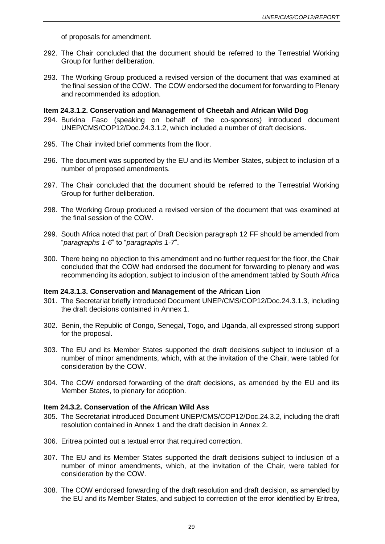of proposals for amendment.

- 292. The Chair concluded that the document should be referred to the Terrestrial Working Group for further deliberation.
- 293. The Working Group produced a revised version of the document that was examined at the final session of the COW. The COW endorsed the document for forwarding to Plenary and recommended its adoption.

### **Item 24.3.1.2. Conservation and Management of Cheetah and African Wild Dog**

- 294. Burkina Faso (speaking on behalf of the co-sponsors) introduced document UNEP/CMS/COP12/Doc.24.3.1.2, which included a number of draft decisions.
- 295. The Chair invited brief comments from the floor.
- 296. The document was supported by the EU and its Member States, subject to inclusion of a number of proposed amendments.
- 297. The Chair concluded that the document should be referred to the Terrestrial Working Group for further deliberation.
- 298. The Working Group produced a revised version of the document that was examined at the final session of the COW.
- 299. South Africa noted that part of Draft Decision paragraph 12 FF should be amended from "*paragraphs 1-6*" to "*paragraphs 1-7*".
- 300. There being no objection to this amendment and no further request for the floor, the Chair concluded that the COW had endorsed the document for forwarding to plenary and was recommending its adoption, subject to inclusion of the amendment tabled by South Africa

#### **Item 24.3.1.3. Conservation and Management of the African Lion**

- 301. The Secretariat briefly introduced Document UNEP/CMS/COP12/Doc.24.3.1.3, including the draft decisions contained in Annex 1.
- 302. Benin, the Republic of Congo, Senegal, Togo, and Uganda, all expressed strong support for the proposal.
- 303. The EU and its Member States supported the draft decisions subject to inclusion of a number of minor amendments, which, with at the invitation of the Chair, were tabled for consideration by the COW.
- 304. The COW endorsed forwarding of the draft decisions, as amended by the EU and its Member States, to plenary for adoption.

#### **Item 24.3.2. Conservation of the African Wild Ass**

- 305. The Secretariat introduced Document UNEP/CMS/COP12/Doc.24.3.2, including the draft resolution contained in Annex 1 and the draft decision in Annex 2.
- 306. Eritrea pointed out a textual error that required correction.
- 307. The EU and its Member States supported the draft decisions subject to inclusion of a number of minor amendments, which, at the invitation of the Chair, were tabled for consideration by the COW.
- 308. The COW endorsed forwarding of the draft resolution and draft decision, as amended by the EU and its Member States, and subject to correction of the error identified by Eritrea,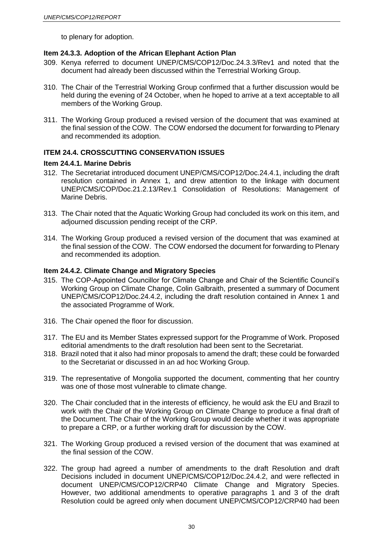to plenary for adoption.

# **Item 24.3.3. Adoption of the African Elephant Action Plan**

- 309. Kenya referred to document UNEP/CMS/COP12/Doc.24.3.3/Rev1 and noted that the document had already been discussed within the Terrestrial Working Group.
- 310. The Chair of the Terrestrial Working Group confirmed that a further discussion would be held during the evening of 24 October, when he hoped to arrive at a text acceptable to all members of the Working Group.
- 311. The Working Group produced a revised version of the document that was examined at the final session of the COW. The COW endorsed the document for forwarding to Plenary and recommended its adoption.

# **ITEM 24.4. CROSSCUTTING CONSERVATION ISSUES**

### **Item 24.4.1. Marine Debris**

- 312. The Secretariat introduced document UNEP/CMS/COP12/Doc.24.4.1, including the draft resolution contained in Annex 1, and drew attention to the linkage with document UNEP/CMS/COP/Doc.21.2.13/Rev.1 Consolidation of Resolutions: Management of Marine Debris.
- 313. The Chair noted that the Aquatic Working Group had concluded its work on this item, and adjourned discussion pending receipt of the CRP.
- 314. The Working Group produced a revised version of the document that was examined at the final session of the COW. The COW endorsed the document for forwarding to Plenary and recommended its adoption.

## **Item 24.4.2. Climate Change and Migratory Species**

- 315. The COP-Appointed Councillor for Climate Change and Chair of the Scientific Council's Working Group on Climate Change, Colin Galbraith, presented a summary of Document UNEP/CMS/COP12/Doc.24.4.2, including the draft resolution contained in Annex 1 and the associated Programme of Work.
- 316. The Chair opened the floor for discussion.
- 317. The EU and its Member States expressed support for the Programme of Work. Proposed editorial amendments to the draft resolution had been sent to the Secretariat.
- 318. Brazil noted that it also had minor proposals to amend the draft; these could be forwarded to the Secretariat or discussed in an ad hoc Working Group.
- 319. The representative of Mongolia supported the document, commenting that her country was one of those most vulnerable to climate change.
- 320. The Chair concluded that in the interests of efficiency, he would ask the EU and Brazil to work with the Chair of the Working Group on Climate Change to produce a final draft of the Document. The Chair of the Working Group would decide whether it was appropriate to prepare a CRP, or a further working draft for discussion by the COW.
- 321. The Working Group produced a revised version of the document that was examined at the final session of the COW.
- 322. The group had agreed a number of amendments to the draft Resolution and draft Decisions included in document UNEP/CMS/COP12/Doc.24.4.2, and were reflected in document UNEP/CMS/COP12/CRP40 Climate Change and Migratory Species. However, two additional amendments to operative paragraphs 1 and 3 of the draft Resolution could be agreed only when document UNEP/CMS/COP12/CRP40 had been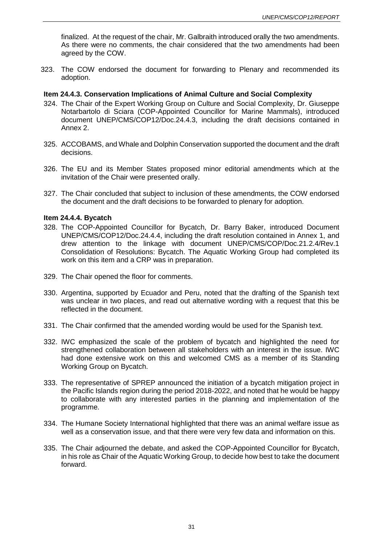finalized. At the request of the chair, Mr. Galbraith introduced orally the two amendments. As there were no comments, the chair considered that the two amendments had been agreed by the COW.

323. The COW endorsed the document for forwarding to Plenary and recommended its adoption.

### **Item 24.4.3. Conservation Implications of Animal Culture and Social Complexity**

- 324. The Chair of the Expert Working Group on Culture and Social Complexity, Dr. Giuseppe Notarbartolo di Sciara (COP-Appointed Councillor for Marine Mammals), introduced document UNEP/CMS/COP12/Doc.24.4.3, including the draft decisions contained in Annex 2.
- 325. ACCOBAMS, and Whale and Dolphin Conservation supported the document and the draft decisions.
- 326. The EU and its Member States proposed minor editorial amendments which at the invitation of the Chair were presented orally.
- 327. The Chair concluded that subject to inclusion of these amendments, the COW endorsed the document and the draft decisions to be forwarded to plenary for adoption.

#### **Item 24.4.4. Bycatch**

- 328. The COP-Appointed Councillor for Bycatch, Dr. Barry Baker, introduced Document UNEP/CMS/COP12/Doc.24.4.4, including the draft resolution contained in Annex 1, and drew attention to the linkage with document UNEP/CMS/COP/Doc.21.2.4/Rev.1 Consolidation of Resolutions: Bycatch. The Aquatic Working Group had completed its work on this item and a CRP was in preparation.
- 329. The Chair opened the floor for comments.
- 330. Argentina, supported by Ecuador and Peru, noted that the drafting of the Spanish text was unclear in two places, and read out alternative wording with a request that this be reflected in the document.
- 331. The Chair confirmed that the amended wording would be used for the Spanish text.
- 332. IWC emphasized the scale of the problem of bycatch and highlighted the need for strengthened collaboration between all stakeholders with an interest in the issue. IWC had done extensive work on this and welcomed CMS as a member of its Standing Working Group on Bycatch.
- 333. The representative of SPREP announced the initiation of a bycatch mitigation project in the Pacific Islands region during the period 2018-2022, and noted that he would be happy to collaborate with any interested parties in the planning and implementation of the programme.
- 334. The Humane Society International highlighted that there was an animal welfare issue as well as a conservation issue, and that there were very few data and information on this.
- 335. The Chair adjourned the debate, and asked the COP-Appointed Councillor for Bycatch, in his role as Chair of the Aquatic Working Group, to decide how best to take the document forward.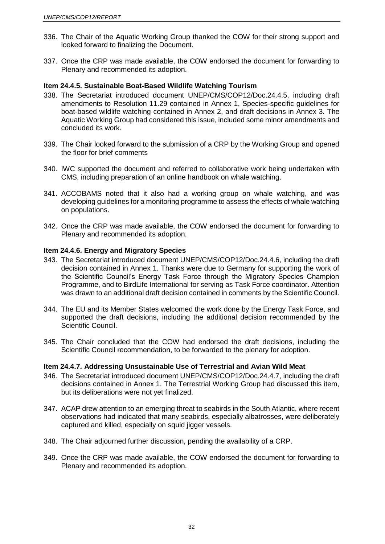- 336. The Chair of the Aquatic Working Group thanked the COW for their strong support and looked forward to finalizing the Document.
- 337. Once the CRP was made available, the COW endorsed the document for forwarding to Plenary and recommended its adoption.

### **Item 24.4.5. Sustainable Boat-Based Wildlife Watching Tourism**

- 338. The Secretariat introduced document UNEP/CMS/COP12/Doc.24.4.5, including draft amendments to Resolution 11.29 contained in Annex 1, Species-specific guidelines for boat-based wildlife watching contained in Annex 2, and draft decisions in Annex 3. The Aquatic Working Group had considered this issue, included some minor amendments and concluded its work.
- 339. The Chair looked forward to the submission of a CRP by the Working Group and opened the floor for brief comments
- 340. IWC supported the document and referred to collaborative work being undertaken with CMS, including preparation of an online handbook on whale watching.
- 341. ACCOBAMS noted that it also had a working group on whale watching, and was developing guidelines for a monitoring programme to assess the effects of whale watching on populations.
- 342. Once the CRP was made available, the COW endorsed the document for forwarding to Plenary and recommended its adoption.

#### **Item 24.4.6. Energy and Migratory Species**

- 343. The Secretariat introduced document UNEP/CMS/COP12/Doc.24.4.6, including the draft decision contained in Annex 1. Thanks were due to Germany for supporting the work of the Scientific Council's Energy Task Force through the Migratory Species Champion Programme, and to BirdLife International for serving as Task Force coordinator. Attention was drawn to an additional draft decision contained in comments by the Scientific Council.
- 344. The EU and its Member States welcomed the work done by the Energy Task Force, and supported the draft decisions, including the additional decision recommended by the Scientific Council.
- 345. The Chair concluded that the COW had endorsed the draft decisions, including the Scientific Council recommendation, to be forwarded to the plenary for adoption.

### **Item 24.4.7. Addressing Unsustainable Use of Terrestrial and Avian Wild Meat**

- 346. The Secretariat introduced document UNEP/CMS/COP12/Doc.24.4.7, including the draft decisions contained in Annex 1. The Terrestrial Working Group had discussed this item, but its deliberations were not yet finalized.
- 347. ACAP drew attention to an emerging threat to seabirds in the South Atlantic, where recent observations had indicated that many seabirds, especially albatrosses, were deliberately captured and killed, especially on squid jigger vessels.
- 348. The Chair adjourned further discussion, pending the availability of a CRP.
- 349. Once the CRP was made available, the COW endorsed the document for forwarding to Plenary and recommended its adoption.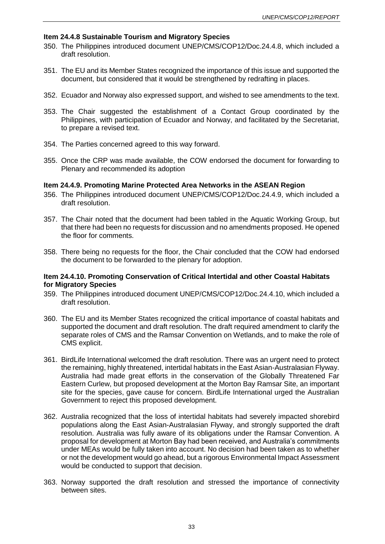### **Item 24.4.8 Sustainable Tourism and Migratory Species**

- 350. The Philippines introduced document UNEP/CMS/COP12/Doc.24.4.8, which included a draft resolution.
- 351. The EU and its Member States recognized the importance of this issue and supported the document, but considered that it would be strengthened by redrafting in places.
- 352. Ecuador and Norway also expressed support, and wished to see amendments to the text.
- 353. The Chair suggested the establishment of a Contact Group coordinated by the Philippines, with participation of Ecuador and Norway, and facilitated by the Secretariat, to prepare a revised text.
- 354. The Parties concerned agreed to this way forward.
- 355. Once the CRP was made available, the COW endorsed the document for forwarding to Plenary and recommended its adoption

### **Item 24.4.9. Promoting Marine Protected Area Networks in the ASEAN Region**

- 356. The Philippines introduced document UNEP/CMS/COP12/Doc.24.4.9, which included a draft resolution.
- 357. The Chair noted that the document had been tabled in the Aquatic Working Group, but that there had been no requests for discussion and no amendments proposed. He opened the floor for comments.
- 358. There being no requests for the floor, the Chair concluded that the COW had endorsed the document to be forwarded to the plenary for adoption.

### **Item 24.4.10. Promoting Conservation of Critical Intertidal and other Coastal Habitats for Migratory Species**

- 359. The Philippines introduced document UNEP/CMS/COP12/Doc.24.4.10, which included a draft resolution.
- 360. The EU and its Member States recognized the critical importance of coastal habitats and supported the document and draft resolution. The draft required amendment to clarify the separate roles of CMS and the Ramsar Convention on Wetlands, and to make the role of CMS explicit.
- 361. BirdLife International welcomed the draft resolution. There was an urgent need to protect the remaining, highly threatened, intertidal habitats in the East Asian-Australasian Flyway. Australia had made great efforts in the conservation of the Globally Threatened Far Eastern Curlew, but proposed development at the Morton Bay Ramsar Site, an important site for the species, gave cause for concern. BirdLife International urged the Australian Government to reject this proposed development.
- 362. Australia recognized that the loss of intertidal habitats had severely impacted shorebird populations along the East Asian-Australasian Flyway, and strongly supported the draft resolution. Australia was fully aware of its obligations under the Ramsar Convention. A proposal for development at Morton Bay had been received, and Australia's commitments under MEAs would be fully taken into account. No decision had been taken as to whether or not the development would go ahead, but a rigorous Environmental Impact Assessment would be conducted to support that decision.
- 363. Norway supported the draft resolution and stressed the importance of connectivity between sites.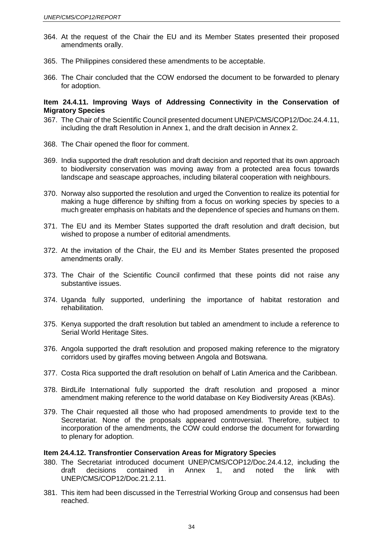- 364. At the request of the Chair the EU and its Member States presented their proposed amendments orally.
- 365. The Philippines considered these amendments to be acceptable.
- 366. The Chair concluded that the COW endorsed the document to be forwarded to plenary for adoption.

### **Item 24.4.11. Improving Ways of Addressing Connectivity in the Conservation of Migratory Species**

- 367. The Chair of the Scientific Council presented document UNEP/CMS/COP12/Doc.24.4.11, including the draft Resolution in Annex 1, and the draft decision in Annex 2.
- 368. The Chair opened the floor for comment.
- 369. India supported the draft resolution and draft decision and reported that its own approach to biodiversity conservation was moving away from a protected area focus towards landscape and seascape approaches, including bilateral cooperation with neighbours.
- 370. Norway also supported the resolution and urged the Convention to realize its potential for making a huge difference by shifting from a focus on working species by species to a much greater emphasis on habitats and the dependence of species and humans on them.
- 371. The EU and its Member States supported the draft resolution and draft decision, but wished to propose a number of editorial amendments.
- 372. At the invitation of the Chair, the EU and its Member States presented the proposed amendments orally.
- 373. The Chair of the Scientific Council confirmed that these points did not raise any substantive issues.
- 374. Uganda fully supported, underlining the importance of habitat restoration and rehabilitation.
- 375. Kenya supported the draft resolution but tabled an amendment to include a reference to Serial World Heritage Sites.
- 376. Angola supported the draft resolution and proposed making reference to the migratory corridors used by giraffes moving between Angola and Botswana.
- 377. Costa Rica supported the draft resolution on behalf of Latin America and the Caribbean.
- 378. BirdLife International fully supported the draft resolution and proposed a minor amendment making reference to the world database on Key Biodiversity Areas (KBAs).
- 379. The Chair requested all those who had proposed amendments to provide text to the Secretariat. None of the proposals appeared controversial. Therefore, subject to incorporation of the amendments, the COW could endorse the document for forwarding to plenary for adoption.

#### **Item 24.4.12. Transfrontier Conservation Areas for Migratory Species**

- 380. The Secretariat introduced document UNEP/CMS/COP12/Doc.24.4.12, including the draft decisions contained in Annex 1, and noted the link with UNEP/CMS/COP12/Doc.21.2.11.
- 381. This item had been discussed in the Terrestrial Working Group and consensus had been reached.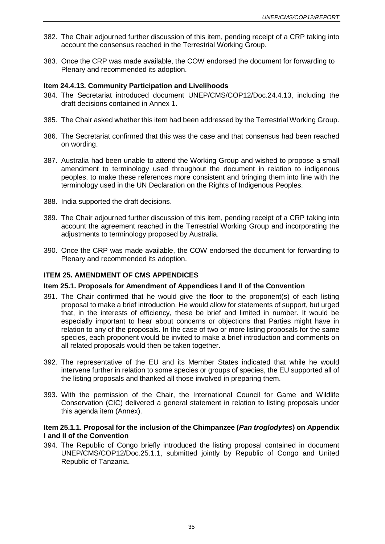- 382. The Chair adjourned further discussion of this item, pending receipt of a CRP taking into account the consensus reached in the Terrestrial Working Group.
- 383. Once the CRP was made available, the COW endorsed the document for forwarding to Plenary and recommended its adoption.

### **Item 24.4.13. Community Participation and Livelihoods**

- 384. The Secretariat introduced document UNEP/CMS/COP12/Doc.24.4.13, including the draft decisions contained in Annex 1.
- 385. The Chair asked whether this item had been addressed by the Terrestrial Working Group.
- 386. The Secretariat confirmed that this was the case and that consensus had been reached on wording.
- 387. Australia had been unable to attend the Working Group and wished to propose a small amendment to terminology used throughout the document in relation to indigenous peoples, to make these references more consistent and bringing them into line with the terminology used in the UN Declaration on the Rights of Indigenous Peoples.
- 388. India supported the draft decisions.
- 389. The Chair adjourned further discussion of this item, pending receipt of a CRP taking into account the agreement reached in the Terrestrial Working Group and incorporating the adjustments to terminology proposed by Australia.
- 390. Once the CRP was made available, the COW endorsed the document for forwarding to Plenary and recommended its adoption.

### **ITEM 25. AMENDMENT OF CMS APPENDICES**

### **Item 25.1. Proposals for Amendment of Appendices I and II of the Convention**

- 391. The Chair confirmed that he would give the floor to the proponent(s) of each listing proposal to make a brief introduction. He would allow for statements of support, but urged that, in the interests of efficiency, these be brief and limited in number. It would be especially important to hear about concerns or objections that Parties might have in relation to any of the proposals. In the case of two or more listing proposals for the same species, each proponent would be invited to make a brief introduction and comments on all related proposals would then be taken together.
- 392. The representative of the EU and its Member States indicated that while he would intervene further in relation to some species or groups of species, the EU supported all of the listing proposals and thanked all those involved in preparing them.
- 393. With the permission of the Chair, the International Council for Game and Wildlife Conservation (CIC) delivered a general statement in relation to listing proposals under this agenda item (Annex).

### **Item 25.1.1. Proposal for the inclusion of the Chimpanzee (***Pan troglodytes***) on Appendix I and II of the Convention**

394. The Republic of Congo briefly introduced the listing proposal contained in document UNEP/CMS/COP12/Doc.25.1.1, submitted jointly by Republic of Congo and United Republic of Tanzania.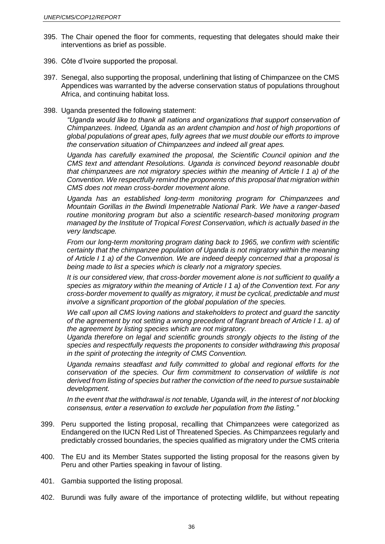- 395. The Chair opened the floor for comments, requesting that delegates should make their interventions as brief as possible.
- 396. Côte d'Ivoire supported the proposal.
- 397. Senegal, also supporting the proposal, underlining that listing of Chimpanzee on the CMS Appendices was warranted by the adverse conservation status of populations throughout Africa, and continuing habitat loss.
- 398. Uganda presented the following statement:

*"Uganda would like to thank all nations and organizations that support conservation of Chimpanzees. Indeed, Uganda as an ardent champion and host of high proportions of global populations of great apes, fully agrees that we must double our efforts to improve the conservation situation of Chimpanzees and indeed all great apes.*

*Uganda has carefully examined the proposal, the Scientific Council opinion and the CMS text and attendant Resolutions. Uganda is convinced beyond reasonable doubt that chimpanzees are not migratory species within the meaning of Article I 1 a) of the Convention. We respectfully remind the proponents of this proposal that migration within CMS does not mean cross-border movement alone.*

*Uganda has an established long-term monitoring program for Chimpanzees and Mountain Gorillas in the Bwindi Impenetrable National Park. We have a ranger-based routine monitoring program but also a scientific research-based monitoring program managed by the Institute of Tropical Forest Conservation, which is actually based in the very landscape.*

*From our long-term monitoring program dating back to 1965, we confirm with scientific certainty that the chimpanzee population of Uganda is not migratory within the meaning of Article I 1 a) of the Convention. We are indeed deeply concerned that a proposal is being made to list a species which is clearly not a migratory species.*

*It is our considered view, that cross-border movement alone is not sufficient to qualify a species as migratory within the meaning of Article I 1 a) of the Convention text. For any cross-border movement to qualify as migratory, it must be cyclical, predictable and must involve a significant proportion of the global population of the species.*

*We call upon all CMS loving nations and stakeholders to protect and guard the sanctity of the agreement by not setting a wrong precedent of flagrant breach of Article I 1. a) of the agreement by listing species which are not migratory.*

*Uganda therefore on legal and scientific grounds strongly objects to the listing of the species and respectfully requests the proponents to consider withdrawing this proposal in the spirit of protecting the integrity of CMS Convention.*

*Uganda remains steadfast and fully committed to global and regional efforts for the conservation of the species. Our firm commitment to conservation of wildlife is not derived from listing of species but rather the conviction of the need to pursue sustainable development.* 

*In the event that the withdrawal is not tenable, Uganda will, in the interest of not blocking consensus, enter a reservation to exclude her population from the listing."*

- 399. Peru supported the listing proposal, recalling that Chimpanzees were categorized as Endangered on the IUCN Red List of Threatened Species. As Chimpanzees regularly and predictably crossed boundaries, the species qualified as migratory under the CMS criteria
- 400. The EU and its Member States supported the listing proposal for the reasons given by Peru and other Parties speaking in favour of listing.
- 401. Gambia supported the listing proposal.
- 402. Burundi was fully aware of the importance of protecting wildlife, but without repeating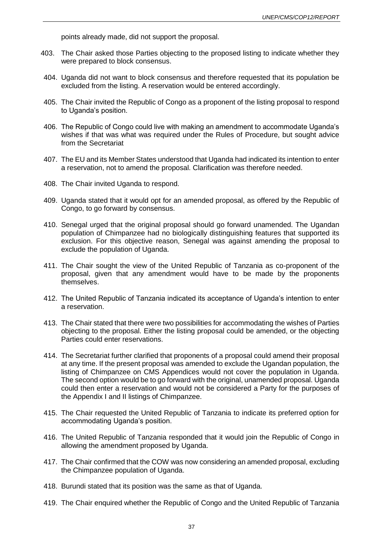points already made, did not support the proposal.

- 403. The Chair asked those Parties objecting to the proposed listing to indicate whether they were prepared to block consensus.
- 404. Uganda did not want to block consensus and therefore requested that its population be excluded from the listing. A reservation would be entered accordingly.
- 405. The Chair invited the Republic of Congo as a proponent of the listing proposal to respond to Uganda's position.
- 406. The Republic of Congo could live with making an amendment to accommodate Uganda's wishes if that was what was required under the Rules of Procedure, but sought advice from the Secretariat
- 407. The EU and its Member States understood that Uganda had indicated its intention to enter a reservation, not to amend the proposal. Clarification was therefore needed.
- 408. The Chair invited Uganda to respond.
- 409. Uganda stated that it would opt for an amended proposal, as offered by the Republic of Congo, to go forward by consensus.
- 410. Senegal urged that the original proposal should go forward unamended. The Ugandan population of Chimpanzee had no biologically distinguishing features that supported its exclusion. For this objective reason, Senegal was against amending the proposal to exclude the population of Uganda.
- 411. The Chair sought the view of the United Republic of Tanzania as co-proponent of the proposal, given that any amendment would have to be made by the proponents themselves.
- 412. The United Republic of Tanzania indicated its acceptance of Uganda's intention to enter a reservation.
- 413. The Chair stated that there were two possibilities for accommodating the wishes of Parties objecting to the proposal. Either the listing proposal could be amended, or the objecting Parties could enter reservations.
- 414. The Secretariat further clarified that proponents of a proposal could amend their proposal at any time. If the present proposal was amended to exclude the Ugandan population, the listing of Chimpanzee on CMS Appendices would not cover the population in Uganda. The second option would be to go forward with the original, unamended proposal. Uganda could then enter a reservation and would not be considered a Party for the purposes of the Appendix I and II listings of Chimpanzee.
- 415. The Chair requested the United Republic of Tanzania to indicate its preferred option for accommodating Uganda's position.
- 416. The United Republic of Tanzania responded that it would join the Republic of Congo in allowing the amendment proposed by Uganda.
- 417. The Chair confirmed that the COW was now considering an amended proposal, excluding the Chimpanzee population of Uganda.
- 418. Burundi stated that its position was the same as that of Uganda.
- 419. The Chair enquired whether the Republic of Congo and the United Republic of Tanzania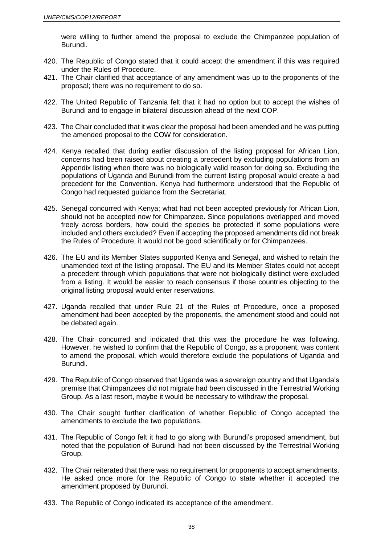were willing to further amend the proposal to exclude the Chimpanzee population of Burundi.

- 420. The Republic of Congo stated that it could accept the amendment if this was required under the Rules of Procedure.
- 421. The Chair clarified that acceptance of any amendment was up to the proponents of the proposal; there was no requirement to do so.
- 422. The United Republic of Tanzania felt that it had no option but to accept the wishes of Burundi and to engage in bilateral discussion ahead of the next COP.
- 423. The Chair concluded that it was clear the proposal had been amended and he was putting the amended proposal to the COW for consideration.
- 424. Kenya recalled that during earlier discussion of the listing proposal for African Lion, concerns had been raised about creating a precedent by excluding populations from an Appendix listing when there was no biologically valid reason for doing so. Excluding the populations of Uganda and Burundi from the current listing proposal would create a bad precedent for the Convention. Kenya had furthermore understood that the Republic of Congo had requested guidance from the Secretariat.
- 425. Senegal concurred with Kenya; what had not been accepted previously for African Lion, should not be accepted now for Chimpanzee. Since populations overlapped and moved freely across borders, how could the species be protected if some populations were included and others excluded? Even if accepting the proposed amendments did not break the Rules of Procedure, it would not be good scientifically or for Chimpanzees.
- 426. The EU and its Member States supported Kenya and Senegal, and wished to retain the unamended text of the listing proposal. The EU and its Member States could not accept a precedent through which populations that were not biologically distinct were excluded from a listing. It would be easier to reach consensus if those countries objecting to the original listing proposal would enter reservations.
- 427. Uganda recalled that under Rule 21 of the Rules of Procedure, once a proposed amendment had been accepted by the proponents, the amendment stood and could not be debated again.
- 428. The Chair concurred and indicated that this was the procedure he was following. However, he wished to confirm that the Republic of Congo, as a proponent, was content to amend the proposal, which would therefore exclude the populations of Uganda and Burundi.
- 429. The Republic of Congo observed that Uganda was a sovereign country and that Uganda's premise that Chimpanzees did not migrate had been discussed in the Terrestrial Working Group. As a last resort, maybe it would be necessary to withdraw the proposal.
- 430. The Chair sought further clarification of whether Republic of Congo accepted the amendments to exclude the two populations.
- 431. The Republic of Congo felt it had to go along with Burundi's proposed amendment, but noted that the population of Burundi had not been discussed by the Terrestrial Working Group.
- 432. The Chair reiterated that there was no requirement for proponents to accept amendments. He asked once more for the Republic of Congo to state whether it accepted the amendment proposed by Burundi.
- 433. The Republic of Congo indicated its acceptance of the amendment.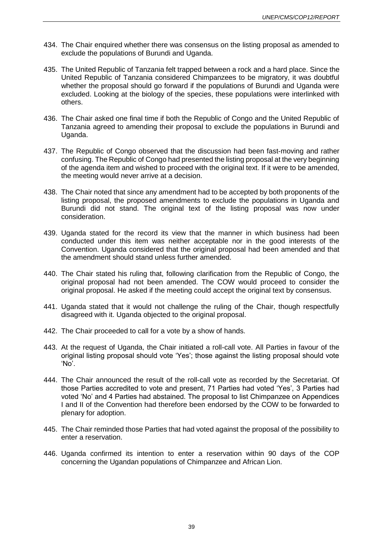- 434. The Chair enquired whether there was consensus on the listing proposal as amended to exclude the populations of Burundi and Uganda.
- 435. The United Republic of Tanzania felt trapped between a rock and a hard place. Since the United Republic of Tanzania considered Chimpanzees to be migratory, it was doubtful whether the proposal should go forward if the populations of Burundi and Uganda were excluded. Looking at the biology of the species, these populations were interlinked with others.
- 436. The Chair asked one final time if both the Republic of Congo and the United Republic of Tanzania agreed to amending their proposal to exclude the populations in Burundi and Uganda.
- 437. The Republic of Congo observed that the discussion had been fast-moving and rather confusing. The Republic of Congo had presented the listing proposal at the very beginning of the agenda item and wished to proceed with the original text. If it were to be amended, the meeting would never arrive at a decision.
- 438. The Chair noted that since any amendment had to be accepted by both proponents of the listing proposal, the proposed amendments to exclude the populations in Uganda and Burundi did not stand. The original text of the listing proposal was now under consideration.
- 439. Uganda stated for the record its view that the manner in which business had been conducted under this item was neither acceptable nor in the good interests of the Convention. Uganda considered that the original proposal had been amended and that the amendment should stand unless further amended.
- 440. The Chair stated his ruling that, following clarification from the Republic of Congo, the original proposal had not been amended. The COW would proceed to consider the original proposal. He asked if the meeting could accept the original text by consensus.
- 441. Uganda stated that it would not challenge the ruling of the Chair, though respectfully disagreed with it. Uganda objected to the original proposal.
- 442. The Chair proceeded to call for a vote by a show of hands.
- 443. At the request of Uganda, the Chair initiated a roll-call vote. All Parties in favour of the original listing proposal should vote 'Yes'; those against the listing proposal should vote 'No'.
- 444. The Chair announced the result of the roll-call vote as recorded by the Secretariat. Of those Parties accredited to vote and present, 71 Parties had voted 'Yes', 3 Parties had voted 'No' and 4 Parties had abstained. The proposal to list Chimpanzee on Appendices I and II of the Convention had therefore been endorsed by the COW to be forwarded to plenary for adoption.
- 445. The Chair reminded those Parties that had voted against the proposal of the possibility to enter a reservation.
- 446. Uganda confirmed its intention to enter a reservation within 90 days of the COP concerning the Ugandan populations of Chimpanzee and African Lion.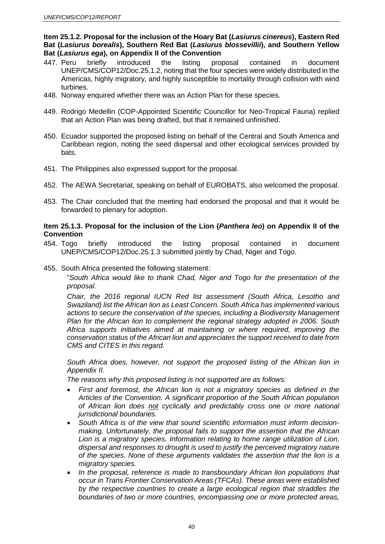**Item 25.1.2. Proposal for the inclusion of the Hoary Bat (***Lasiurus cinereus***), Eastern Red Bat (***Lasiurus borealis***), Southern Red Bat (***Lasiurus blossevillii***), and Southern Yellow Bat (***Lasiurus ega***), on Appendix II of the Convention**

- 447. Peru briefly introduced the listing proposal contained in document UNEP/CMS/COP12/Doc.25.1.2, noting that the four species were widely distributed in the Americas, highly migratory, and highly susceptible to mortality through collision with wind turbines.
- 448. Norway enquired whether there was an Action Plan for these species.
- 449. Rodrigo Medellin (COP-Appointed Scientific Councillor for Neo-Tropical Fauna) replied that an Action Plan was being drafted, but that it remained unfinished.
- 450. Ecuador supported the proposed listing on behalf of the Central and South America and Caribbean region, noting the seed dispersal and other ecological services provided by bats.
- 451. The Philippines also expressed support for the proposal.
- 452. The AEWA Secretariat, speaking on behalf of EUROBATS, also welcomed the proposal.
- 453. The Chair concluded that the meeting had endorsed the proposal and that it would be forwarded to plenary for adoption.

### **Item 25.1.3. Proposal for the inclusion of the Lion (***Panthera leo***) on Appendix II of the Convention**

- 454. Togo briefly introduced the listing proposal contained in document UNEP/CMS/COP12/Doc.25.1.3 submitted jointly by Chad, Niger and Togo.
- 455. South Africa presented the following statement:

"*South Africa would like to thank Chad, Niger and Togo for the presentation of the proposal.* 

*Chair, the 2016 regional IUCN Red list assessment (South Africa, Lesotho and Swaziland) list the African lion as Least Concern. South Africa has implemented various actions to secure the conservation of the species, including a Biodiversity Management Plan for the African lion to complement the regional strategy adopted in 2006. South Africa supports initiatives aimed at maintaining or where required, improving the conservation status of the African lion and appreciates the support received to date from CMS and CITES in this regard.*

*South Africa does, however, not support the proposed listing of the African lion in Appendix II.* 

*The reasons why this proposed listing is not supported are as follows:*

- *First and foremost, the African lion is not a migratory species as defined in the Articles of the Convention. A significant proportion of the South African population of African lion does not cyclically and predictably cross one or more national jurisdictional boundaries.*
- *South Africa is of the view that sound scientific information must inform decisionmaking. Unfortunately, the proposal fails to support the assertion that the African Lion is a migratory species. Information relating to home range utilization of Lion, dispersal and responses to drought is used to justify the perceived migratory nature of the species. None of these arguments validates the assertion that the lion is a migratory species.*
- *In the proposal, reference is made to transboundary African lion populations that occur in Trans Frontier Conservation Areas (TFCAs). These areas were established by the respective countries to create a large ecological region that straddles the boundaries of two or more countries, encompassing one or more protected areas,*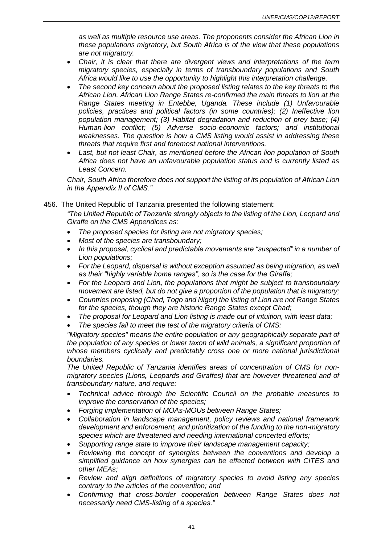*as well as multiple resource use areas. The proponents consider the African Lion in these populations migratory, but South Africa is of the view that these populations are not migratory.*

- *Chair, it is clear that there are divergent views and interpretations of the term migratory species, especially in terms of transboundary populations and South Africa would like to use the opportunity to highlight this interpretation challenge.*
- *The second key concern about the proposed listing relates to the key threats to the African Lion. African Lion Range States re-confirmed the main threats to lion at the Range States meeting in Entebbe, Uganda. These include (1) Unfavourable policies, practices and political factors (in some countries); (2) Ineffective lion population management; (3) Habitat degradation and reduction of prey base; (4) Human-lion conflict; (5) Adverse socio-economic factors; and institutional weaknesses. The question is how a CMS listing would assist in addressing these threats that require first and foremost national interventions.*
- *Last, but not least Chair, as mentioned before the African lion population of South Africa does not have an unfavourable population status and is currently listed as Least Concern.*

*Chair, South Africa therefore does not support the listing of its population of African Lion in the Appendix II of CMS."*

### 456. The United Republic of Tanzania presented the following statement:

*"The United Republic of Tanzania strongly objects to the listing of the Lion, Leopard and Giraffe on the CMS Appendices as:*

- *The proposed species for listing are not migratory species;*
- *Most of the species are transboundary;*
- *In this proposal, cyclical and predictable movements are "suspected" in a number of Lion populations;*
- *For the Leopard, dispersal is without exception assumed as being migration, as well as their "highly variable home ranges", so is the case for the Giraffe;*
- *For the Leopard and Lion, the populations that might be subject to transboundary movement are listed, but do not give a proportion of the population that is migratory;*
- *Countries proposing (Chad, Togo and Niger) the listing of Lion are not Range States for the species, though they are historic Range States except Chad;*
- *The proposal for Leopard and Lion listing is made out of intuition, with least data;*
- *The species fail to meet the test of the migratory criteria of CMS:*

*"Migratory species" means the entire population or any geographically separate part of the population of any species or lower taxon of wild animals, a significant proportion of whose members cyclically and predictably cross one or more national jurisdictional boundaries.*

*The United Republic of Tanzania identifies areas of concentration of CMS for nonmigratory species (Lions, Leopards and Giraffes) that are however threatened and of transboundary nature, and require:*

- *Technical advice through the Scientific Council on the probable measures to improve the conservation of the species;*
- *Forging implementation of MOAs-MOUs between Range States;*
- *Collaboration in landscape management, policy reviews and national framework development and enforcement, and prioritization of the funding to the non-migratory species which are threatened and needing international concerted efforts;*
- *Supporting range state to improve their landscape management capacity;*
- *Reviewing the concept of synergies between the conventions and develop a simplified guidance on how synergies can be effected between with CITES and other MEAs;*
- *Review and align definitions of migratory species to avoid listing any species contrary to the articles of the convention; and*
- *Confirming that cross-border cooperation between Range States does not necessarily need CMS-listing of a species."*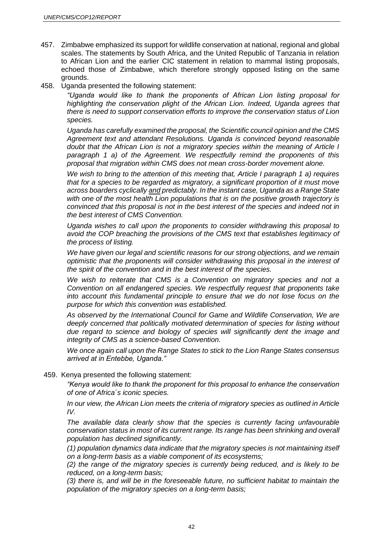- 457. Zimbabwe emphasized its support for wildlife conservation at national, regional and global scales. The statements by South Africa, and the United Republic of Tanzania in relation to African Lion and the earlier CIC statement in relation to mammal listing proposals, echoed those of Zimbabwe, which therefore strongly opposed listing on the same grounds.
- 458. Uganda presented the following statement:

*"Uganda would like to thank the proponents of African Lion listing proposal for highlighting the conservation plight of the African Lion. Indeed, Uganda agrees that there is need to support conservation efforts to improve the conservation status of Lion species.*

*Uganda has carefully examined the proposal, the Scientific council opinion and the CMS Agreement text and attendant Resolutions. Uganda is convinced beyond reasonable doubt that the African Lion is not a migratory species within the meaning of Article I paragraph 1 a) of the Agreement. We respectfully remind the proponents of this proposal that migration within CMS does not mean cross-border movement alone.*

*We wish to bring to the attention of this meeting that, Article I paragraph 1 a) requires that for a species to be regarded as migratory, a significant proportion of it must move across boarders cyclically and predictably. In the instant case, Uganda as a Range State with one of the most health Lion populations that is on the positive growth trajectory is convinced that this proposal is not in the best interest of the species and indeed not in the best interest of CMS Convention.* 

*Uganda wishes to call upon the proponents to consider withdrawing this proposal to avoid the COP breaching the provisions of the CMS text that establishes legitimacy of the process of listing.*

*We have given our legal and scientific reasons for our strong objections, and we remain optimistic that the proponents will consider withdrawing this proposal in the interest of the spirit of the convention and in the best interest of the species.* 

*We wish to reiterate that CMS is a Convention on migratory species and not a Convention on all endangered species. We respectfully request that proponents take into account this fundamental principle to ensure that we do not lose focus on the purpose for which this convention was established.*

*As observed by the International Council for Game and Wildlife Conservation, We are deeply concerned that politically motivated determination of species for listing without due regard to science and biology of species will significantly dent the image and integrity of CMS as a science-based Convention.*

*We once again call upon the Range States to stick to the Lion Range States consensus arrived at in Entebbe, Uganda."*

459. Kenya presented the following statement:

*"Kenya would like to thank the proponent for this proposal to enhance the conservation of one of Africa´s iconic species.*

*In our view, the African Lion meets the criteria of migratory species as outlined in Article IV.* 

*The available data clearly show that the species is currently facing unfavourable conservation status in most of its current range. Its range has been shrinking and overall population has declined significantly.*

*(1) population dynamics data indicate that the migratory species is not maintaining itself on a long-term basis as a viable component of its ecosystems;*

*(2) the range of the migratory species is currently being reduced, and is likely to be reduced, on a long-term basis;*

*(3) there is, and will be in the foreseeable future, no sufficient habitat to maintain the population of the migratory species on a long-term basis;*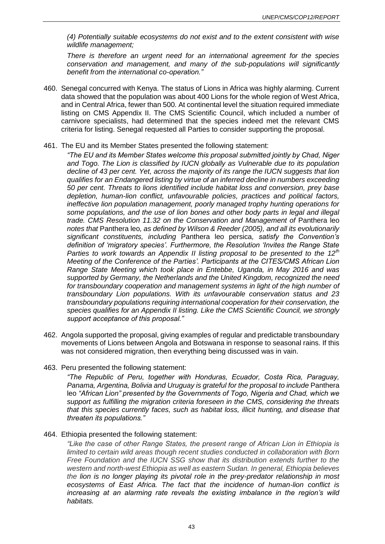*(4) Potentially suitable ecosystems do not exist and to the extent consistent with wise wildlife management;*

*There is therefore an urgent need for an international agreement for the species conservation and management, and many of the sub-populations will significantly benefit from the international co-operation."*

- 460. Senegal concurred with Kenya. The status of Lions in Africa was highly alarming. Current data showed that the population was about 400 Lions for the whole region of West Africa, and in Central Africa, fewer than 500. At continental level the situation required immediate listing on CMS Appendix II. The CMS Scientific Council, which included a number of carnivore specialists, had determined that the species indeed met the relevant CMS criteria for listing. Senegal requested all Parties to consider supporting the proposal.
- 461. The EU and its Member States presented the following statement:
	- *"The EU and its Member States welcome this proposal submitted jointly by Chad, Niger and Togo. The Lion is classified by IUCN globally as Vulnerable due to its population decline of 43 per cent. Yet, across the majority of its range the IUCN suggests that lion qualifies for an Endangered listing by virtue of an inferred decline in numbers exceeding 50 per cent. Threats to lions identified include habitat loss and conversion, prey base depletion, human-lion conflict, unfavourable policies, practices and political factors, ineffective lion population management, poorly managed trophy hunting operations for some populations, and the use of lion bones and other body parts in legal and illegal trade. CMS Resolution 11.32 on the Conservation and Management of Panthera leo notes that* Panthera leo*, as defined by Wilson & Reeder (2005), and all its evolutionarily significant constituents, including* Panthera leo persica*, satisfy the Convention's definition of 'migratory species'. Furthermore, the Resolution 'Invites the Range State Parties to work towards an Appendix II listing proposal to be presented to the 12th Meeting of the Conference of the Parties'. Participants at the CITES/CMS African Lion Range State Meeting which took place in Entebbe, Uganda, in May 2016 and was supported by Germany, the Netherlands and the United Kingdom, recognized the need for transboundary cooperation and management systems in light of the high number of transboundary Lion populations. With its unfavourable conservation status and 23 transboundary populations requiring international cooperation for their conservation, the species qualifies for an Appendix II listing. Like the CMS Scientific Council, we strongly support acceptance of this proposal."*
- 462. Angola supported the proposal, giving examples of regular and predictable transboundary movements of Lions between Angola and Botswana in response to seasonal rains. If this was not considered migration, then everything being discussed was in vain.
- 463. Peru presented the following statement:

*"The Republic of Peru, together with Honduras, Ecuador, Costa Rica, Paraguay, Panama, Argentina, Bolivia and Uruguay is grateful for the proposal to include* Panthera leo *"African Lion" presented by the Governments of Togo, Nigeria and Chad, which we support as fulfilling the migration criteria foreseen in the CMS, considering the threats that this species currently faces, such as habitat loss, illicit hunting, and disease that threaten its populations."*

### 464. Ethiopia presented the following statement:

*"Like the case of other Range States, the present range of African Lion in Ethiopia is limited to certain wild areas though recent studies conducted in collaboration with Born Free Foundation and the IUCN SSG show that its distribution extends further to the western and north-west Ethiopia as well as eastern Sudan. In general, Ethiopia believes the lion is no longer playing its pivotal role in the prey-predator relationship in most ecosystems of East Africa. The fact that the incidence of human-lion conflict is increasing at an alarming rate reveals the existing imbalance in the region's wild habitats.*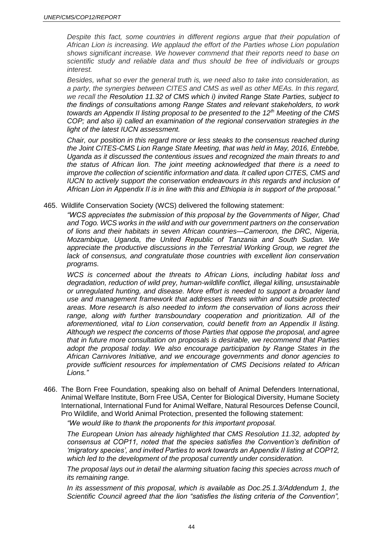*Despite this fact, some countries in different regions argue that their population of African Lion is increasing. We applaud the effort of the Parties whose Lion population shows significant increase. We however commend that their reports need to base on scientific study and reliable data and thus should be free of individuals or groups interest.* 

*Besides, what so ever the general truth is, we need also to take into consideration, as a party, the synergies between CITES and CMS as well as other MEAs. In this regard, we recall the Resolution 11.32 of CMS which i) invited Range State Parties, subject to the findings of consultations among Range States and relevant stakeholders, to work towards an Appendix II listing proposal to be presented to the 12th Meeting of the CMS COP; and also ii) called an examination of the regional conservation strategies in the light of the latest IUCN assessment.*

*Chair, our position in this regard more or less steaks to the consensus reached during the Joint CITES-CMS Lion Range State Meeting, that was held in May, 2016, Entebbe, Uganda as it discussed the contentious issues and recognized the main threats to and the status of African lion. The joint meeting acknowledged that there is a need to improve the collection of scientific information and data. It called upon CITES, CMS and IUCN to actively support the conservation endeavours in this regards and inclusion of African Lion in Appendix II is in line with this and Ethiopia is in support of the proposal."*

#### 465. Wildlife Conservation Society (WCS) delivered the following statement:

*"WCS appreciates the submission of this proposal by the Governments of Niger, Chad and Togo. WCS works in the wild and with our government partners on the conservation of lions and their habitats in seven African countries—Cameroon, the DRC, Nigeria, Mozambique, Uganda, the United Republic of Tanzania and South Sudan. We appreciate the productive discussions in the Terrestrial Working Group, we regret the lack of consensus, and congratulate those countries with excellent lion conservation programs.* 

*WCS is concerned about the threats to African Lions, including habitat loss and degradation, reduction of wild prey, human-wildlife conflict, illegal killing, unsustainable or unregulated hunting, and disease. More effort is needed to support a broader land use and management framework that addresses threats within and outside protected areas. More research is also needed to inform the conservation of lions across their range, along with further transboundary cooperation and prioritization. All of the aforementioned, vital to Lion conservation, could benefit from an Appendix II listing. Although we respect the concerns of those Parties that oppose the proposal, and agree that in future more consultation on proposals is desirable, we recommend that Parties adopt the proposal today. We also encourage participation by Range States in the African Carnivores Initiative, and we encourage governments and donor agencies to provide sufficient resources for implementation of CMS Decisions related to African Lions."*

466. The Born Free Foundation, speaking also on behalf of Animal Defenders International, Animal Welfare Institute, Born Free USA, Center for Biological Diversity, Humane Society International, International Fund for Animal Welfare, Natural Resources Defense Council, Pro Wildlife, and World Animal Protection, presented the following statement:

*"We would like to thank the proponents for this important proposal.*

*The European Union has already highlighted that CMS Resolution 11.32, adopted by consensus at COP11, noted that the species satisfies the Convention's definition of 'migratory species', and invited Parties to work towards an Appendix II listing at COP12, which led to the development of the proposal currently under consideration.* 

*The proposal lays out in detail the alarming situation facing this species across much of its remaining range.* 

*In its assessment of this proposal, which is available as Doc.25.1.3/Addendum 1, the Scientific Council agreed that the lion "satisfies the listing criteria of the Convention",*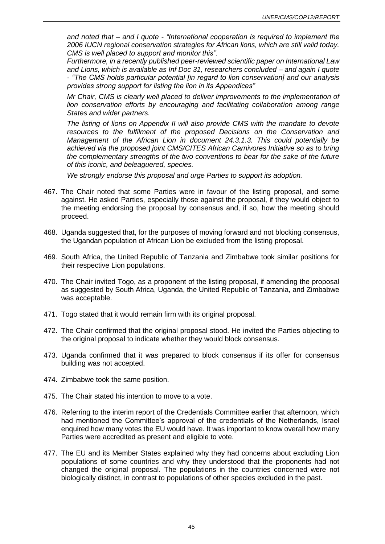*and noted that – and I quote - "International cooperation is required to implement the 2006 IUCN regional conservation strategies for African lions, which are still valid today. CMS is well placed to support and monitor this".*

*Furthermore, in a recently published peer-reviewed scientific paper on International Law and Lions, which is available as Inf Doc 31, researchers concluded – and again I quote - "The CMS holds particular potential [in regard to lion conservation] and our analysis provides strong support for listing the lion in its Appendices"*

*Mr Chair, CMS is clearly well placed to deliver improvements to the implementation of lion conservation efforts by encouraging and facilitating collaboration among range States and wider partners.* 

*The listing of lions on Appendix II will also provide CMS with the mandate to devote resources to the fulfilment of the proposed Decisions on the Conservation and Management of the African Lion in document 24.3.1.3. This could potentially be achieved via the proposed joint CMS/CITES African Carnivores Initiative so as to bring the complementary strengths of the two conventions to bear for the sake of the future of this iconic, and beleaguered, species.* 

*We strongly endorse this proposal and urge Parties to support its adoption.*

- 467. The Chair noted that some Parties were in favour of the listing proposal, and some against. He asked Parties, especially those against the proposal, if they would object to the meeting endorsing the proposal by consensus and, if so, how the meeting should proceed.
- 468. Uganda suggested that, for the purposes of moving forward and not blocking consensus, the Ugandan population of African Lion be excluded from the listing proposal.
- 469. South Africa, the United Republic of Tanzania and Zimbabwe took similar positions for their respective Lion populations.
- 470. The Chair invited Togo, as a proponent of the listing proposal, if amending the proposal as suggested by South Africa, Uganda, the United Republic of Tanzania, and Zimbabwe was acceptable.
- 471. Togo stated that it would remain firm with its original proposal.
- 472. The Chair confirmed that the original proposal stood. He invited the Parties objecting to the original proposal to indicate whether they would block consensus.
- 473. Uganda confirmed that it was prepared to block consensus if its offer for consensus building was not accepted.
- 474. Zimbabwe took the same position.
- 475. The Chair stated his intention to move to a vote.
- 476. Referring to the interim report of the Credentials Committee earlier that afternoon, which had mentioned the Committee's approval of the credentials of the Netherlands, Israel enquired how many votes the EU would have. It was important to know overall how many Parties were accredited as present and eligible to vote.
- 477. The EU and its Member States explained why they had concerns about excluding Lion populations of some countries and why they understood that the proponents had not changed the original proposal. The populations in the countries concerned were not biologically distinct, in contrast to populations of other species excluded in the past.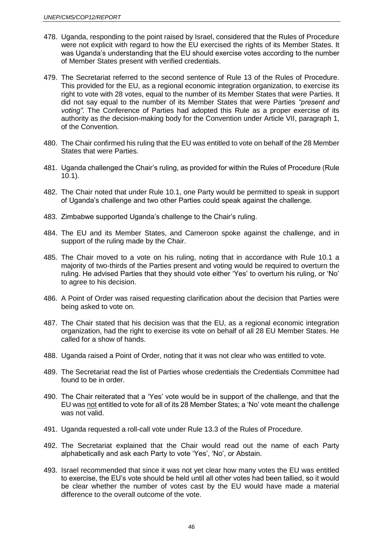- 478. Uganda, responding to the point raised by Israel, considered that the Rules of Procedure were not explicit with regard to how the EU exercised the rights of its Member States. It was Uganda's understanding that the EU should exercise votes according to the number of Member States present with verified credentials.
- 479. The Secretariat referred to the second sentence of Rule 13 of the Rules of Procedure. This provided for the EU, as a regional economic integration organization, to exercise its right to vote with 28 votes, equal to the number of its Member States that were Parties. It did not say equal to the number of its Member States that were Parties *"present and voting"*. The Conference of Parties had adopted this Rule as a proper exercise of its authority as the decision-making body for the Convention under Article VII, paragraph 1, of the Convention.
- 480. The Chair confirmed his ruling that the EU was entitled to vote on behalf of the 28 Member States that were Parties.
- 481. Uganda challenged the Chair's ruling, as provided for within the Rules of Procedure (Rule 10.1).
- 482. The Chair noted that under Rule 10.1, one Party would be permitted to speak in support of Uganda's challenge and two other Parties could speak against the challenge.
- 483. Zimbabwe supported Uganda's challenge to the Chair's ruling.
- 484. The EU and its Member States, and Cameroon spoke against the challenge, and in support of the ruling made by the Chair.
- 485. The Chair moved to a vote on his ruling, noting that in accordance with Rule 10.1 a majority of two-thirds of the Parties present and voting would be required to overturn the ruling. He advised Parties that they should vote either 'Yes' to overturn his ruling, or 'No' to agree to his decision.
- 486. A Point of Order was raised requesting clarification about the decision that Parties were being asked to vote on.
- 487. The Chair stated that his decision was that the EU, as a regional economic integration organization, had the right to exercise its vote on behalf of all 28 EU Member States. He called for a show of hands.
- 488. Uganda raised a Point of Order, noting that it was not clear who was entitled to vote.
- 489. The Secretariat read the list of Parties whose credentials the Credentials Committee had found to be in order.
- 490. The Chair reiterated that a 'Yes' vote would be in support of the challenge, and that the EU was not entitled to vote for all of its 28 Member States; a 'No' vote meant the challenge was not valid.
- 491. Uganda requested a roll-call vote under Rule 13.3 of the Rules of Procedure.
- 492. The Secretariat explained that the Chair would read out the name of each Party alphabetically and ask each Party to vote 'Yes', 'No', or Abstain.
- 493. Israel recommended that since it was not yet clear how many votes the EU was entitled to exercise, the EU's vote should be held until all other votes had been tallied, so it would be clear whether the number of votes cast by the EU would have made a material difference to the overall outcome of the vote.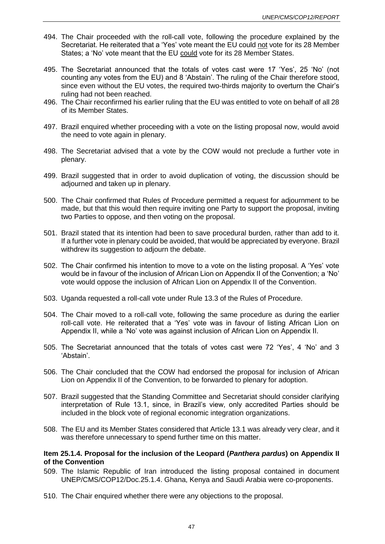- 494. The Chair proceeded with the roll-call vote, following the procedure explained by the Secretariat. He reiterated that a 'Yes' vote meant the EU could not vote for its 28 Member States; a 'No' vote meant that the EU could vote for its 28 Member States.
- 495. The Secretariat announced that the totals of votes cast were 17 'Yes', 25 'No' (not counting any votes from the EU) and 8 'Abstain'. The ruling of the Chair therefore stood, since even without the EU votes, the required two-thirds majority to overturn the Chair's ruling had not been reached.
- 496. The Chair reconfirmed his earlier ruling that the EU was entitled to vote on behalf of all 28 of its Member States.
- 497. Brazil enquired whether proceeding with a vote on the listing proposal now, would avoid the need to vote again in plenary.
- 498. The Secretariat advised that a vote by the COW would not preclude a further vote in plenary.
- 499. Brazil suggested that in order to avoid duplication of voting, the discussion should be adjourned and taken up in plenary.
- 500. The Chair confirmed that Rules of Procedure permitted a request for adjournment to be made, but that this would then require inviting one Party to support the proposal, inviting two Parties to oppose, and then voting on the proposal.
- 501. Brazil stated that its intention had been to save procedural burden, rather than add to it. If a further vote in plenary could be avoided, that would be appreciated by everyone. Brazil withdrew its suggestion to adjourn the debate.
- 502. The Chair confirmed his intention to move to a vote on the listing proposal. A 'Yes' vote would be in favour of the inclusion of African Lion on Appendix II of the Convention; a 'No' vote would oppose the inclusion of African Lion on Appendix II of the Convention.
- 503. Uganda requested a roll-call vote under Rule 13.3 of the Rules of Procedure.
- 504. The Chair moved to a roll-call vote, following the same procedure as during the earlier roll-call vote. He reiterated that a 'Yes' vote was in favour of listing African Lion on Appendix II, while a 'No' vote was against inclusion of African Lion on Appendix II.
- 505. The Secretariat announced that the totals of votes cast were 72 'Yes', 4 'No' and 3 'Abstain'.
- 506. The Chair concluded that the COW had endorsed the proposal for inclusion of African Lion on Appendix II of the Convention, to be forwarded to plenary for adoption.
- 507. Brazil suggested that the Standing Committee and Secretariat should consider clarifying interpretation of Rule 13.1, since, in Brazil's view, only accredited Parties should be included in the block vote of regional economic integration organizations.
- 508. The EU and its Member States considered that Article 13.1 was already very clear, and it was therefore unnecessary to spend further time on this matter.

### **Item 25.1.4. Proposal for the inclusion of the Leopard (***Panthera pardus***) on Appendix II of the Convention**

- 509. The Islamic Republic of Iran introduced the listing proposal contained in document UNEP/CMS/COP12/Doc.25.1.4. Ghana, Kenya and Saudi Arabia were co-proponents.
- 510. The Chair enquired whether there were any objections to the proposal.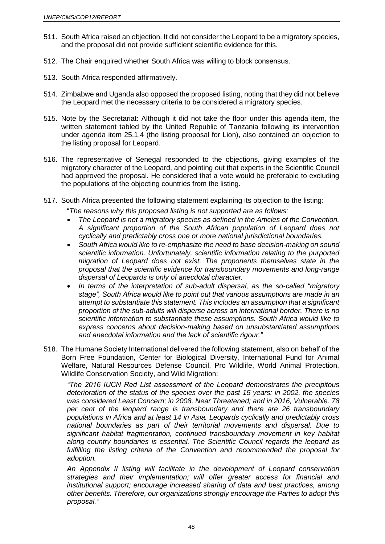- 511. South Africa raised an objection. It did not consider the Leopard to be a migratory species, and the proposal did not provide sufficient scientific evidence for this.
- 512. The Chair enquired whether South Africa was willing to block consensus.
- 513. South Africa responded affirmatively.
- 514. Zimbabwe and Uganda also opposed the proposed listing, noting that they did not believe the Leopard met the necessary criteria to be considered a migratory species.
- 515. Note by the Secretariat: Although it did not take the floor under this agenda item, the written statement tabled by the United Republic of Tanzania following its intervention under agenda item 25.1.4 (the listing proposal for Lion), also contained an objection to the listing proposal for Leopard.
- 516. The representative of Senegal responded to the objections, giving examples of the migratory character of the Leopard, and pointing out that experts in the Scientific Council had approved the proposal. He considered that a vote would be preferable to excluding the populations of the objecting countries from the listing.
- 517. South Africa presented the following statement explaining its objection to the listing:

"*The reasons why this proposed listing is not supported are as follows:*

- *The Leopard is not a migratory species as defined in the Articles of the Convention. A significant proportion of the South African population of Leopard does not cyclically and predictably cross one or more national jurisdictional boundaries.*
- *South Africa would like to re-emphasize the need to base decision-making on sound scientific information. Unfortunately, scientific information relating to the purported migration of Leopard does not exist. The proponents themselves state in the proposal that the scientific evidence for transboundary movements and long-range dispersal of Leopards is only of anecdotal character.*
- *In terms of the interpretation of sub-adult dispersal, as the so-called "migratory stage", South Africa would like to point out that various assumptions are made in an attempt to substantiate this statement. This includes an assumption that a significant proportion of the sub-adults will disperse across an international border. There is no scientific information to substantiate these assumptions. South Africa would like to express concerns about decision-making based on unsubstantiated assumptions and anecdotal information and the lack of scientific rigour."*
- 518. The Humane Society International delivered the following statement, also on behalf of the Born Free Foundation, Center for Biological Diversity, International Fund for Animal Welfare, Natural Resources Defense Council, Pro Wildlife, World Animal Protection, Wildlife Conservation Society, and Wild Migration:

*"The 2016 IUCN Red List assessment of the Leopard demonstrates the precipitous deterioration of the status of the species over the past 15 years: in 2002, the species was considered Least Concern; in 2008, Near Threatened; and in 2016, Vulnerable. 78 per cent of the leopard range is transboundary and there are 26 transboundary populations in Africa and at least 14 in Asia. Leopards cyclically and predictably cross national boundaries as part of their territorial movements and dispersal. Due to significant habitat fragmentation, continued transboundary movement in key habitat along country boundaries is essential. The Scientific Council regards the leopard as fulfilling the listing criteria of the Convention and recommended the proposal for adoption.*

*An Appendix II listing will facilitate in the development of Leopard conservation strategies and their implementation; will offer greater access for financial and institutional support; encourage increased sharing of data and best practices, among other benefits. Therefore, our organizations strongly encourage the Parties to adopt this proposal."*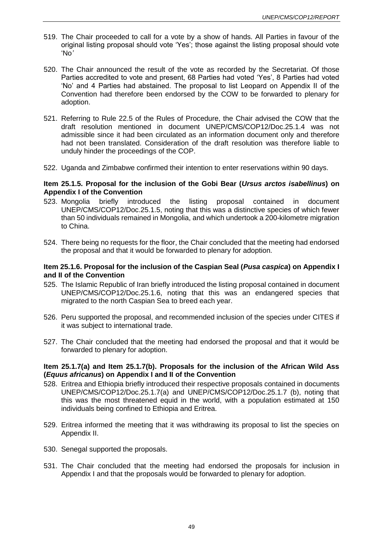- 519. The Chair proceeded to call for a vote by a show of hands. All Parties in favour of the original listing proposal should vote 'Yes'; those against the listing proposal should vote 'No*'*
- 520. The Chair announced the result of the vote as recorded by the Secretariat. Of those Parties accredited to vote and present, 68 Parties had voted 'Yes', 8 Parties had voted 'No' and 4 Parties had abstained. The proposal to list Leopard on Appendix II of the Convention had therefore been endorsed by the COW to be forwarded to plenary for adoption.
- 521. Referring to Rule 22.5 of the Rules of Procedure, the Chair advised the COW that the draft resolution mentioned in document UNEP/CMS/COP12/Doc.25.1.4 was not admissible since it had been circulated as an information document only and therefore had not been translated. Consideration of the draft resolution was therefore liable to unduly hinder the proceedings of the COP.
- 522. Uganda and Zimbabwe confirmed their intention to enter reservations within 90 days.

#### **Item 25.1.5. Proposal for the inclusion of the Gobi Bear (***Ursus arctos isabellinus***) on Appendix I of the Convention**

- 523. Mongolia briefly introduced the listing proposal contained in document UNEP/CMS/COP12/Doc.25.1.5, noting that this was a distinctive species of which fewer than 50 individuals remained in Mongolia, and which undertook a 200-kilometre migration to China.
- 524. There being no requests for the floor, the Chair concluded that the meeting had endorsed the proposal and that it would be forwarded to plenary for adoption.

### **Item 25.1.6. Proposal for the inclusion of the Caspian Seal (***Pusa caspica***) on Appendix I and II of the Convention**

- 525. The Islamic Republic of Iran briefly introduced the listing proposal contained in document UNEP/CMS/COP12/Doc.25.1.6, noting that this was an endangered species that migrated to the north Caspian Sea to breed each year.
- 526. Peru supported the proposal, and recommended inclusion of the species under CITES if it was subject to international trade.
- 527. The Chair concluded that the meeting had endorsed the proposal and that it would be forwarded to plenary for adoption.

### **Item 25.1.7(a) and Item 25.1.7(b). Proposals for the inclusion of the African Wild Ass (***Equus africanus***) on Appendix I and II of the Convention**

- 528. Eritrea and Ethiopia briefly introduced their respective proposals contained in documents UNEP/CMS/COP12/Doc.25.1.7(a) and UNEP/CMS/COP12/Doc.25.1.7 (b), noting that this was the most threatened equid in the world, with a population estimated at 150 individuals being confined to Ethiopia and Eritrea.
- 529. Eritrea informed the meeting that it was withdrawing its proposal to list the species on Appendix II.
- 530. Senegal supported the proposals.
- 531. The Chair concluded that the meeting had endorsed the proposals for inclusion in Appendix I and that the proposals would be forwarded to plenary for adoption.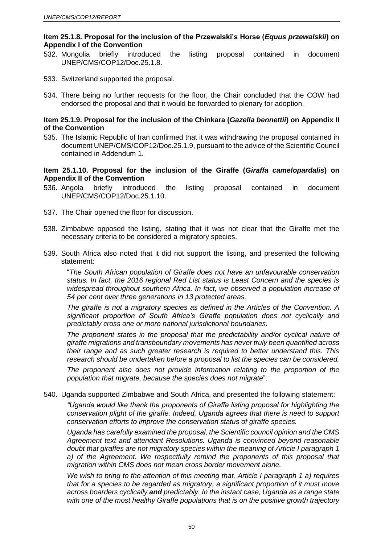### **Item 25.1.8. Proposal for the inclusion of the Przewalski's Horse (***Equus przewalskii***) on Appendix I of the Convention**

- 532. Mongolia briefly introduced the listing proposal contained in document UNEP/CMS/COP12/Doc.25.1.8.
- 533. Switzerland supported the proposal.
- 534. There being no further requests for the floor, the Chair concluded that the COW had endorsed the proposal and that it would be forwarded to plenary for adoption.

### **Item 25.1.9. Proposal for the inclusion of the Chinkara (***Gazella bennettii***) on Appendix II of the Convention**

535. The Islamic Republic of Iran confirmed that it was withdrawing the proposal contained in document UNEP/CMS/COP12/Doc.25.1.9, pursuant to the advice of the Scientific Council contained in Addendum 1.

### **Item 25.1.10. Proposal for the inclusion of the Giraffe (***Giraffa camelopardalis***) on Appendix II of the Convention**

- 536. Angola briefly introduced the listing proposal contained in document UNEP/CMS/COP12/Doc.25.1.10.
- 537. The Chair opened the floor for discussion.
- 538. Zimbabwe opposed the listing, stating that it was not clear that the Giraffe met the necessary criteria to be considered a migratory species.
- 539. South Africa also noted that it did not support the listing, and presented the following statement:

"*The South African population of Giraffe does not have an unfavourable conservation status. In fact, the 2016 regional Red List status is Least Concern and the species is widespread throughout southern Africa. In fact, we observed a population increase of 54 per cent over three generations in 13 protected areas.* 

*The giraffe is not a migratory species as defined in the Articles of the Convention. A significant proportion of South Africa's Giraffe population does not cyclically and predictably cross one or more national jurisdictional boundaries.*

The proponent states in the proposal that the predictability and/or cyclical nature of *giraffe migrations and transboundary movements has never truly been quantified across their range and as such greater research is required to better understand this. This research should be undertaken before a proposal to list the species can be considered.*

*The proponent also does not provide information relating to the proportion of the population that migrate, because the species does not migrate*".

540. Uganda supported Zimbabwe and South Africa, and presented the following statement:

*"Uganda would like thank the proponents of Giraffe listing proposal for highlighting the conservation plight of the giraffe. Indeed, Uganda agrees that there is need to support conservation efforts to improve the conservation status of giraffe species.*

*Uganda has carefully examined the proposal, the Scientific council opinion and the CMS Agreement text and attendant Resolutions. Uganda is convinced beyond reasonable doubt that giraffes are not migratory species within the meaning of Article I paragraph 1 a) of the Agreement. We respectfully remind the proponents of this proposal that migration within CMS does not mean cross border movement alone.*

*We wish to bring to the attention of this meeting that, Article I paragraph 1 a) requires that for a species to be regarded as migratory, a significant proportion of it must move across boarders cyclically and predictably. In the instant case, Uganda as a range state with one of the most healthy Giraffe populations that is on the positive growth trajectory*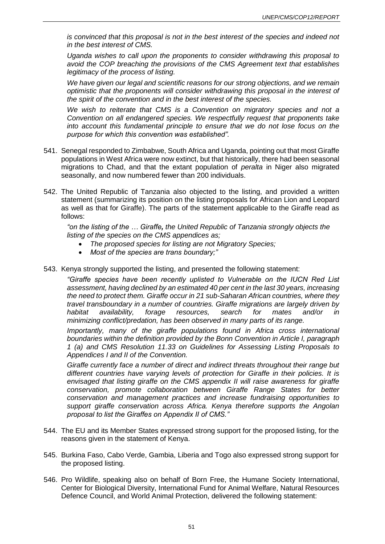*is convinced that this proposal is not in the best interest of the species and indeed not in the best interest of CMS.* 

*Uganda wishes to call upon the proponents to consider withdrawing this proposal to avoid the COP breaching the provisions of the CMS Agreement text that establishes legitimacy of the process of listing.*

*We have given our legal and scientific reasons for our strong objections, and we remain optimistic that the proponents will consider withdrawing this proposal in the interest of the spirit of the convention and in the best interest of the species.* 

*We wish to reiterate that CMS is a Convention on migratory species and not a Convention on all endangered species. We respectfully request that proponents take into account this fundamental principle to ensure that we do not lose focus on the purpose for which this convention was established".* 

- 541. Senegal responded to Zimbabwe, South Africa and Uganda, pointing out that most Giraffe populations in West Africa were now extinct, but that historically, there had been seasonal migrations to Chad, and that the extant population of *peralta* in Niger also migrated seasonally, and now numbered fewer than 200 individuals.
- 542. The United Republic of Tanzania also objected to the listing, and provided a written statement (summarizing its position on the listing proposals for African Lion and Leopard as well as that for Giraffe). The parts of the statement applicable to the Giraffe read as follows:

*"on the listing of the … Giraffe, the United Republic of Tanzania strongly objects the listing of the species on the CMS appendices as;*

- *The proposed species for listing are not Migratory Species;*
- *Most of the species are trans boundary;"*
- 543. Kenya strongly supported the listing, and presented the following statement:

*"Giraffe species have been recently uplisted to Vulnerable on the IUCN Red List assessment, having declined by an estimated 40 per cent in the last 30 years, increasing the need to protect them. Giraffe occur in 21 sub-Saharan African countries, where they travel transboundary in a number of countries. Giraffe migrations are largely driven by habitat availability, forage resources, search for mates and/or in minimizing conflict/predation, has been observed in many parts of its range.*

*Importantly, many of the giraffe populations found in Africa cross international boundaries within the definition provided by the Bonn Convention in Article I, paragraph 1 (a) and CMS Resolution 11.33 on Guidelines for Assessing Listing Proposals to Appendices I and II of the Convention.*

*Giraffe currently face a number of direct and indirect threats throughout their range but different countries have varying levels of protection for Giraffe in their policies. It is envisaged that listing giraffe on the CMS appendix II will raise awareness for giraffe conservation, promote collaboration between Giraffe Range States for better conservation and management practices and increase fundraising opportunities to support giraffe conservation across Africa. Kenya therefore supports the Angolan proposal to list the Giraffes on Appendix II of CMS."*

- 544. The EU and its Member States expressed strong support for the proposed listing, for the reasons given in the statement of Kenya.
- 545. Burkina Faso, Cabo Verde, Gambia, Liberia and Togo also expressed strong support for the proposed listing.
- 546. Pro Wildlife, speaking also on behalf of Born Free, the Humane Society International, Center for Biological Diversity, International Fund for Animal Welfare, Natural Resources Defence Council, and World Animal Protection, delivered the following statement: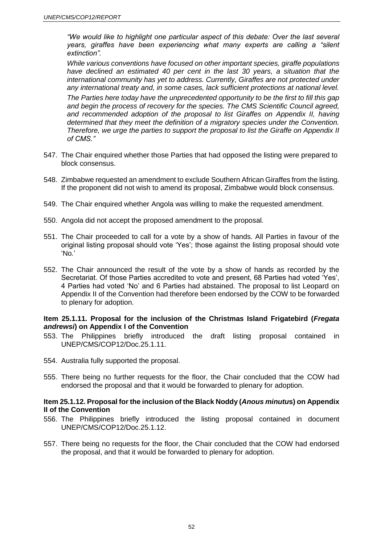*"We would like to highlight one particular aspect of this debate: Over the last several years, giraffes have been experiencing what many experts are calling a "silent extinction".* 

*While various conventions have focused on other important species, giraffe populations have declined an estimated 40 per cent in the last 30 years, a situation that the international community has yet to address. Currently, Giraffes are not protected under any international treaty and, in some cases, lack sufficient protections at national level.* 

*The Parties here today have the unprecedented opportunity to be the first to fill this gap and begin the process of recovery for the species. The CMS Scientific Council agreed, and recommended adoption of the proposal to list Giraffes on Appendix II, having determined that they meet the definition of a migratory species under the Convention. Therefore, we urge the parties to support the proposal to list the Giraffe on Appendix II of CMS."*

- 547. The Chair enquired whether those Parties that had opposed the listing were prepared to block consensus.
- 548. Zimbabwe requested an amendment to exclude Southern African Giraffes from the listing. If the proponent did not wish to amend its proposal, Zimbabwe would block consensus.
- 549. The Chair enquired whether Angola was willing to make the requested amendment.
- 550. Angola did not accept the proposed amendment to the proposal.
- 551. The Chair proceeded to call for a vote by a show of hands. All Parties in favour of the original listing proposal should vote 'Yes'; those against the listing proposal should vote 'No*.*'
- 552. The Chair announced the result of the vote by a show of hands as recorded by the Secretariat. Of those Parties accredited to vote and present, 68 Parties had voted 'Yes', 4 Parties had voted 'No' and 6 Parties had abstained. The proposal to list Leopard on Appendix II of the Convention had therefore been endorsed by the COW to be forwarded to plenary for adoption.

### **Item 25.1.11. Proposal for the inclusion of the Christmas Island Frigatebird (***Fregata andrewsi***) on Appendix I of the Convention**

- 553. The Philippines briefly introduced the draft listing proposal contained in UNEP/CMS/COP12/Doc.25.1.11.
- 554. Australia fully supported the proposal.
- 555. There being no further requests for the floor, the Chair concluded that the COW had endorsed the proposal and that it would be forwarded to plenary for adoption.

#### **Item 25.1.12. Proposal for the inclusion of the Black Noddy (***Anous minutu***s) on Appendix II of the Convention**

- 556. The Philippines briefly introduced the listing proposal contained in document UNEP/CMS/COP12/Doc.25.1.12.
- 557. There being no requests for the floor, the Chair concluded that the COW had endorsed the proposal, and that it would be forwarded to plenary for adoption.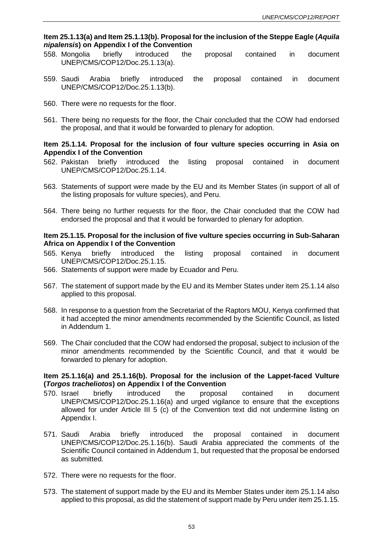### **Item 25.1.13(a) and Item 25.1.13(b). Proposal for the inclusion of the Steppe Eagle (***Aquila nipalensis***) on Appendix I of the Convention**

- 558. Mongolia briefly introduced the proposal contained in document UNEP/CMS/COP12/Doc.25.1.13(a).
- 559. Saudi Arabia briefly introduced the proposal contained in document UNEP/CMS/COP12/Doc.25.1.13(b).
- 560. There were no requests for the floor.
- 561. There being no requests for the floor, the Chair concluded that the COW had endorsed the proposal, and that it would be forwarded to plenary for adoption.

### **Item 25.1.14. Proposal for the inclusion of four vulture species occurring in Asia on Appendix I of the Convention**

- 562. Pakistan briefly introduced the listing proposal contained in document UNEP/CMS/COP12/Doc.25.1.14.
- 563. Statements of support were made by the EU and its Member States (in support of all of the listing proposals for vulture species), and Peru.
- 564. There being no further requests for the floor, the Chair concluded that the COW had endorsed the proposal and that it would be forwarded to plenary for adoption.

### **Item 25.1.15. Proposal for the inclusion of five vulture species occurring in Sub-Saharan Africa on Appendix I of the Convention**

- 565. Kenya briefly introduced the listing proposal contained in document UNEP/CMS/COP12/Doc.25.1.15.
- 566. Statements of support were made by Ecuador and Peru.
- 567. The statement of support made by the EU and its Member States under item 25.1.14 also applied to this proposal.
- 568. In response to a question from the Secretariat of the Raptors MOU, Kenya confirmed that it had accepted the minor amendments recommended by the Scientific Council, as listed in Addendum 1.
- 569. The Chair concluded that the COW had endorsed the proposal, subject to inclusion of the minor amendments recommended by the Scientific Council, and that it would be forwarded to plenary for adoption.

### **Item 25.1.16(a) and 25.1.16(b). Proposal for the inclusion of the Lappet-faced Vulture (***Torgos tracheliotos***) on Appendix I of the Convention**

- 570. Israel briefly introduced the proposal contained in document UNEP/CMS/COP12/Doc.25.1.16(a) and urged vigilance to ensure that the exceptions allowed for under Article III 5 (c) of the Convention text did not undermine listing on Appendix I.
- 571. Saudi Arabia briefly introduced the proposal contained in document UNEP/CMS/COP12/Doc.25.1.16(b). Saudi Arabia appreciated the comments of the Scientific Council contained in Addendum 1, but requested that the proposal be endorsed as submitted.
- 572. There were no requests for the floor.
- 573. The statement of support made by the EU and its Member States under item 25.1.14 also applied to this proposal, as did the statement of support made by Peru under item 25.1.15.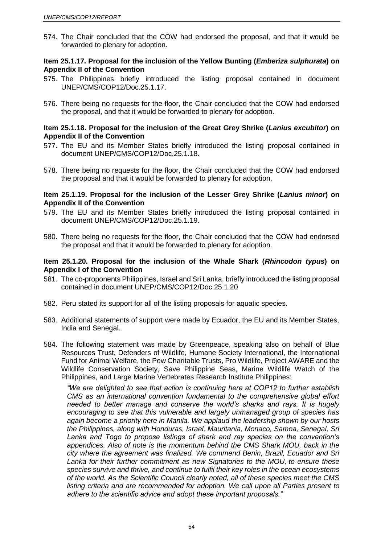574. The Chair concluded that the COW had endorsed the proposal, and that it would be forwarded to plenary for adoption.

### **Item 25.1.17. Proposal for the inclusion of the Yellow Bunting (***Emberiza sulphurata***) on Appendix II of the Convention**

- 575. The Philippines briefly introduced the listing proposal contained in document UNEP/CMS/COP12/Doc.25.1.17.
- 576. There being no requests for the floor, the Chair concluded that the COW had endorsed the proposal, and that it would be forwarded to plenary for adoption.

#### **Item 25.1.18. Proposal for the inclusion of the Great Grey Shrike (***Lanius excubitor***) on Appendix II of the Convention**

- 577. The EU and its Member States briefly introduced the listing proposal contained in document UNEP/CMS/COP12/Doc.25.1.18.
- 578. There being no requests for the floor, the Chair concluded that the COW had endorsed the proposal and that it would be forwarded to plenary for adoption.

#### **Item 25.1.19. Proposal for the inclusion of the Lesser Grey Shrike (***Lanius minor***) on Appendix II of the Convention**

- 579. The EU and its Member States briefly introduced the listing proposal contained in document UNEP/CMS/COP12/Doc.25.1.19.
- 580. There being no requests for the floor, the Chair concluded that the COW had endorsed the proposal and that it would be forwarded to plenary for adoption.

#### **Item 25.1.20. Proposal for the inclusion of the Whale Shark (***Rhincodon typus***) on Appendix I of the Convention**

- 581. The co-proponents Philippines, Israel and Sri Lanka, briefly introduced the listing proposal contained in document UNEP/CMS/COP12/Doc.25.1.20
- 582. Peru stated its support for all of the listing proposals for aquatic species.
- 583. Additional statements of support were made by Ecuador, the EU and its Member States, India and Senegal.
- 584. The following statement was made by Greenpeace, speaking also on behalf of Blue Resources Trust, Defenders of Wildlife, Humane Society International, the International Fund for Animal Welfare, the Pew Charitable Trusts, Pro Wildlife, Project AWARE and the Wildlife Conservation Society, Save Philippine Seas, Marine Wildlife Watch of the Philippines, and Large Marine Vertebrates Research Institute Philippines:

*"We are delighted to see that action is continuing here at COP12 to further establish CMS as an international convention fundamental to the comprehensive global effort needed to better manage and conserve the world's sharks and rays. It is hugely encouraging to see that this vulnerable and largely unmanaged group of species has again become a priority here in Manila. We applaud the leadership shown by our hosts the Philippines, along with Honduras, Israel, Mauritania, Monaco, Samoa, Senegal, Sri Lanka and Togo to propose listings of shark and ray species on the convention's appendices. Also of note is the momentum behind the CMS Shark MOU, back in the city where the agreement was finalized. We commend Benin, Brazil, Ecuador and Sri Lanka for their further commitment as new Signatories to the MOU, to ensure these species survive and thrive, and continue to fulfil their key roles in the ocean ecosystems of the world. As the Scientific Council clearly noted, all of these species meet the CMS listing criteria and are recommended for adoption. We call upon all Parties present to adhere to the scientific advice and adopt these important proposals."*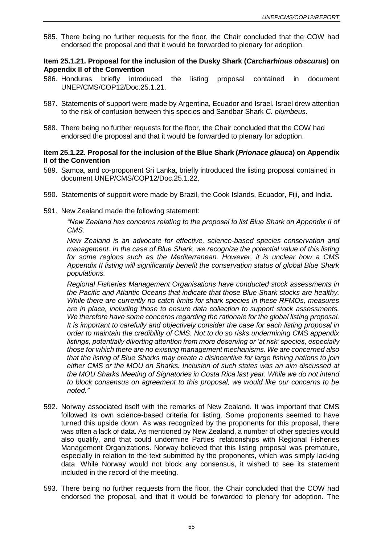585. There being no further requests for the floor, the Chair concluded that the COW had endorsed the proposal and that it would be forwarded to plenary for adoption.

### **Item 25.1.21. Proposal for the inclusion of the Dusky Shark (***Carcharhinus obscurus***) on Appendix II of the Convention**

- 586. Honduras briefly introduced the listing proposal contained in document UNEP/CMS/COP12/Doc.25.1.21.
- 587. Statements of support were made by Argentina, Ecuador and Israel. Israel drew attention to the risk of confusion between this species and Sandbar Shark *C. plumbeus*.
- 588. There being no further requests for the floor, the Chair concluded that the COW had endorsed the proposal and that it would be forwarded to plenary for adoption.

### **Item 25.1.22. Proposal for the inclusion of the Blue Shark (***Prionace glauca***) on Appendix II of the Convention**

- 589. Samoa, and co-proponent Sri Lanka, briefly introduced the listing proposal contained in document UNEP/CMS/COP12/Doc.25.1.22.
- 590. Statements of support were made by Brazil, the Cook Islands, Ecuador, Fiji, and India.
- 591. New Zealand made the following statement:

*"New Zealand has concerns relating to the proposal to list Blue Shark on Appendix II of CMS.*

*New Zealand is an advocate for effective, science-based species conservation and management. In the case of Blue Shark, we recognize the potential value of this listing for some regions such as the Mediterranean. However, it is unclear how a CMS Appendix II listing will significantly benefit the conservation status of global Blue Shark populations.* 

*Regional Fisheries Management Organisations have conducted stock assessments in the Pacific and Atlantic Oceans that indicate that those Blue Shark stocks are healthy. While there are currently no catch limits for shark species in these RFMOs, measures are in place, including those to ensure data collection to support stock assessments. We therefore have some concerns regarding the rationale for the global listing proposal. It is important to carefully and objectively consider the case for each listing proposal in order to maintain the credibility of CMS. Not to do so risks undermining CMS appendix listings, potentially diverting attention from more deserving or 'at risk' species, especially those for which there are no existing management mechanisms. We are concerned also that the listing of Blue Sharks may create a disincentive for large fishing nations to join either CMS or the MOU on Sharks. Inclusion of such states was an aim discussed at the MOU Sharks Meeting of Signatories in Costa Rica last year. While we do not intend to block consensus on agreement to this proposal, we would like our concerns to be noted."*

- 592. Norway associated itself with the remarks of New Zealand. It was important that CMS followed its own science-based criteria for listing. Some proponents seemed to have turned this upside down. As was recognized by the proponents for this proposal, there was often a lack of data. As mentioned by New Zealand, a number of other species would also qualify, and that could undermine Parties' relationships with Regional Fisheries Management Organizations. Norway believed that this listing proposal was premature, especially in relation to the text submitted by the proponents, which was simply lacking data. While Norway would not block any consensus, it wished to see its statement included in the record of the meeting.
- 593. There being no further requests from the floor, the Chair concluded that the COW had endorsed the proposal, and that it would be forwarded to plenary for adoption. The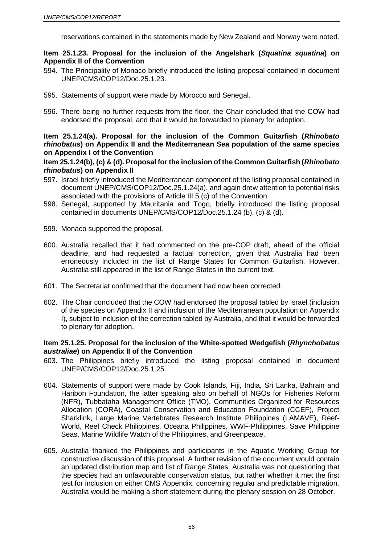reservations contained in the statements made by New Zealand and Norway were noted.

### **Item 25.1.23. Proposal for the inclusion of the Angelshark (***Squatina squatina***) on Appendix II of the Convention**

- 594. The Principality of Monaco briefly introduced the listing proposal contained in document UNEP/CMS/COP12/Doc.25.1.23.
- 595. Statements of support were made by Morocco and Senegal.
- 596. There being no further requests from the floor, the Chair concluded that the COW had endorsed the proposal, and that it would be forwarded to plenary for adoption.

## **Item 25.1.24(a). Proposal for the inclusion of the Common Guitarfish (***Rhinobato rhinobatus***) on Appendix II and the Mediterranean Sea population of the same species on Appendix I of the Convention**

### **Item 25.1.24(b), (c) & (d). Proposal for the inclusion of the Common Guitarfish (***Rhinobato rhinobatus***) on Appendix II**

- 597. Israel briefly introduced the Mediterranean component of the listing proposal contained in document UNEP/CMS/COP12/Doc.25.1.24(a), and again drew attention to potential risks associated with the provisions of Article III 5 (c) of the Convention.
- 598. Senegal, supported by Mauritania and Togo, briefly introduced the listing proposal contained in documents UNEP/CMS/COP12/Doc.25.1.24 (b), (c) & (d).
- 599. Monaco supported the proposal.
- 600. Australia recalled that it had commented on the pre-COP draft, ahead of the official deadline, and had requested a factual correction, given that Australia had been erroneously included in the list of Range States for Common Guitarfish. However, Australia still appeared in the list of Range States in the current text.
- 601. The Secretariat confirmed that the document had now been corrected.
- 602. The Chair concluded that the COW had endorsed the proposal tabled by Israel (inclusion of the species on Appendix II and inclusion of the Mediterranean population on Appendix I), subject to inclusion of the correction tabled by Australia, and that it would be forwarded to plenary for adoption.

### **Item 25.1.25. Proposal for the inclusion of the White-spotted Wedgefish (***Rhynchobatus australiae***) on Appendix II of the Convention**

- 603. The Philippines briefly introduced the listing proposal contained in document UNEP/CMS/COP12/Doc.25.1.25.
- 604. Statements of support were made by Cook Islands, Fiji, India, Sri Lanka, Bahrain and Haribon Foundation, the latter speaking also on behalf of NGOs for Fisheries Reform (NFR), Tubbataha Management Office (TMO), Communities Organized for Resources Allocation (CORA), Coastal Conservation and Education Foundation (CCEF), Project Sharklink, Large Marine Vertebrates Research Institute Philippines (LAMAVE), Reef-World, Reef Check Philippines, Oceana Philippines, WWF-Philippines, Save Philippine Seas, Marine Wildlife Watch of the Philippines, and Greenpeace.
- 605. Australia thanked the Philippines and participants in the Aquatic Working Group for constructive discussion of this proposal. A further revision of the document would contain an updated distribution map and list of Range States. Australia was not questioning that the species had an unfavourable conservation status, but rather whether it met the first test for inclusion on either CMS Appendix, concerning regular and predictable migration. Australia would be making a short statement during the plenary session on 28 October.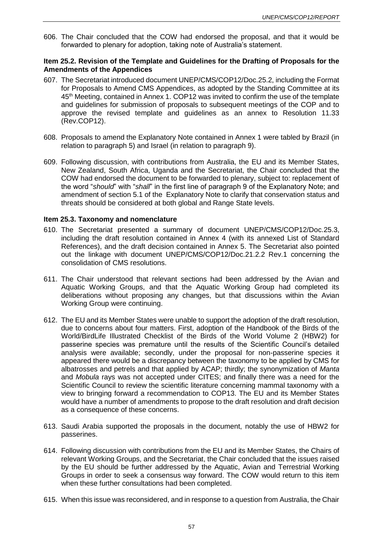606. The Chair concluded that the COW had endorsed the proposal, and that it would be forwarded to plenary for adoption, taking note of Australia's statement.

### **Item 25.2. Revision of the Template and Guidelines for the Drafting of Proposals for the Amendments of the Appendices**

- 607. The Secretariat introduced document UNEP/CMS/COP12/Doc.25.2, including the Format for Proposals to Amend CMS Appendices, as adopted by the Standing Committee at its 45th Meeting, contained in Annex 1. COP12 was invited to confirm the use of the template and guidelines for submission of proposals to subsequent meetings of the COP and to approve the revised template and guidelines as an annex to Resolution 11.33 (Rev.COP12).
- 608. Proposals to amend the Explanatory Note contained in Annex 1 were tabled by Brazil (in relation to paragraph 5) and Israel (in relation to paragraph 9).
- 609. Following discussion, with contributions from Australia, the EU and its Member States, New Zealand, South Africa, Uganda and the Secretariat, the Chair concluded that the COW had endorsed the document to be forwarded to plenary, subject to: replacement of the word "*should*" with "*shall*" in the first line of paragraph 9 of the Explanatory Note; and amendment of section 5.1 of the Explanatory Note to clarify that conservation status and threats should be considered at both global and Range State levels.

### **Item 25.3. Taxonomy and nomenclature**

- 610. The Secretariat presented a summary of document UNEP/CMS/COP12/Doc.25.3, including the draft resolution contained in Annex 4 (with its annexed List of Standard References), and the draft decision contained in Annex 5. The Secretariat also pointed out the linkage with document UNEP/CMS/COP12/Doc.21.2.2 Rev.1 concerning the consolidation of CMS resolutions.
- 611. The Chair understood that relevant sections had been addressed by the Avian and Aquatic Working Groups, and that the Aquatic Working Group had completed its deliberations without proposing any changes, but that discussions within the Avian Working Group were continuing.
- 612. The EU and its Member States were unable to support the adoption of the draft resolution, due to concerns about four matters. First, adoption of the Handbook of the Birds of the World/BirdLife Illustrated Checklist of the Birds of the World Volume 2 (HBW2) for passerine species was premature until the results of the Scientific Council's detailed analysis were available; secondly, under the proposal for non-passerine species it appeared there would be a discrepancy between the taxonomy to be applied by CMS for albatrosses and petrels and that applied by ACAP; thirdly; the synonymization of *Manta* and *Mobula* rays was not accepted under CITES; and finally there was a need for the Scientific Council to review the scientific literature concerning mammal taxonomy with a view to bringing forward a recommendation to COP13. The EU and its Member States would have a number of amendments to propose to the draft resolution and draft decision as a consequence of these concerns.
- 613. Saudi Arabia supported the proposals in the document, notably the use of HBW2 for passerines.
- 614. Following discussion with contributions from the EU and its Member States, the Chairs of relevant Working Groups, and the Secretariat, the Chair concluded that the issues raised by the EU should be further addressed by the Aquatic, Avian and Terrestrial Working Groups in order to seek a consensus way forward. The COW would return to this item when these further consultations had been completed.
- 615. When this issue was reconsidered, and in response to a question from Australia, the Chair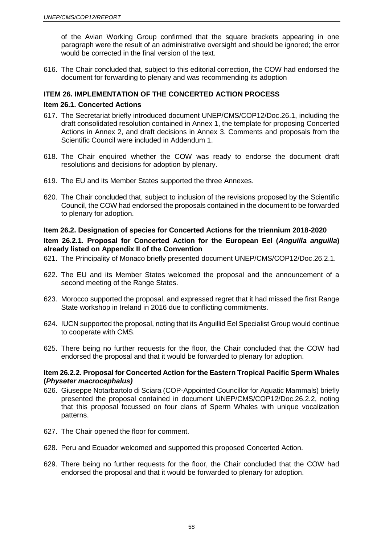of the Avian Working Group confirmed that the square brackets appearing in one paragraph were the result of an administrative oversight and should be ignored; the error would be corrected in the final version of the text.

616. The Chair concluded that, subject to this editorial correction, the COW had endorsed the document for forwarding to plenary and was recommending its adoption

## **ITEM 26. IMPLEMENTATION OF THE CONCERTED ACTION PROCESS**

### **Item 26.1. Concerted Actions**

- 617. The Secretariat briefly introduced document UNEP/CMS/COP12/Doc.26.1, including the draft consolidated resolution contained in Annex 1, the template for proposing Concerted Actions in Annex 2, and draft decisions in Annex 3. Comments and proposals from the Scientific Council were included in Addendum 1.
- 618. The Chair enquired whether the COW was ready to endorse the document draft resolutions and decisions for adoption by plenary.
- 619. The EU and its Member States supported the three Annexes.
- 620. The Chair concluded that, subject to inclusion of the revisions proposed by the Scientific Council, the COW had endorsed the proposals contained in the document to be forwarded to plenary for adoption.

### **Item 26.2. Designation of species for Concerted Actions for the triennium 2018-2020**

## **Item 26.2.1. Proposal for Concerted Action for the European Eel (***Anguilla anguilla***) already listed on Appendix II of the Convention**

- 621. The Principality of Monaco briefly presented document UNEP/CMS/COP12/Doc.26.2.1.
- 622. The EU and its Member States welcomed the proposal and the announcement of a second meeting of the Range States.
- 623. Morocco supported the proposal, and expressed regret that it had missed the first Range State workshop in Ireland in 2016 due to conflicting commitments.
- 624. IUCN supported the proposal, noting that its Anguillid Eel Specialist Group would continue to cooperate with CMS.
- 625. There being no further requests for the floor, the Chair concluded that the COW had endorsed the proposal and that it would be forwarded to plenary for adoption.

### **Item 26.2.2. Proposal for Concerted Action for the Eastern Tropical Pacific Sperm Whales (***Physeter macrocephalus)*

- 626. Giuseppe Notarbartolo di Sciara (COP-Appointed Councillor for Aquatic Mammals) briefly presented the proposal contained in document UNEP/CMS/COP12/Doc.26.2.2, noting that this proposal focussed on four clans of Sperm Whales with unique vocalization patterns.
- 627. The Chair opened the floor for comment.
- 628. Peru and Ecuador welcomed and supported this proposed Concerted Action.
- 629. There being no further requests for the floor, the Chair concluded that the COW had endorsed the proposal and that it would be forwarded to plenary for adoption.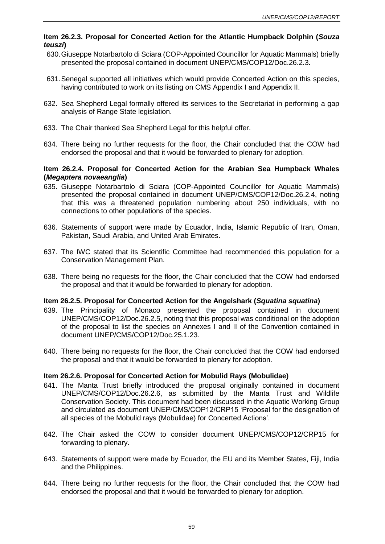## **Item 26.2.3. Proposal for Concerted Action for the Atlantic Humpback Dolphin (***Souza teuszi***)**

- 630.Giuseppe Notarbartolo di Sciara (COP-Appointed Councillor for Aquatic Mammals) briefly presented the proposal contained in document UNEP/CMS/COP12/Doc.26.2.3.
- 631.Senegal supported all initiatives which would provide Concerted Action on this species, having contributed to work on its listing on CMS Appendix I and Appendix II.
- 632. Sea Shepherd Legal formally offered its services to the Secretariat in performing a gap analysis of Range State legislation.
- 633. The Chair thanked Sea Shepherd Legal for this helpful offer.
- 634. There being no further requests for the floor, the Chair concluded that the COW had endorsed the proposal and that it would be forwarded to plenary for adoption.

### **Item 26.2.4. Proposal for Concerted Action for the Arabian Sea Humpback Whales (***Megaptera novaeanglia***)**

- 635. Giuseppe Notarbartolo di Sciara (COP-Appointed Councillor for Aquatic Mammals) presented the proposal contained in document UNEP/CMS/COP12/Doc.26.2.4, noting that this was a threatened population numbering about 250 individuals, with no connections to other populations of the species.
- 636. Statements of support were made by Ecuador, India, Islamic Republic of Iran, Oman, Pakistan, Saudi Arabia, and United Arab Emirates.
- 637. The IWC stated that its Scientific Committee had recommended this population for a Conservation Management Plan.
- 638. There being no requests for the floor, the Chair concluded that the COW had endorsed the proposal and that it would be forwarded to plenary for adoption.

### **Item 26.2.5. Proposal for Concerted Action for the Angelshark (***Squatina squatina***)**

- 639. The Principality of Monaco presented the proposal contained in document UNEP/CMS/COP12/Doc.26.2.5, noting that this proposal was conditional on the adoption of the proposal to list the species on Annexes I and II of the Convention contained in document UNEP/CMS/COP12/Doc.25.1.23.
- 640. There being no requests for the floor, the Chair concluded that the COW had endorsed the proposal and that it would be forwarded to plenary for adoption.

### **Item 26.2.6. Proposal for Concerted Action for Mobulid Rays (Mobulidae)**

- 641. The Manta Trust briefly introduced the proposal originally contained in document UNEP/CMS/COP12/Doc.26.2.6, as submitted by the Manta Trust and Wildlife Conservation Society. This document had been discussed in the Aquatic Working Group and circulated as document UNEP/CMS/COP12/CRP15 'Proposal for the designation of all species of the Mobulid rays (Mobulidae) for Concerted Actions'.
- 642. The Chair asked the COW to consider document UNEP/CMS/COP12/CRP15 for forwarding to plenary.
- 643. Statements of support were made by Ecuador, the EU and its Member States, Fiji, India and the Philippines.
- 644. There being no further requests for the floor, the Chair concluded that the COW had endorsed the proposal and that it would be forwarded to plenary for adoption.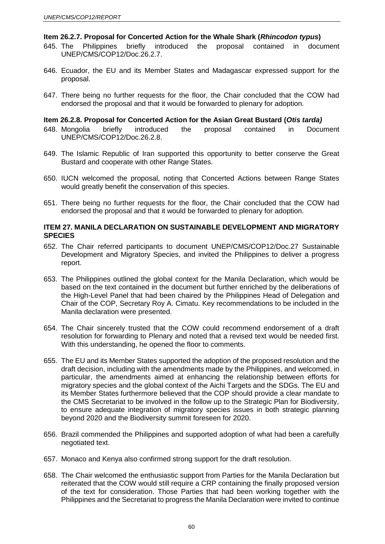#### **Item 26.2.7. Proposal for Concerted Action for the Whale Shark (***Rhincodon typus***)**

- 645. The Philippines briefly introduced the proposal contained in document UNEP/CMS/COP12/Doc.26.2.7.
- 646. Ecuador, the EU and its Member States and Madagascar expressed support for the proposal.
- 647. There being no further requests for the floor, the Chair concluded that the COW had endorsed the proposal and that it would be forwarded to plenary for adoption.

### **Item 26.2.8. Proposal for Concerted Action for the Asian Great Bustard (***Otis tarda)*

- 648. Mongolia briefly introduced the proposal contained in Document UNEP/CMS/COP12/Doc.26.2.8.
- 649. The Islamic Republic of Iran supported this opportunity to better conserve the Great Bustard and cooperate with other Range States.
- 650. IUCN welcomed the proposal, noting that Concerted Actions between Range States would greatly benefit the conservation of this species.
- 651. There being no further requests for the floor, the Chair concluded that the COW had endorsed the proposal and that it would be forwarded to plenary for adoption.

### **ITEM 27. MANILA DECLARATION ON SUSTAINABLE DEVELOPMENT AND MIGRATORY SPECIES**

- 652. The Chair referred participants to document UNEP/CMS/COP12/Doc.27 Sustainable Development and Migratory Species, and invited the Philippines to deliver a progress report.
- 653. The Philippines outlined the global context for the Manila Declaration, which would be based on the text contained in the document but further enriched by the deliberations of the High-Level Panel that had been chaired by the Philippines Head of Delegation and Chair of the COP, Secretary Roy A. Cimatu. Key recommendations to be included in the Manila declaration were presented.
- 654. The Chair sincerely trusted that the COW could recommend endorsement of a draft resolution for forwarding to Plenary and noted that a revised text would be needed first. With this understanding, he opened the floor to comments.
- 655. The EU and its Member States supported the adoption of the proposed resolution and the draft decision, including with the amendments made by the Philippines, and welcomed, in particular, the amendments aimed at enhancing the relationship between efforts for migratory species and the global context of the Aichi Targets and the SDGs. The EU and its Member States furthermore believed that the COP should provide a clear mandate to the CMS Secretariat to be involved in the follow up to the Strategic Plan for Biodiversity, to ensure adequate integration of migratory species issues in both strategic planning beyond 2020 and the Biodiversity summit foreseen for 2020.
- 656. Brazil commended the Philippines and supported adoption of what had been a carefully negotiated text.
- 657. Monaco and Kenya also confirmed strong support for the draft resolution.
- 658. The Chair welcomed the enthusiastic support from Parties for the Manila Declaration but reiterated that the COW would still require a CRP containing the finally proposed version of the text for consideration. Those Parties that had been working together with the Philippines and the Secretariat to progress the Manila Declaration were invited to continue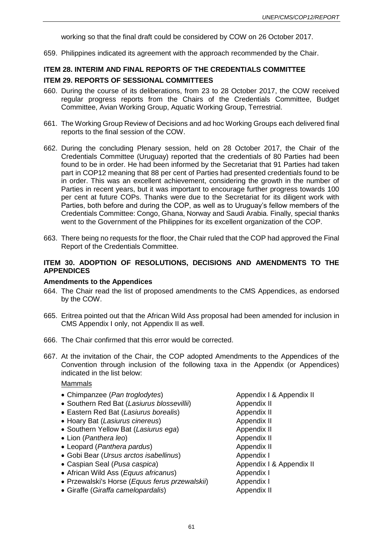working so that the final draft could be considered by COW on 26 October 2017.

659. Philippines indicated its agreement with the approach recommended by the Chair.

# **ITEM 28. INTERIM AND FINAL REPORTS OF THE CREDENTIALS COMMITTEE ITEM 29. REPORTS OF SESSIONAL COMMITTEES**

- 660. During the course of its deliberations, from 23 to 28 October 2017, the COW received regular progress reports from the Chairs of the Credentials Committee, Budget Committee, Avian Working Group, Aquatic Working Group, Terrestrial.
- 661. The Working Group Review of Decisions and ad hoc Working Groups each delivered final reports to the final session of the COW.
- 662. During the concluding Plenary session, held on 28 October 2017, the Chair of the Credentials Committee (Uruguay) reported that the credentials of 80 Parties had been found to be in order. He had been informed by the Secretariat that 91 Parties had taken part in COP12 meaning that 88 per cent of Parties had presented credentials found to be in order. This was an excellent achievement, considering the growth in the number of Parties in recent years, but it was important to encourage further progress towards 100 per cent at future COPs. Thanks were due to the Secretariat for its diligent work with Parties, both before and during the COP, as well as to Uruguay's fellow members of the Credentials Committee: Congo, Ghana, Norway and Saudi Arabia. Finally, special thanks went to the Government of the Philippines for its excellent organization of the COP.
- 663. There being no requests for the floor, the Chair ruled that the COP had approved the Final Report of the Credentials Committee.

### **ITEM 30. ADOPTION OF RESOLUTIONS, DECISIONS AND AMENDMENTS TO THE APPENDICES**

#### **Amendments to the Appendices**

- 664. The Chair read the list of proposed amendments to the CMS Appendices, as endorsed by the COW.
- 665. Eritrea pointed out that the African Wild Ass proposal had been amended for inclusion in CMS Appendix I only, not Appendix II as well.
- 666. The Chair confirmed that this error would be corrected.
- 667. At the invitation of the Chair, the COP adopted Amendments to the Appendices of the Convention through inclusion of the following taxa in the Appendix (or Appendices) indicated in the list below:

# Mammals

- Chimpanzee (*Pan troglodytes*) Appendix I & Appendix II
- Southern Red Bat (*Lasiurus blossevillii*) Appendix II
- Eastern Red Bat (*Lasiurus borealis*) Appendix II
- Hoary Bat *(Lasiurus cinereus)* Appendix II
- Southern Yellow Bat (Lasiurus ega) Appendix II
- Lion (*Panthera leo*) Appendix II
- Leopard (*Panthera pardus*) Appendix II
- Gobi Bear (*Ursus arctos isabellinus*) Appendix I
- Caspian Seal (*Pusa caspica*) Appendix I & Appendix II
- African Wild Ass (*Equus africanus*) Appendix I
- Przewalski's Horse (*Equus ferus przewalskii*) Appendix I
- Giraffe (*Giraffa camelopardalis*) Appendix II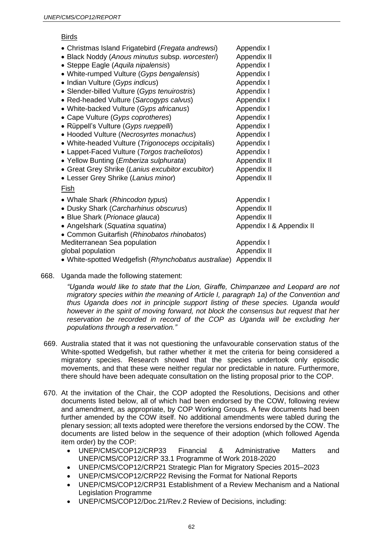### Birds

| • Christmas Island Frigatebird (Fregata andrewsi)   | Appendix I               |
|-----------------------------------------------------|--------------------------|
| • Black Noddy (Anous minutus subsp. worcesteri)     | Appendix II              |
| • Steppe Eagle (Aquila nipalensis)                  | Appendix I               |
| • White-rumped Vulture (Gyps bengalensis)           | Appendix I               |
| • Indian Vulture (Gyps indicus)                     | Appendix I               |
| • Slender-billed Vulture (Gyps tenuirostris)        | Appendix I               |
| • Red-headed Vulture (Sarcogyps calvus)             | Appendix I               |
| • White-backed Vulture (Gyps africanus)             | Appendix I               |
| • Cape Vulture (Gyps coprotheres)                   | Appendix I               |
| • Rüppell's Vulture (Gyps rueppelli)                | Appendix I               |
| • Hooded Vulture (Necrosyrtes monachus)             | Appendix I               |
| • White-headed Vulture (Trigonoceps occipitalis)    | Appendix I               |
| • Lappet-Faced Vulture (Torgos tracheliotos)        | Appendix I               |
| • Yellow Bunting ( <i>Emberiza sulphurata</i> )     | Appendix II              |
| • Great Grey Shrike (Lanius excubitor excubitor)    | Appendix II              |
| • Lesser Grey Shrike (Lanius minor)                 | Appendix II              |
| <u>Fish</u>                                         |                          |
| • Whale Shark (Rhincodon typus)                     | Appendix I               |
| • Dusky Shark (Carcharhinus obscurus)               | Appendix II              |
| • Blue Shark (Prionace glauca)                      | Appendix II              |
| • Angelshark (Squatina squatina)                    | Appendix I & Appendix II |
| • Common Guitarfish (Rhinobatos rhinobatos)         |                          |
| Mediterranean Sea population                        | Appendix I               |
| global population                                   | Appendix II              |
| • White-spotted Wedgefish (Rhynchobatus australiae) | Appendix II              |

668. Uganda made the following statement:

*"Uganda would like to state that the Lion, Giraffe, Chimpanzee and Leopard are not migratory species within the meaning of Article I, paragraph 1a) of the Convention and thus Uganda does not in principle support listing of these species. Uganda would however in the spirit of moving forward, not block the consensus but request that her* reservation be recorded in record of the COP as Uganda will be excluding her *populations through a reservation."*

- 669. Australia stated that it was not questioning the unfavourable conservation status of the White-spotted Wedgefish, but rather whether it met the criteria for being considered a migratory species. Research showed that the species undertook only episodic movements, and that these were neither regular nor predictable in nature. Furthermore, there should have been adequate consultation on the listing proposal prior to the COP.
- 670. At the invitation of the Chair, the COP adopted the Resolutions, Decisions and other documents listed below, all of which had been endorsed by the COW, following review and amendment, as appropriate, by COP Working Groups. A few documents had been further amended by the COW itself. No additional amendments were tabled during the plenary session; all texts adopted were therefore the versions endorsed by the COW. The documents are listed below in the sequence of their adoption (which followed Agenda item order) by the COP:
	- UNEP/CMS/COP12/CRP33 Financial & Administrative Matters and UNEP/CMS/COP12/CRP 33.1 Programme of Work 2018-2020
	- UNEP/CMS/COP12/CRP21 Strategic Plan for Migratory Species 2015–2023
	- UNEP/CMS/COP12/CRP22 Revising the Format for National Reports
	- UNEP/CMS/COP12/CRP31 Establishment of a Review Mechanism and a National Legislation Programme
	- UNEP/CMS/COP12/Doc.21/Rev.2 Review of Decisions, including: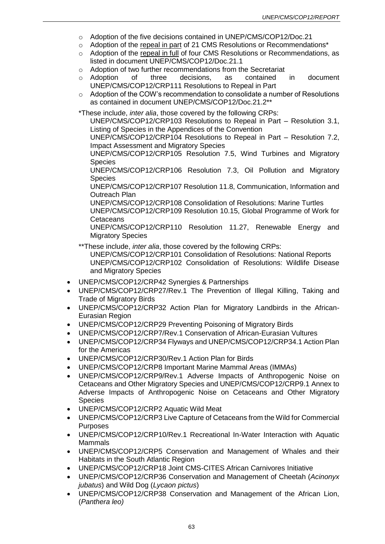- o Adoption of the five decisions contained in UNEP/CMS/COP12/Doc.21
- $\circ$  Adoption of the repeal in part of 21 CMS Resolutions or Recommendations<sup>\*</sup>
- o Adoption of the repeal in full of four CMS Resolutions or Recommendations, as listed in document UNEP/CMS/COP12/Doc.21.1
- o Adoption of two further recommendations from the Secretariat
- o Adoption of three decisions, as contained in document UNEP/CMS/COP12/CRP111 Resolutions to Repeal in Part
- $\circ$  Adoption of the COW's recommendation to consolidate a number of Resolutions as contained in document UNEP/CMS/COP12/Doc.21.2\*\*

\*These include, *inter alia*, those covered by the following CRPs:

UNEP/CMS/COP12/CRP103 Resolutions to Repeal in Part – Resolution 3.1, Listing of Species in the Appendices of the Convention

UNEP/CMS/COP12/CRP104 Resolutions to Repeal in Part – Resolution 7.2, Impact Assessment and Migratory Species

UNEP/CMS/COP12/CRP105 Resolution 7.5, Wind Turbines and Migratory **Species** 

UNEP/CMS/COP12/CRP106 Resolution 7.3, Oil Pollution and Migratory **Species** 

UNEP/CMS/COP12/CRP107 Resolution 11.8, Communication, Information and Outreach Plan

UNEP/CMS/COP12/CRP108 Consolidation of Resolutions: Marine Turtles

UNEP/CMS/COP12/CRP109 Resolution 10.15, Global Programme of Work for **Cetaceans** 

UNEP/CMS/COP12/CRP110 Resolution 11.27, Renewable Energy and Migratory Species

\*\*These include, *inter alia*, those covered by the following CRPs: UNEP/CMS/COP12/CRP101 Consolidation of Resolutions: National Reports UNEP/CMS/COP12/CRP102 Consolidation of Resolutions: Wildlife Disease and Migratory Species

- UNEP/CMS/COP12/CRP42 Synergies & Partnerships
- UNEP/CMS/COP12/CRP27/Rev.1 The Prevention of Illegal Killing, Taking and Trade of Migratory Birds
- UNEP/CMS/COP12/CRP32 Action Plan for Migratory Landbirds in the African-Eurasian Region
- UNEP/CMS/COP12/CRP29 Preventing Poisoning of Migratory Birds
- UNEP/CMS/COP12/CRP7/Rev.1 Conservation of African-Eurasian Vultures
- UNEP/CMS/COP12/CRP34 Flyways and UNEP/CMS/COP12/CRP34.1 Action Plan for the Americas
- UNEP/CMS/COP12/CRP30/Rev.1 Action Plan for Birds
- UNEP/CMS/COP12/CRP8 Important Marine Mammal Areas (IMMAs)
- UNEP/CMS/COP12/CRP9/Rev.1 Adverse Impacts of Anthropogenic Noise on Cetaceans and Other Migratory Species and UNEP/CMS/COP12/CRP9.1 Annex to Adverse Impacts of Anthropogenic Noise on Cetaceans and Other Migratory **Species**
- UNEP/CMS/COP12/CRP2 Aquatic Wild Meat
- UNEP/CMS/COP12/CRP3 Live Capture of Cetaceans from the Wild for Commercial Purposes
- UNEP/CMS/COP12/CRP10/Rev.1 Recreational In-Water Interaction with Aquatic Mammals
- UNEP/CMS/COP12/CRP5 Conservation and Management of Whales and their Habitats in the South Atlantic Region
- UNEP/CMS/COP12/CRP18 Joint CMS-CITES African Carnivores Initiative
- UNEP/CMS/COP12/CRP36 Conservation and Management of Cheetah (*Acinonyx jubatus*) and Wild Dog (*Lycaon pictus*)
- UNEP/CMS/COP12/CRP38 Conservation and Management of the African Lion, (*Panthera leo)*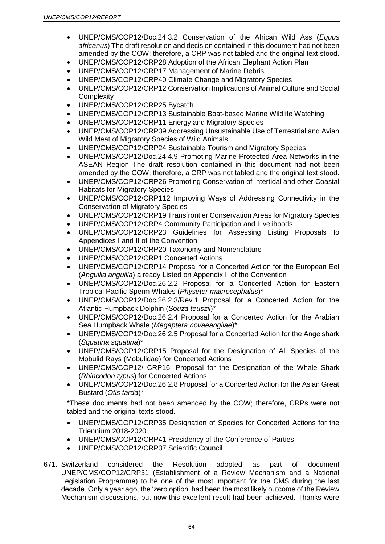- UNEP/CMS/COP12/Doc.24.3.2 Conservation of the African Wild Ass (*Equus africanus*) The draft resolution and decision contained in this document had not been amended by the COW; therefore, a CRP was not tabled and the original text stood.
- UNEP/CMS/COP12/CRP28 Adoption of the African Elephant Action Plan
- UNEP/CMS/COP12/CRP17 Management of Marine Debris
- UNEP/CMS/COP12/CRP40 Climate Change and Migratory Species
- UNEP/CMS/COP12/CRP12 Conservation Implications of Animal Culture and Social **Complexity**
- UNEP/CMS/COP12/CRP25 Bycatch
- UNEP/CMS/COP12/CRP13 Sustainable Boat-based Marine Wildlife Watching
- UNEP/CMS/COP12/CRP11 Energy and Migratory Species
- UNEP/CMS/COP12/CRP39 Addressing Unsustainable Use of Terrestrial and Avian Wild Meat of Migratory Species of Wild Animals
- UNEP/CMS/COP12/CRP24 Sustainable Tourism and Migratory Species
- UNEP/CMS/COP12/Doc.24.4.9 Promoting Marine Protected Area Networks in the ASEAN Region The draft resolution contained in this document had not been amended by the COW; therefore, a CRP was not tabled and the original text stood.
- UNEP/CMS/COP12/CRP26 Promoting Conservation of Intertidal and other Coastal Habitats for Migratory Species
- UNEP/CMS/COP12/CRP112 Improving Ways of Addressing Connectivity in the Conservation of Migratory Species
- UNEP/CMS/COP12/CRP19 Transfrontier Conservation Areas for Migratory Species
- UNEP/CMS/COP12/CRP4 Community Participation and Livelihoods
- UNEP/CMS/COP12/CRP23 Guidelines for Assessing Listing Proposals to Appendices I and II of the Convention
- UNEP/CMS/COP12/CRP20 Taxonomy and Nomenclature
- UNEP/CMS/COP12/CRP1 Concerted Actions
- UNEP/CMS/COP12/CRP14 Proposal for a Concerted Action for the European Eel (*Anguilla anguilla*) already Listed on Appendix II of the Convention
- UNEP/CMS/COP12/Doc.26.2.2 Proposal for a Concerted Action for Eastern Tropical Pacific Sperm Whales (*Physeter macrocephalus*)\*
- UNEP/CMS/COP12/Doc.26.2.3/Rev.1 Proposal for a Concerted Action for the Atlantic Humpback Dolphin (*Souza teuszii*)\*
- UNEP/CMS/COP12/Doc.26.2.4 Proposal for a Concerted Action for the Arabian Sea Humpback Whale (*Megaptera novaeangliae*)\*
- UNEP/CMS/COP12/Doc.26.2.5 Proposal for a Concerted Action for the Angelshark (*Squatina squatina*)\*
- UNEP/CMS/COP12/CRP15 Proposal for the Designation of All Species of the Mobulid Rays (Mobulidae) for Concerted Actions
- UNEP/CMS/COP12/ CRP16, Proposal for the Designation of the Whale Shark (*Rhincodon typus*) for Concerted Actions
- UNEP/CMS/COP12/Doc.26.2.8 Proposal for a Concerted Action for the Asian Great Bustard (*Otis tarda*)\*

\*These documents had not been amended by the COW; therefore, CRPs were not tabled and the original texts stood.

- UNEP/CMS/COP12/CRP35 Designation of Species for Concerted Actions for the Triennium 2018-2020
- UNEP/CMS/COP12/CRP41 Presidency of the Conference of Parties
- UNEP/CMS/COP12/CRP37 Scientific Council
- 671. Switzerland considered the Resolution adopted as part of document UNEP/CMS/COP12/CRP31 (Establishment of a Review Mechanism and a National Legislation Programme) to be one of the most important for the CMS during the last decade. Only a year ago, the 'zero option' had been the most likely outcome of the Review Mechanism discussions, but now this excellent result had been achieved. Thanks were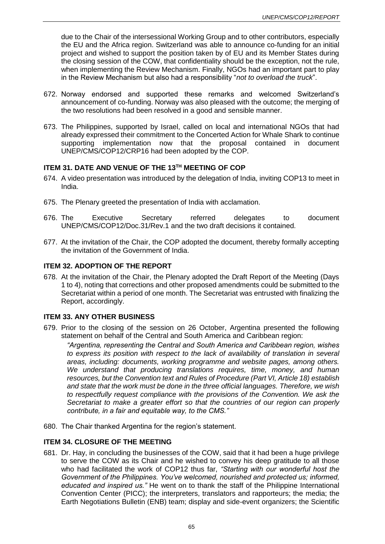due to the Chair of the intersessional Working Group and to other contributors, especially the EU and the Africa region. Switzerland was able to announce co-funding for an initial project and wished to support the position taken by of EU and its Member States during the closing session of the COW, that confidentiality should be the exception, not the rule, when implementing the Review Mechanism. Finally, NGOs had an important part to play in the Review Mechanism but also had a responsibility "*not to overload the truck*".

- 672. Norway endorsed and supported these remarks and welcomed Switzerland's announcement of co-funding. Norway was also pleased with the outcome; the merging of the two resolutions had been resolved in a good and sensible manner.
- 673. The Philippines, supported by Israel, called on local and international NGOs that had already expressed their commitment to the Concerted Action for Whale Shark to continue supporting implementation now that the proposal contained in document UNEP/CMS/COP12/CRP16 had been adopted by the COP.

## **ITEM 31. DATE AND VENUE OF THE 13TH MEETING OF COP**

- 674. A video presentation was introduced by the delegation of India, inviting COP13 to meet in India.
- 675. The Plenary greeted the presentation of India with acclamation.
- 676. The Executive Secretary referred delegates to document UNEP/CMS/COP12/Doc.31/Rev.1 and the two draft decisions it contained.
- 677. At the invitation of the Chair, the COP adopted the document, thereby formally accepting the invitation of the Government of India.

## **ITEM 32. ADOPTION OF THE REPORT**

678. At the invitation of the Chair, the Plenary adopted the Draft Report of the Meeting (Days 1 to 4), noting that corrections and other proposed amendments could be submitted to the Secretariat within a period of one month. The Secretariat was entrusted with finalizing the Report, accordingly.

### **ITEM 33. ANY OTHER BUSINESS**

679. Prior to the closing of the session on 26 October, Argentina presented the following statement on behalf of the Central and South America and Caribbean region:

*"Argentina, representing the Central and South America and Caribbean region, wishes to express its position with respect to the lack of availability of translation in several areas, including: documents, working programme and website pages, among others. We understand that producing translations requires, time, money, and human resources, but the Convention text and Rules of Procedure (Part VI, Article 18) establish and state that the work must be done in the three official languages. Therefore, we wish to respectfully request compliance with the provisions of the Convention. We ask the Secretariat to make a greater effort so that the countries of our region can properly contribute, in a fair and equitable way, to the CMS."*

680. The Chair thanked Argentina for the region's statement.

## **ITEM 34. CLOSURE OF THE MEETING**

681. Dr. Hay, in concluding the businesses of the COW, said that it had been a huge privilege to serve the COW as its Chair and he wished to convey his deep gratitude to all those who had facilitated the work of COP12 thus far, *"Starting with our wonderful host the Government of the Philippines. You've welcomed, nourished and protected us; informed, educated and inspired us."* He went on to thank the staff of the Philippine International Convention Center (PICC); the interpreters, translators and rapporteurs; the media; the Earth Negotiations Bulletin (ENB) team; display and side-event organizers; the Scientific